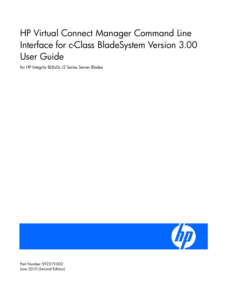# HP Virtual Connect Manager Command Line Interface for c-Class BladeSystem Version 3.00 User Guide

for HP Integrity BL8x0c i2 Series Server Blades



Part Number 592319-002 June 2010 (Second Edition)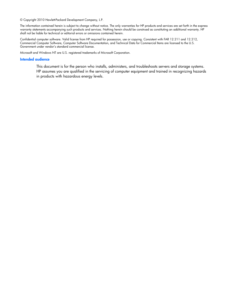© Copyright 2010 Hewlett-Packard Development Company, L.P.

The information contained herein is subject to change without notice. The only warranties for HP products and services are set forth in the express warranty statements accompanying such products and services. Nothing herein should be construed as constituting an additional warranty. HP shall not be liable for technical or editorial errors or omissions contained herein.

Confidential computer software. Valid license from HP required for possession, use or copying. Consistent with FAR 12.211 and 12.212, Commercial Computer Software, Computer Software Documentation, and Technical Data for Commercial Items are licensed to the U.S. Government under vendor's standard commercial license.

Microsoft and Windows NT are U.S. registered trademarks of Microsoft Corporation.

#### Intended audience

This document is for the person who installs, administers, and troubleshoots servers and storage systems. HP assumes you are qualified in the servicing of computer equipment and trained in recognizing hazards in products with hazardous energy levels.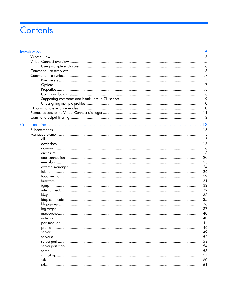# Contents

| Introduction. | 5    |
|---------------|------|
|               |      |
|               |      |
|               |      |
|               |      |
|               |      |
|               |      |
|               |      |
|               |      |
|               |      |
|               |      |
|               |      |
|               |      |
|               |      |
|               |      |
|               |      |
|               |      |
|               |      |
|               |      |
|               |      |
|               |      |
|               |      |
|               |      |
|               |      |
|               |      |
|               |      |
|               |      |
|               |      |
|               |      |
|               |      |
|               |      |
|               |      |
|               |      |
|               |      |
|               |      |
|               | 40   |
|               |      |
|               |      |
|               |      |
|               |      |
|               |      |
|               | . 54 |
|               |      |
|               | . 57 |
|               | 60   |
|               | .61  |
|               |      |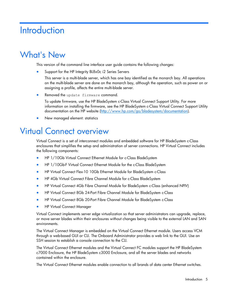# **Introduction**

## What's New

This version of the command line interface user guide contains the following changes:

Support for the HP Integrity BL8x0c i2 Series Servers

This server is a multi-blade server, which has one bay identified as the monarch bay. All operations on the multi-blade server are done on the monarch bay, although the operation, such as power on or assigning a profile, affects the entire multi-blade server.

Removed the update firmware command.

To update firmware, use the HP BladeSystem c-Class Virtual Connect Support Utility. For more information on installing the firmware, see the HP BladeSystem c-Class Virtual Connect Support Utility documentation on the HP website [\(http://www.hp.com/go/bladesystem/documentation\)](http://www.hp.com/go/bladesystem/documentation).

• New managed element: statistics

## Virtual Connect overview

Virtual Connect is a set of interconnect modules and embedded software for HP BladeSystem c-Class enclosures that simplifies the setup and administration of server connections. HP Virtual Connect includes the following components:

- HP 1/10Gb Virtual Connect Ethernet Module for c-Class BladeSystem
- HP 1/10Gb-F Virtual Connect Ethernet Module for the c-Class BladeSystem
- HP Virtual Connect Flex-10 10Gb Ethernet Module for BladeSystem c-Class
- HP 4Gb Virtual Connect Fibre Channel Module for c-Class BladeSystem
- HP Virtual Connect 4Gb Fibre Channel Module for BladeSystem c-Class (enhanced NPIV)
- HP Virtual Connect 8Gb 24-Port Fibre Channel Module for BladeSystem c-Class
- HP Virtual Connect 8Gb 20-Port Fibre Channel Module for BladeSystem c-Class
- HP Virtual Connect Manager

Virtual Connect implements server edge virtualization so that server administrators can upgrade, replace, or move server blades within their enclosures without changes being visible to the external LAN and SAN environments.

The Virtual Connect Manager is embedded on the Virtual Connect Ethernet module. Users access VCM through a web-based GUI or CLI. The Onboard Administrator provides a web link to the GUI. Use an SSH session to establish a console connection to the CLI.

The Virtual Connect Ethernet modules and the Virtual Connect FC modules support the HP BladeSystem c7000 Enclosure, the HP BladeSystem c3000 Enclosure, and all the server blades and networks contained within the enclosure.

The Virtual Connect Ethernet modules enable connection to all brands of data center Ethernet switches.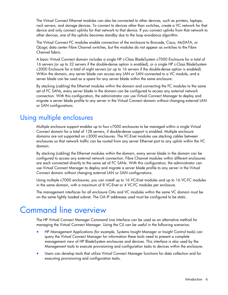The Virtual Connect Ethernet modules can also be connected to other devices, such as printers, laptops, rack servers, and storage devices. To connect to devices other than switches, create a VC network for that device and only connect uplinks for that network to that device. If you connect uplinks from that network to other devices, one of the uplinks becomes standby due to the loop avoidance algorithm.

The Virtual Connect FC modules enable connection of the enclosure to Brocade, Cisco, McDATA, or QLogic data center Fibre Channel switches, but the modules do not appear as switches to the Fibre Channel fabric.

A basic Virtual Connect domain includes a single HP c-Class BladeSystem c7000 Enclosure for a total of 16 servers (or up to 32 servers if the double-dense option is enabled), or a single HP c-Class BladeSystem c3000 Enclosure for a total of eight servers (or up to 16 servers if the double-dense option is enabled). Within the domain, any server blade can access any LAN or SAN connected to a VC module, and a server blade can be used as a spare for any server blade within the same enclosure.

By stacking (cabling) the Ethernet modules within the domain and connecting the FC modules to the same set of FC SANs, every server blade in the domain can be configured to access any external network connection. With this configuration, the administrator can use Virtual Connect Manager to deploy and migrate a server blade profile to any server in the Virtual Connect domain without changing external LAN or SAN configurations.

### Using multiple enclosures

Multiple enclosure support enables up to four c7000 enclosures to be managed within a single Virtual Connect domain for a total of 128 servers, if double-dense support is enabled. Multiple enclosure domains are not supported on c3000 enclosures. The VC-Enet modules use stacking cables between enclosures so that network traffic can be routed from any server Ethernet port to any uplink within the VC domain.

By stacking (cabling) the Ethernet modules within the domain, every server blade in the domain can be configured to access any external network connection. Fibre Channel modules within different enclosures are each connected directly to the same set of FC SANs. With this configuration, the administrator can use Virtual Connect Manager to deploy and migrate a server blade profile to any server in the Virtual Connect domain without changing external LAN or SAN configurations.

Using multiple c7000 enclosures, you can install up to 16 VC-Enet modules and up to 16 VC-FC modules in the same domain, with a maximum of 8 VC-Enet or 4 VC-FC modules per enclosure.

The management interfaces for all enclosure OAs and VC modules within the same VC domain must be on the same lightly loaded subnet. The OA IP addresses used must be configured to be static.

# Command line overview

The HP Virtual Connect Manager Command Line Interface can be used as an alternative method for managing the Virtual Connect Manager. Using the CLI can be useful in the following scenarios:

- HP Management Applications (for example, Systems Insight Manager or Insight Control tools) can query the Virtual Connect Manager for information these tools need to present a complete management view of HP BladeSystem enclosures and devices. This interface is also used by the Management tools to execute provisioning and configuration tasks to devices within the enclosure.
- Users can develop tools that utilize Virtual Connect Manager functions for data collection and for executing provisioning and configuration tasks.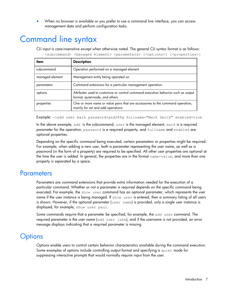• When no browser is available or you prefer to use a command line interface, you can access management data and perform configuration tasks.

# Command line syntax

CLI input is case-insensitive except when otherwise noted. The general CLI syntax format is as follows: <subcommand> <managed element> <parameters> [<options>] [<properties>]

| Item            | <b>Description</b>                                                                                                  |
|-----------------|---------------------------------------------------------------------------------------------------------------------|
| subcommand      | Operation performed on a managed element                                                                            |
| managed element | Management entity being operated on                                                                                 |
| parameters      | Command extensions for a particular management operation                                                            |
| options         | Attributes used to customize or control command execution behavior such as output<br>format, quiet-mode, and others |
| properties      | One or more name or value pairs that are accessories to the command operation,<br>mainly for set and add operations |

Example: ->add user mark password=asdf89g fullname="Mark Smith" enabled=true

In the above example, add is the subcommand, user is the managed element, mark is a required parameter for the operation, password is a required property, and fullname and enabled are optional properties.

Depending on the specific command being executed, certain parameters or properties might be required. For example, when adding a new user, both a parameter representing the user name, as well as a password (in the form of a property) are required to be specified. All other user properties are optional at the time the user is added. In general, the properties are in the format name=value, and more than one property is separated by a space.

### **Parameters**

Parameters are command extensions that provide extra information needed for the execution of a particular command. Whether or not a parameter is required depends on the specific command being executed. For example, the show user command has an optional parameter, which represents the user name if the user instance is being managed. If show user is entered, then a summary listing of all users is shown. However, if the optional parameter (user name) is provided, only a single user instance is displayed, for example, show user paul.

Some commands require that a parameter be specified, for example, the add user command. The required parameter is the user name (add user jake), and if the username is not provided, an error message displays indicating that a required parameter is missing.

### **Options**

Options enable users to control certain behavior characteristics available during the command execution. Some examples of options include controlling output format and specifying a quiet mode for suppressing interactive prompts that would normally require input from the user.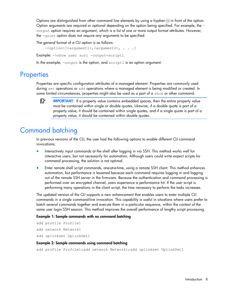Options are distinguished from other command line elements by using a hyphen (-) in front of the option. Option arguments are required or optional depending on the option being specified. For example, the output option requires an argument, which is a list of one or more output format attributes. However, the -quiet option does not require any arguments to be specified.

The general format of a CLI option is as follows:

-<option>[=argument1>,<argument2>, . . .]

Example: ->show user suzi -output=script1

In the example, -output is the option, and script1 is an option argument.

### **Properties**

Properties are specific configuration attributes of a managed element. Properties are commonly used during set operations or add operations where a managed element is being modified or created. In some limited circumstances, properties might also be used as a part of a  $\text{show or other command.}$ 

[X IMPORTANT: If a property value contains embedded spaces, then the entire property value must be contained within single or double quotes. Likewise, if a double quote is part of a property value, it should be contained within single quotes, and if a single quote is part of a property value, it should be contained within double quotes.

### Command batching

In previous versions of the CLI, the user had the following options to enable different CLI command invocations:

- Interactively input commands at the shell after logging in via SSH. This method works well for interactive users, but not necessarily for automation. Although users could write expect scripts for command processing, the solution is not optimal.
- Enter remote shell script commands, one-at-a-time, using a remote SSH client. This method enhances automation, but performance is lessened because each command requires logging in and logging out of the remote SSH server in the firmware. Because the authentication and command processing is performed over an encrypted channel, users experience a performance hit. If the user script is performing many operations in the client script, the time necessary to perform the tasks increases.

The updated version of the CLI supports a new enhancement that enables users to enter multiple CLI commands in a single command-line invocation. This capability is useful in situations where users prefer to batch several commands together and execute them in a particular sequence, within the context of the same user login SSH session. This method improves the overall performance of lengthy script processing.

#### Example 1: Sample commands with no command batching

add profile Profile1 add network Network1 add uplinkset UplinkSet1

#### Example 2: Sample commands using command batching

add profile Profile1;add network Network1;add uplinkset UplinkSet1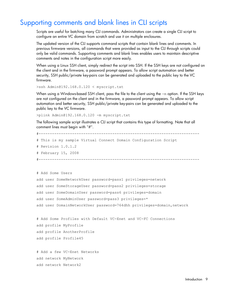### Supporting comments and blank lines in CLI scripts

Scripts are useful for batching many CLI commands. Administrators can create a single CLI script to configure an entire VC domain from scratch and use it on multiple enclosures.

The updated version of the CLI supports command scripts that contain blank lines and comments. In previous firmware versions, all commands that were provided as input to the CLI through scripts could only be valid commands. Supporting comments and blank lines enables users to maintain descriptive comments and notes in the configuration script more easily.

When using a Linux SSH client, simply redirect the script into SSH. If the SSH keys are not configured on the client and in the firmware, a password prompt appears. To allow script automation and better security, SSH public/private key-pairs can be generated and uploaded to the public key to the VC firmware.

>ssh Admin@192.168.0.120 < myscript.txt

When using a Windows-based SSH client, pass the file to the client using the -m option. If the SSH keys are not configured on the client and in the firmware, a password prompt appears. To allow script automation and better security, SSH public/private key-pairs can be generated and uploaded to the public key to the VC firmware.

>plink Admin@192.168.0.120 -m myscript.txt

The following sample script illustrates a CLI script that contains this type of formatting. Note that all comment lines must begin with "#".

```
#------------------------------------------------------------------------
# This is my sample Virtual Connect Domain Configuration Script
# Revision 1.0.1.2
# February 15, 2008
#------------------------------------------------------------------------
# Add Some Users
add user SomeNetworkUser password=pass1 privileges=network
add user SomeStorageUser password=pass2 privileges=storage
add user SomeDomainUser password=pass6 privileges=domain
add user SomeAdminUser password=pass3 privileges=*
add user DomainNetworkUser password=764dhh privileges=domain,network
# Add Some Profiles with Default VC-Enet and VC-FC Connections
add profile MyProfile
```
add profile AnotherProfile add profile Profile45

# Add a few VC-Enet Networks add network MyNetwork add network Network2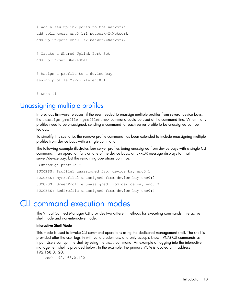```
# Add a few uplink ports to the networks
add uplinkport enc0:1:1 network=MyNetwork
add uplinkport enc0:1:2 network=Network2
```
# Create a Shared Uplink Port Set add uplinkset SharedSet1

# Assign a profile to a device bay assign profile MyProfile enc0:1

# Done!!!

### Unassigning multiple profiles

In previous firmware releases, if the user needed to unassign multiple profiles from several device bays, the unassign profile <profileName> command could be used at the command line. When many profiles need to be unassigned, sending a command for each server profile to be unassigned can be tedious.

To simplify this scenario, the remove profile command has been extended to include unassigning multiple profiles from device bays with a single command.

The following example illustrates four server profiles being unassigned from device bays with a single CLI command. If an operation fails on one of the device bays, an ERROR message displays for that server/device bay, but the remaining operations continue.

```
->unassign profile *
SUCCESS: Profile1 unassigned from device bay enc0:1
SUCCESS: MyProfile2 unassigned from device bay enc0:2
SUCCESS: GreenProfile unassigned from device bay enc0:3
SUCCESS: RedProfile unassigned from device bay enc0:4
```
## CLI command execution modes

The Virtual Connect Manager CLI provides two different methods for executing commands: interactive shell mode and non-interactive mode.

#### Interactive Shell Mode

This mode is used to invoke CLI command operations using the dedicated management shell. The shell is provided after the user logs in with valid credentials, and only accepts known VCM CLI commands as input. Users can quit the shell by using the  $ext{exit}$  command. An example of logging into the interactive management shell is provided below. In the example, the primary VCM is located at IP address 192.168.0.120.

>ssh 192.168.0.120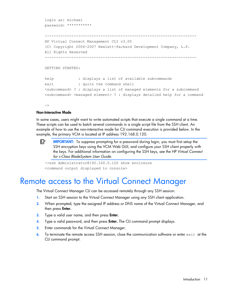```
login as: michael
password: ***********
      --------------------------------------------------------------------
HP Virtual Connect Management CLI v3.00
(C) Copyright 2006-2007 Hewlett-Packard Development Company, L.P.
All Rights Reserved
                       --------------------------------------------------------------------
GETTING STARTED:
help : displays a list of available subcommands
exit : quits the command shell
<subcommand> ? : displays a list of managed elements for a subcommand
<subcommand> <managed element> ? : displays detailed help for a command
```

```
\rightarrow
```
#### Non-Interactive Mode

In some cases, users might want to write automated scripts that execute a single command at a time. These scripts can be used to batch several commands in a single script file from the SSH client. An example of how to use the non-interactive mode for CLI command execution is provided below. In the example, the primary VCM is located at IP address 192.168.0.120.

₽ IMPORTANT: To suppress prompting for a password during login, you must first setup the SSH encryption keys using the VCM Web GUI, and configure your SSH client properly with the keys. For additional information on configuring the SSH keys, see the *HP Virtual Connect for c-Class BladeSystem User Guide*.

```
->ssh Administrator@192.160.0.120 show enclosure
<command output displayed to console>
```
## Remote access to the Virtual Connect Manager

The Virtual Connect Manager CLI can be accessed remotely through any SSH session:

- 1. Start an SSH session to the Virtual Connect Manager using any SSH client application.
- 2. When prompted, type the assigned IP address or DNS name of the Virtual Connect Manager, and then press **Enter.**
- 3. Type a valid user name, and then press **Enter.**
- 4. Type a valid password, and then press **Enter.** The CLI command prompt displays.
- 5. Enter commands for the Virtual Connect Manager.
- 6. To terminate the remote access SSH session, close the communication software or enter  $\epsilon$ xit at the CLI command prompt.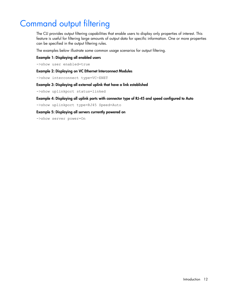# Command output filtering

The CLI provides output filtering capabilities that enable users to display only properties of interest. This feature is useful for filtering large amounts of output data for specific information. One or more properties can be specified in the output filtering rules.

The examples below illustrate some common usage scenarios for output filtering.

#### Example 1: Displaying all enabled users

->show user enabled=true

#### Example 2: Displaying on VC Ethernet Interconnect Modules

->show interconnect type=VC-ENET

#### Example 3: Displaying all external uplink that have a link established

->show uplinkport status=linked

#### Example 4: Displaying all uplink ports with connector type of RJ-45 and speed configured to Auto

->show uplinkport type=RJ45 Speed=Auto

#### Example 5: Displaying all servers currently powered on

->show server power=On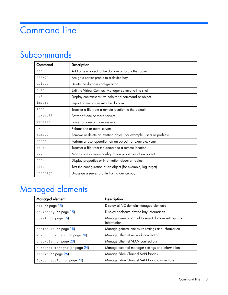# Command line

# Subcommands

| Command  | <b>Description</b>                                                   |
|----------|----------------------------------------------------------------------|
| add      | Add a new object to the domain or to another object                  |
| assign   | Assign a server profile to a device bay                              |
| delete   | Delete the domain configuration                                      |
| exit     | Exit the Virtual Connect Manager command-line shell                  |
| help     | Display context-sensitive help for a command or object               |
| import   | Import an enclosure into the domain                                  |
| load     | Transfer a file from a remote location to the domain                 |
| poweroff | Power off one or more servers                                        |
| poweron  | Power on one or more servers                                         |
| reboot   | Reboot one or more servers                                           |
| remove   | Remove or delete an existing object (for example, users or profiles) |
| reset    | Perform a reset operation on an object (for example, vcm)            |
| save     | Transfer a file from the domain to a remote location                 |
| set      | Modify one or more configuration properties of an object             |
| show     | Display properties or information about an object                    |
| test     | Test the configuration of an object (for example, log-target)        |
| unassign | Unassign a server profile from a device bay                          |

# Managed elements

| Managed element               | <b>Description</b>                                                |
|-------------------------------|-------------------------------------------------------------------|
| all (on page $15$ )           | Display all VC domain-managed elements                            |
| $devicebay$ (on page $15$ )   | Display enclosure device bay information                          |
| domain (on page 16)           | Manage general Virtual Connect domain settings and<br>information |
| enclosure (on page 18)        | Manage general enclosure settings and information                 |
| enet-connection (on page 20)  | Manage Ethernet network connections                               |
| enet-vlan (on page 23)        | Manage Ethernet VLAN connections                                  |
| external-manager (on page 24) | Manage external manager settings and information                  |
| fabric (on page 26)           | Manage Fibre Channel SAN fabrics                                  |
| fc-connection (on page 29)    | Manage Fibre Channel SAN fabric connections                       |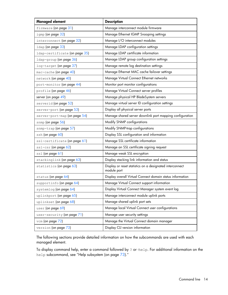| <b>Managed element</b>        | <b>Description</b>                                                      |
|-------------------------------|-------------------------------------------------------------------------|
| firmware (on page 31)         | Manage interconnect module firmware                                     |
| igmp (on page 32)             | Manage Ethernet IGMP Snooping settings                                  |
| interconnect (on page 32)     | Manage I/O interconnect modules                                         |
| 1dap (on page 33)             | Manage LDAP configuration settings                                      |
| ldap-certificate (on page 35) | Manage LDAP certificate information                                     |
| 1dap-group (on page 36)       | Manage LDAP group configuration settings                                |
| log-target (on page 37)       | Manage remote log destination settings                                  |
| mac-cache (on page 40)        | Manage Ethernet MAC cache failover settings                             |
| network (on page 40)          | Manage Virtual Connect Ethernet networks                                |
| port-monitor (on page 44)     | Monitor port monitor configurations                                     |
| profile (on page 46)          | Manage Virtual Connect server profiles                                  |
| server (on page 49)           | Manage physical HP BladeSystem servers                                  |
| serverid (on page 52)         | Manage virtual server ID configuration settings                         |
| server-port (on page 53)      | Display all physical server ports                                       |
| server-port-map (on page 54)  | Manage shared server downlink port mapping configuration                |
| snmp (on page 56)             | Modify SNMP configurations                                              |
| snmp-trap (on page 57)        | Modify SNMP-trap configurations                                         |
| ssh (on page 60)              | Display SSL configuration and information                               |
| ssl-certificate (on page 61)  | Manage SSL certificate information                                      |
| ssl-csr (on page 62)          | Manage an SSL certificate signing request                               |
| ss1 (on page 61)              | Manage weak SSL encryption                                              |
| stackinglink (on page 63)     | Display stacking link information and status                            |
| statistics (on page 63)       | Display or reset statistics on a designated interconnect<br>module port |
| status (on page 64)           | Display overall Virtual Connect domain status information               |
| supportinfo (on page 64)      | Manage Virtual Connect support information                              |
| systemlog (on page 64)        | Display Virtual Connect Manager system event log                        |
| uplinkport (on page 65)       | Manage interconnect module uplink ports                                 |
| uplinkset (on page 68)        | Manage shared uplink port sets                                          |
| user (on page 69)             | Manage local Virtual Connect user configurations                        |
| user-security (on page 71)    | Manage user security settings                                           |
| vcm (on page 72)              | Manage the Virtual Connect domain manager                               |
| version (on page 73)          | Display CLI version information                                         |

The following sections provide detailed information on how the subcommands are used with each managed element.

To display command help, enter a command followed by ? or -help. For additional information on the help subcommand, see "Help subsystem (on page [73\)](#page-72-1)."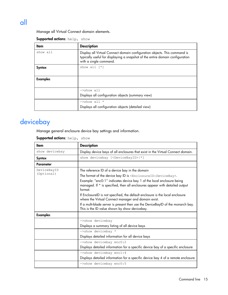## <span id="page-14-0"></span>all

Manage all Virtual Connect domain elements.

| Supported actions: help, show |  |  |
|-------------------------------|--|--|
|-------------------------------|--|--|

| ltem            | <b>Description</b>                                                                                                                                                                   |
|-----------------|--------------------------------------------------------------------------------------------------------------------------------------------------------------------------------------|
| show all        | Display all Virtual Connect domain configuration objects. This command is<br>typically useful for displaying a snapshot of the entire domain configuration<br>with a single command. |
| Syntax          | show all $[*]$                                                                                                                                                                       |
| <b>Examples</b> |                                                                                                                                                                                      |
|                 | ->show all                                                                                                                                                                           |
|                 | Displays all configuration objects (summary view)                                                                                                                                    |
|                 | $\rightarrow$ show all *                                                                                                                                                             |
|                 | Displays all configuration objects (detailed view)                                                                                                                                   |

## <span id="page-14-1"></span>devicebay

Manage general enclosure device bay settings and information.

#### Supported actions: help, show

| ltem                      | <b>Description</b>                                                                                                                                                                                                                                                                                                                                                                                                                                                                                                                                                                     |  |
|---------------------------|----------------------------------------------------------------------------------------------------------------------------------------------------------------------------------------------------------------------------------------------------------------------------------------------------------------------------------------------------------------------------------------------------------------------------------------------------------------------------------------------------------------------------------------------------------------------------------------|--|
| show devicebay            | Display device bays of all enclosures that exist in the Virtual Connect domain.                                                                                                                                                                                                                                                                                                                                                                                                                                                                                                        |  |
| Syntax                    | show devicebay [ <devicebayid> *]</devicebayid>                                                                                                                                                                                                                                                                                                                                                                                                                                                                                                                                        |  |
| Parameter                 |                                                                                                                                                                                                                                                                                                                                                                                                                                                                                                                                                                                        |  |
| DeviceBayID<br>(Optional) | The reference ID of a device bay in the domain<br>The format of the device bay ID is <enclosureid: devicebay="">.<br/>Example: "enc0:1" indicates device bay 1 of the local enclosure being<br/>managed. If * is specified, then all enclosures appear with detailed output<br/>format.<br/>If EnclosureID is not specified, the default enclosure is the local enclosure<br/>where the Virtual Connect manager and domain exist.<br/>If a multi-blade server is present then use the DeviceBayID of the monarch bay.<br/>This is the ID value shown by show devicebay.</enclosureid:> |  |
| <b>Examples</b>           |                                                                                                                                                                                                                                                                                                                                                                                                                                                                                                                                                                                        |  |
|                           | ->show devicebay<br>Displays a summary listing of all device bays<br>->show devicebay *                                                                                                                                                                                                                                                                                                                                                                                                                                                                                                |  |
|                           | Displays detailed information for all device bays                                                                                                                                                                                                                                                                                                                                                                                                                                                                                                                                      |  |
|                           | ->show devicebay enc0:2<br>Displays detailed information for a specific device bay of a specific enclosure<br>$\rightarrow$ show devicebay encl:4                                                                                                                                                                                                                                                                                                                                                                                                                                      |  |
|                           | Displays detailed information for a specific device bay 4 of a remote enclosure                                                                                                                                                                                                                                                                                                                                                                                                                                                                                                        |  |
|                           | ->show devicebay enc0:5                                                                                                                                                                                                                                                                                                                                                                                                                                                                                                                                                                |  |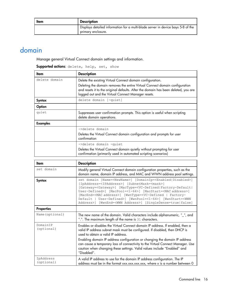| ltem | <b>Description</b>                                                                                     |
|------|--------------------------------------------------------------------------------------------------------|
|      | Displays detailed information for a multi-blade server in device bays 5-8 of the<br>primary enclosure. |

## <span id="page-15-0"></span>domain

Manage general Virtual Connect domain settings and information.

| <b>Supported actions</b> : delete, help, set, show |  |  |  |  |
|----------------------------------------------------|--|--|--|--|
|----------------------------------------------------|--|--|--|--|

| ltem            | <b>Description</b>                                                                                                                                                                                                      |  |
|-----------------|-------------------------------------------------------------------------------------------------------------------------------------------------------------------------------------------------------------------------|--|
| delete domain   | Delete the existing Virtual Connect domain configuration.                                                                                                                                                               |  |
|                 | Deleting the domain removes the entire Virtual Connect domain configuration<br>and resets it to the original defaults. After the domain has been deleted, you are<br>logged out and the Virtual Connect Manager resets. |  |
| Syntax          | delete domain [-quiet]                                                                                                                                                                                                  |  |
| Option          |                                                                                                                                                                                                                         |  |
| quiet           | Suppresses user confirmation prompts. This option is useful when scripting<br>delete domain operations.                                                                                                                 |  |
| <b>Examples</b> |                                                                                                                                                                                                                         |  |
|                 | ->delete domain                                                                                                                                                                                                         |  |
|                 | Deletes the Virtual Connect domain configuration and prompts for user<br>confirmation                                                                                                                                   |  |
|                 | ->delete domain -quiet                                                                                                                                                                                                  |  |
|                 | Deletes the Virtual Connect domain quietly without prompting for user<br>confirmation (primarily used in automated scripting scenarios)                                                                                 |  |

| ltem                    | <b>Description</b>                                                                                                                                                                                                                                                                                                                                                                                                                                                                                                                                                                              |
|-------------------------|-------------------------------------------------------------------------------------------------------------------------------------------------------------------------------------------------------------------------------------------------------------------------------------------------------------------------------------------------------------------------------------------------------------------------------------------------------------------------------------------------------------------------------------------------------------------------------------------------|
| set domain              | Modify general Virtual Connect domain configuration properties, such as the<br>domain name, domain IP address, and MAC and WWN address pool settings.                                                                                                                                                                                                                                                                                                                                                                                                                                           |
| Syntax                  | set domain [Name= <newname>] [DomainIp=<enabled disabled>]<br/>[IpAddress=<ipaddress>] [SubnetMask=<mask>]<br/>[Gateway=<gateway>] [MacType=<vc-defined factory-default <br>User-Defined&gt;] [MacPool=&lt;1-64&gt;] [MacStart=<mac address="">]<br/>[MacEnd=<mac address="">] [WwnType=<vc-defined factory-<br=""  ="">Default   User-Defined&gt;] [WwnPool=&lt;1-64&gt;] [WwnStart=<wwn<br>Address&gt;] [WwnEnd=<wwn address="">] [SingleDense=true false]</wwn></wwn<br></vc-defined></mac></mac></vc-defined factory-default <br></gateway></mask></ipaddress></enabled disabled></newname> |
| <b>Properties</b>       |                                                                                                                                                                                                                                                                                                                                                                                                                                                                                                                                                                                                 |
| Name (optional)         | The new name of the domain. Valid characters include alphanumeric, "_", and<br>".". The maximum length of the name is 31 characters.                                                                                                                                                                                                                                                                                                                                                                                                                                                            |
| DomainIP<br>(optional)  | Enables or disables the Virtual Connect domain IP address. If enabled, then a<br>valid IP address subnet mask must be configured. If disabled, then DHCP is<br>used to obtain a valid IP address.<br>Enabling domain IP address configuration or changing the domain IP address                                                                                                                                                                                                                                                                                                                 |
|                         | can cause a temporary loss of connectivity to the Virtual Connect Manager. Use<br>caution when changing these settings. Valid values include "Enabled" and<br>"Disabled".                                                                                                                                                                                                                                                                                                                                                                                                                       |
| IpAddress<br>(optional) | A valid IP address to use for the domain IP address configuration. The IP<br>address must be in the format xxx.xxx.xxx.xxx, where x is a number between 0                                                                                                                                                                                                                                                                                                                                                                                                                                       |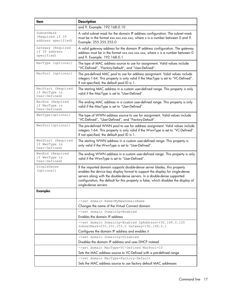| Item                                                 | <b>Description</b>                                                                                                                                                                                                                                                                                                                                      |  |
|------------------------------------------------------|---------------------------------------------------------------------------------------------------------------------------------------------------------------------------------------------------------------------------------------------------------------------------------------------------------------------------------------------------------|--|
|                                                      | and 9. Example: 192.168.0.10                                                                                                                                                                                                                                                                                                                            |  |
| SubnetMask<br>(Required if IP<br>address specified)  | A valid subnet mask for the domain IP address configuration. The subnet mask<br>must be in the format xxx.xxx.xxx.xxx, where x is a number between 0 and 9.<br>Example: 255.255.255.0                                                                                                                                                                   |  |
| Gateway (Required<br>if IP address<br>specified)     | A valid gateway address for the domain IP address configuration. The gateway<br>address must be in the format xxx.xxx.xxx.xxx, where x is a number between 0<br>and 9. Example: 192.168.0.1                                                                                                                                                             |  |
| MacType (optional)                                   | The type of MAC address source to use for assignment. Valid values include<br>"VC-Defined", "Factory-Default", and "User-Defined".                                                                                                                                                                                                                      |  |
| MacPool (optional)                                   | The pre-defined MAC pool to use for address assignment. Valid values include<br>integers 1-64. This property is only valid if the MacType is set to "VC-Defined".<br>If not specified, the default pool ID is 1.                                                                                                                                        |  |
| MacStart (Required<br>if MacType is<br>User-Defined) | The starting MAC address in a custom user-defined range. This property is only<br>valid if the MacType is set to "User-Defined".                                                                                                                                                                                                                        |  |
| MacEnd (Required<br>if MacType is<br>User-Defined)   | The ending MAC address in a custom user-defined range. This property is only<br>valid if the MacType is set to "User-Defined".                                                                                                                                                                                                                          |  |
| WwnType (optional)                                   | The type of WWN address source to use for assignment. Valid values include<br>"VC-Defined", "User-Defined", and "Factory-Default".                                                                                                                                                                                                                      |  |
| WwnPool(optional)                                    | The pre-defined WWN pool to use for address assignment. Valid values include<br>integers 1-64. This property is only valid if the WwnType is set to "VC-Defined".<br>If not specified, the default pool ID is 1.                                                                                                                                        |  |
| WwnStart (Required<br>if WwnType is<br>User-Defined) | The starting WWN address in a custom user-defined range. This property is<br>only valid if the WwnType is set to "User-Defined".                                                                                                                                                                                                                        |  |
| WwnEnd (Required<br>if WwnType is<br>User-Defined)   | The ending WWN address in a custom user-defined range. This property is only<br>valid if the WwnType is set to "User-Defined".                                                                                                                                                                                                                          |  |
| SingleDense<br>(optional)                            | If the imported domain supports double-dense server blades, this property<br>enables the device bay display format to support the display for single-dense<br>servers along with the double-dense servers. In a double-dense supported<br>configuration, the default for this property is false, which disables the display of<br>single-dense servers. |  |
| <b>Examples</b>                                      |                                                                                                                                                                                                                                                                                                                                                         |  |
|                                                      | ->set domain Name=MyNewDomainName                                                                                                                                                                                                                                                                                                                       |  |
|                                                      | Changes the name of the Virtual Connect domain                                                                                                                                                                                                                                                                                                          |  |
|                                                      | ->set domain DomainIp=Enabled<br>Enables the domain IP address                                                                                                                                                                                                                                                                                          |  |
|                                                      | ->set domain DomainIp=Enabled IpAddress=192.168.0.120                                                                                                                                                                                                                                                                                                   |  |
|                                                      | SubnetMask=255.255.255.0 Gateway=192.168.0.1                                                                                                                                                                                                                                                                                                            |  |
|                                                      | Configures the domain IP address and enables it                                                                                                                                                                                                                                                                                                         |  |
|                                                      | ->set domain DomainIp=Disabled<br>Disables the domain IP address and uses DHCP instead                                                                                                                                                                                                                                                                  |  |
|                                                      | ->set domain MacType=VC-Defined MacPool=10                                                                                                                                                                                                                                                                                                              |  |
|                                                      | Sets the MAC address source to VC-Defined with a pre-defined range                                                                                                                                                                                                                                                                                      |  |
|                                                      | ->set domain MacType=Factory-Default                                                                                                                                                                                                                                                                                                                    |  |
|                                                      | Sets the MAC address source to use factory default MAC addresses                                                                                                                                                                                                                                                                                        |  |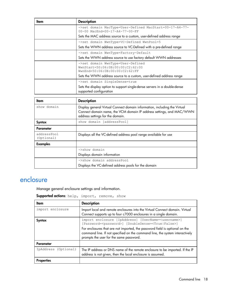| ltem | <b>Description</b>                                                                                      |
|------|---------------------------------------------------------------------------------------------------------|
|      | ->set domain MacType=User-Defined MacStart=00-17-A4-77-<br>00-00 MacEnd=00-17-A4-77-00-FF               |
|      | Sets the MAC address source to a custom, user-defined address range                                     |
|      | ->set domain WwnType=VC-Defined WwnPool=5                                                               |
|      | Sets the WWN address source to VC-Defined with a pre-defined range                                      |
|      | ->set domain WwnType=Factory-Default                                                                    |
|      | Sets the WWN address source to use factory default WWN addresses                                        |
|      | ->set domain WwnType=User-Defined<br>WwnStart=50:06:0B:00:00:C2:62:00<br>WwnEnd=50:06:0B:00:00:C2:62:FF |
|      | Sets the WWN address source to a custom, user-defined address range                                     |
|      | ->set domain SingleDense=true                                                                           |
|      | Sets the display option to support single-dense servers in a double-dense<br>supported configuration    |

| ltem                      | <b>Description</b>                                                                                                                                                                    |
|---------------------------|---------------------------------------------------------------------------------------------------------------------------------------------------------------------------------------|
| show domain               | Display general Virtual Connect domain information, including the Virtual<br>Connect domain name, the VCM domain IP address settings, and MAC/WWN<br>address settings for the domain. |
| <b>Syntax</b>             | show domain [addressPool]                                                                                                                                                             |
| Parameter                 |                                                                                                                                                                                       |
| addressPool<br>(Optional) | Displays all the VC-defined address pool range available for use                                                                                                                      |
| <b>Examples</b>           |                                                                                                                                                                                       |
|                           | $\rightarrow$ show domain                                                                                                                                                             |
|                           | Displays domain information                                                                                                                                                           |
|                           | ->show domain addressPool                                                                                                                                                             |
|                           | Displays the VC-defined address pools for the domain                                                                                                                                  |

### <span id="page-17-0"></span>enclosure

Manage general enclosure settings and information.

Supported actions: help, import, remove, show

| ltem                 | <b>Description</b>                                                                                                                                                                                     |
|----------------------|--------------------------------------------------------------------------------------------------------------------------------------------------------------------------------------------------------|
| import enclosure     | Import local and remote enclosures into the Virtual Connect domain. Virtual<br>Connect supports up to four c7000 enclosures in a single domain.                                                        |
| Syntax               | import enclosure [IpAddress] [UserName= <username>]<br/>[Password=<password>] [DoubleDense=<true false>]</true false></password></username>                                                            |
|                      | For enclosures that are not imported, the password field is optional on the<br>command line. If not specified on the command line, the system interactively<br>prompts the user for the same password. |
| Parameter            |                                                                                                                                                                                                        |
| IpAddress (Optional) | The IP address or DNS name of the remote enclosure to be imported. If the IP<br>address is not given, then the local enclosure is assumed.                                                             |
| <b>Properties</b>    |                                                                                                                                                                                                        |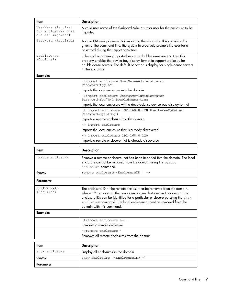| ltem                                                           | <b>Description</b>                                                                                                                                                                                                                                         |  |
|----------------------------------------------------------------|------------------------------------------------------------------------------------------------------------------------------------------------------------------------------------------------------------------------------------------------------------|--|
| UserName (Required<br>for enclosures that<br>are not imported) | A valid user name of the Onboard Administrator user for the enclosure to be<br>imported.                                                                                                                                                                   |  |
| Password (Required)                                            | A valid OA user password for importing the enclosure. If no password is<br>given at the command line, the system interactively prompts the user for a<br>password during the import operation.                                                             |  |
| DoubleDense<br>(Optional)                                      | If the enclosure being imported supports double-dense servers, then this<br>property enables the device bay display format to support a display for<br>double-dense servers. The default behavior is display for single-dense servers<br>in the enclosure. |  |
| <b>Examples</b>                                                |                                                                                                                                                                                                                                                            |  |
|                                                                | ->import enclosure UserName=Administrator<br>Password=fgq7h*1                                                                                                                                                                                              |  |
|                                                                | Imports the local enclosure into the domain                                                                                                                                                                                                                |  |
|                                                                | ->import enclosure UserName=Administrator<br>Password=fgg7h*1 DoubleDense=true                                                                                                                                                                             |  |
|                                                                | Imports the local enclosure with a double-dense device bay display format                                                                                                                                                                                  |  |
|                                                                | -> import enclosure 192.168.0.120 UserName=MyOaUser<br>Password=dgfsfdsjd                                                                                                                                                                                  |  |
|                                                                | Imports a remote enclosure into the domain                                                                                                                                                                                                                 |  |
|                                                                | -> import enclosure                                                                                                                                                                                                                                        |  |
|                                                                | Imports the local enclosure that is already discovered                                                                                                                                                                                                     |  |
|                                                                | -> import enclosure 192.168.0.120                                                                                                                                                                                                                          |  |
|                                                                | Imports a remote enclosure that is already discovered                                                                                                                                                                                                      |  |

| ltem                      | <b>Description</b>                                                                                                                                                                                                                                                                                                                     |  |
|---------------------------|----------------------------------------------------------------------------------------------------------------------------------------------------------------------------------------------------------------------------------------------------------------------------------------------------------------------------------------|--|
| remove enclosure          | Remove a remote enclosure that has been imported into the domain. The local<br>enclosure cannot be removed from the domain using the remove<br>enclosure command.                                                                                                                                                                      |  |
| Syntax                    | remove enclosure <enclosureid  <br=""><math>\star</math></enclosureid>                                                                                                                                                                                                                                                                 |  |
| Parameter                 |                                                                                                                                                                                                                                                                                                                                        |  |
| EnclosureID<br>(required) | The enclosure ID of the remote enclosure to be removed from the domain,<br>where "*" removes all the remote enclosures that exist in the domain. The<br>enclosure IDs can be identified for a particular enclosure by using the show<br>enclosure command. The local enclosure cannot be removed from the<br>domain with this command. |  |
| <b>Examples</b>           |                                                                                                                                                                                                                                                                                                                                        |  |
|                           | ->remove enclosure encl                                                                                                                                                                                                                                                                                                                |  |
|                           | Removes a remote enclosure                                                                                                                                                                                                                                                                                                             |  |
|                           | ->remove enclosure *                                                                                                                                                                                                                                                                                                                   |  |
|                           | Removes all remote enclosures from the domain                                                                                                                                                                                                                                                                                          |  |

| Item           | <b>Description</b>                              |
|----------------|-------------------------------------------------|
| show enclosure | Display all enclosures in the domain.           |
| Syntax         | show enclosure [ <enclosureid> *]</enclosureid> |
| Parameter      |                                                 |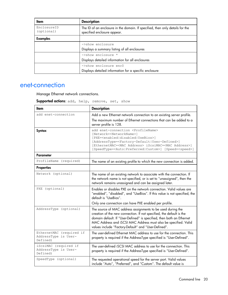| ltem                      | <b>Description</b>                                                                                           |
|---------------------------|--------------------------------------------------------------------------------------------------------------|
| EnclosureID<br>(optional) | The ID of an enclosure in the domain. If specified, then only details for the<br>specified enclosure appear. |
| <b>Examples</b>           |                                                                                                              |
|                           | ->show enclosure                                                                                             |
|                           | Displays a summary listing of all enclosures                                                                 |
|                           | ->show enclosure *                                                                                           |
|                           | Displays detailed information for all enclosures                                                             |
|                           | ->show enclosure enc0                                                                                        |
|                           | Displays detailed information for a specific enclosure                                                       |

### <span id="page-19-0"></span>enet-connection

r

Manage Ethernet network connections.

| Supported actions: add, help, remove, set, show |  |  |  |  |
|-------------------------------------------------|--|--|--|--|
|-------------------------------------------------|--|--|--|--|

| <b>Item</b>                                                  | <b>Description</b>                                                                                                                                                                                                                                                                                                                                                                                         |
|--------------------------------------------------------------|------------------------------------------------------------------------------------------------------------------------------------------------------------------------------------------------------------------------------------------------------------------------------------------------------------------------------------------------------------------------------------------------------------|
| add enet-connection                                          | Add a new Ethernet network connection to an existing server profile.                                                                                                                                                                                                                                                                                                                                       |
|                                                              | The maximum number of Ethernet connections that can be added to a<br>server profile is 128.                                                                                                                                                                                                                                                                                                                |
| Syntax                                                       | add enet-connection <profilename><br/>[Network=<networkname>]<br/>[PXE=<enabled disabled usebios>]<br/>[AddressType=<factory-default user-defined>]<br/>[EthernetMAC=<mac address=""> iScsiMAC=<mac address="">]<br/>[SpeedType=<auto preferred custom>] [Speed=<speed>]</speed></auto preferred custom></mac></mac></factory-default user-defined></enabled disabled usebios></networkname></profilename> |
| <b>Parameter</b>                                             |                                                                                                                                                                                                                                                                                                                                                                                                            |
| ProfileName (required)                                       | The name of an existing profile to which the new connection is added.                                                                                                                                                                                                                                                                                                                                      |
| <b>Properties</b>                                            |                                                                                                                                                                                                                                                                                                                                                                                                            |
| Network (optional)                                           | The name of an existing network to associate with the connection. If<br>the network name is not specified, or is set to "unassigned", then the<br>network remains unassigned and can be assigned later.                                                                                                                                                                                                    |
| PXE (optional)                                               | Enables or disables PXE on the network connection. Valid values are<br>"enabled", "disabled", and "UseBios". If this value is not specified, the<br>default is "UseBios".<br>Only one connection can have PXE enabled per profile.                                                                                                                                                                         |
| AddressType (optional)                                       | The source of MAC address assignments to be used during the<br>creation of the new connection. If not specified, the default is the<br>domain default. If "User-Defined" is specified, then both an Ethernet<br>MAC Address and iSCSI MAC Address must also be specified. Valid<br>values include "Factory-Default" and "User-Defined".                                                                    |
| EthernetMAC (required if<br>AddressType is User-<br>Defined) | The user-defined Ethernet MAC address to use for the connection. This<br>property is required if the AddressType specified is "User-Defined".                                                                                                                                                                                                                                                              |
| iScsiMAC (required if<br>AddressType is User-<br>Defined)    | The user-defined iSCSI MAC address to use for the connection. This<br>property is required if the AddressType specified is "User-Defined".                                                                                                                                                                                                                                                                 |
| SpeedType (optional)                                         | The requested operational speed for the server port. Valid values<br>include "Auto", "Preferred", and "Custom". The default value is                                                                                                                                                                                                                                                                       |

 $\blacksquare$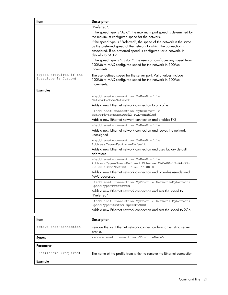| ltem                                            | <b>Description</b>                                                                                                                                                                                                                     |
|-------------------------------------------------|----------------------------------------------------------------------------------------------------------------------------------------------------------------------------------------------------------------------------------------|
|                                                 | "Preferred".                                                                                                                                                                                                                           |
|                                                 | If the speed type is "Auto", the maximum port speed is determined by<br>the maximum configured speed for the network.                                                                                                                  |
|                                                 | If the speed type is "Preferred", the speed of the network is the same<br>as the preferred speed of the network to which the connection is<br>associated. If no preferred speed is configured for a network, it<br>defaults to "Auto". |
|                                                 | If the speed type is "Custom", the user can configure any speed from<br>100Mb to MAX configured speed for the network in 100Mb<br>increments.                                                                                          |
| (Speed (required if the<br>SpeedType is Custom) | The user-defined speed for the server port. Valid values include<br>100Mb to MAX configured speed for the network in 100Mb<br>increments.                                                                                              |
| <b>Examples</b>                                 |                                                                                                                                                                                                                                        |
|                                                 | ->add enet-connection MyNewProfile<br>Network=SomeNetwork                                                                                                                                                                              |
|                                                 | Adds a new Ethernet network connection to a profile                                                                                                                                                                                    |
|                                                 | ->add enet-connection MyNewProfile<br>Network=SomeNetwork2 PXE=enabled                                                                                                                                                                 |
|                                                 | Adds a new Ethernet network connection and enables PXE                                                                                                                                                                                 |
|                                                 | ->add enet-connection MyNewProfile                                                                                                                                                                                                     |
|                                                 | Adds a new Ethernet network connection and leaves the network<br>unassigned                                                                                                                                                            |
|                                                 | ->add enet-connection MyNewProfile<br>AddressType=Factory-Default                                                                                                                                                                      |
|                                                 | Adds a new Ethernet network connection and uses factory default<br>addresses                                                                                                                                                           |
|                                                 | ->add enet-connection MyNewProfile<br>AddressType=User-Defined EthernetMAC=00-17-A4-77-<br>$00-00$ iScsiMAC=00-17-A4-77-00-01                                                                                                          |
|                                                 | Adds a new Ethernet network connection and provides user-defined<br>MAC addresses                                                                                                                                                      |
|                                                 | ->add enet-connection MyProfile Network=MyNetwork<br>SpeedType=Preferred                                                                                                                                                               |
|                                                 | Adds a new Ethernet network connection and sets the speed to<br>"Preferred"                                                                                                                                                            |
|                                                 | ->add enet-connection MyProfile Network=MyNetwork<br>SpeedType=Custom Speed=2000                                                                                                                                                       |
|                                                 | Adds a new Ethernet network connection and sets the speed to 2Gb                                                                                                                                                                       |
| Item                                            | <b>Description</b>                                                                                                                                                                                                                     |
| remove enet-connection                          | Remove the last Ethernet network connection from an existing server<br>profile.                                                                                                                                                        |
| Syntax                                          | remove enet-connection <profilename></profilename>                                                                                                                                                                                     |

ProfileName (required) The name of the profile from which to remove the Ethernet connection.

Parameter

Example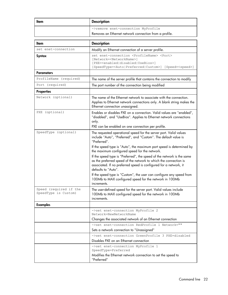| Item | <b>Description</b>                                     |
|------|--------------------------------------------------------|
|      | ->remove enet-connection MyProfile                     |
|      | Removes an Ethernet network connection from a profile. |

| ltem                                           | <b>Description</b>                                                                                                                                                                                                                                                                                                                                                                                                        |
|------------------------------------------------|---------------------------------------------------------------------------------------------------------------------------------------------------------------------------------------------------------------------------------------------------------------------------------------------------------------------------------------------------------------------------------------------------------------------------|
| set enet-connection                            | Modify an Ethernet connection of a server profile.                                                                                                                                                                                                                                                                                                                                                                        |
| <b>Syntax</b>                                  | set enet-connection <profilename> <port><br/>[Network=<networkname>]<br/>[PXE=<enabled disabled usebios>]<br/>[SpeedType=<auto preferred custom>] [Speed=<speed>]</speed></auto preferred custom></enabled disabled usebios></networkname></port></profilename>                                                                                                                                                           |
| <b>Parameters</b>                              |                                                                                                                                                                                                                                                                                                                                                                                                                           |
| ProfileName (required)                         | The name of the server profile that contains the connection to modify                                                                                                                                                                                                                                                                                                                                                     |
| Port (required)                                | The port number of the connection being modified                                                                                                                                                                                                                                                                                                                                                                          |
| <b>Properties</b>                              |                                                                                                                                                                                                                                                                                                                                                                                                                           |
| Network (optional)                             | The name of the Ethernet network to associate with the connection.<br>Applies to Ethernet network connections only. A blank string makes the<br>Ethernet connection unassigned.                                                                                                                                                                                                                                           |
| PXE (optional)                                 | Enables or disables PXE on a connection. Valid values are "enabled",<br>"disabled", and "UseBios". Applies to Ethernet network connections<br>only.<br>PXE can be enabled on one connection per profile.                                                                                                                                                                                                                  |
| SpeedType (optional)                           | The requested operational speed for the server port. Valid values<br>include "Auto", "Preferred", and "Custom". The default value is<br>"Preferred".<br>If the speed type is "Auto", the maximum port speed is determined by                                                                                                                                                                                              |
|                                                | the maximum configured speed for the network.<br>If the speed type is "Preferred", the speed of the network is the same<br>as the preferred speed of the network to which the connection is<br>associated. If no preferred speed is configured for a network, it<br>defaults to "Auto".<br>If the speed type is "Custom", the user can configure any speed from<br>100Mb to MAX configured speed for the network in 100Mb |
| Speed (required if the<br>SpeedType is Custom) | increments.<br>The user-defined speed for the server port. Valid values include<br>100Mb to MAX configured speed for the network in 100Mb<br>increments.                                                                                                                                                                                                                                                                  |
| <b>Examples</b>                                |                                                                                                                                                                                                                                                                                                                                                                                                                           |
|                                                | ->set enet-connection MyProfile 2<br>Network=NewNetworkName<br>Changes the associated network of an Ethernet connection                                                                                                                                                                                                                                                                                                   |
|                                                | ->set enet-connection RedProfile 1 Network=""<br>Sets a network connection to "Unassigned"                                                                                                                                                                                                                                                                                                                                |
|                                                | ->set enet-connection GreenProfile 3 PXE=disabled<br>Disables PXE on an Ethernet connection                                                                                                                                                                                                                                                                                                                               |
|                                                | ->set enet-connection MyProfile 1<br>SpeedType=Preferred<br>Modifies the Ethernet network connection to set the speed to<br>"Preferred"                                                                                                                                                                                                                                                                                   |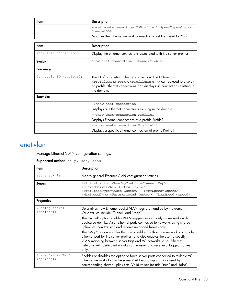| ltem                    | <b>Description</b>                                                                                                                                                                                                                                         |
|-------------------------|------------------------------------------------------------------------------------------------------------------------------------------------------------------------------------------------------------------------------------------------------------|
|                         | ->set enet-connection MyProfile 1 SpeedType=Custom<br>Speed=2000                                                                                                                                                                                           |
|                         | Modifies the Ethernet network connection to set the speed to 2Gb                                                                                                                                                                                           |
|                         |                                                                                                                                                                                                                                                            |
| ltem                    | <b>Description</b>                                                                                                                                                                                                                                         |
| show enet-connection    | Display the ethernet connections associated with the server profiles.                                                                                                                                                                                      |
| Syntax                  | show enet-connection [ <connectionid>]</connectionid>                                                                                                                                                                                                      |
| Parameter               |                                                                                                                                                                                                                                                            |
| ConnectionID (optional) | The ID of an existing Ethernet connection. The ID format is<br><profilename:port>.<profilename:*> can be used to display<br/>all profile Ethernet connections. "*" displays all connections existing in<br/>the domain.</profilename:*></profilename:port> |
| <b>Examples</b>         |                                                                                                                                                                                                                                                            |
|                         | $\rightarrow$ show enet-connection                                                                                                                                                                                                                         |
|                         | Displays all Ethernet connections existing in the domain                                                                                                                                                                                                   |
|                         | ->show enet-connection Profile1:*                                                                                                                                                                                                                          |
|                         | Displays Ethernet connections of a profile Profile 1                                                                                                                                                                                                       |
|                         | ->show enet-connection Profile1:1                                                                                                                                                                                                                          |
|                         | Displays a specific Ethernet connection of profile Profile 1                                                                                                                                                                                               |

### <span id="page-22-0"></span>enet-vlan

Manage Ethernet VLAN configuration settings.

| Supported actions: help, set, show |  |  |  |
|------------------------------------|--|--|--|
|------------------------------------|--|--|--|

| ltem                             | <b>Description</b>                                                                                                                                                                                                                                                                                                                                                                                                                                                                                                                                                                                                                                          |
|----------------------------------|-------------------------------------------------------------------------------------------------------------------------------------------------------------------------------------------------------------------------------------------------------------------------------------------------------------------------------------------------------------------------------------------------------------------------------------------------------------------------------------------------------------------------------------------------------------------------------------------------------------------------------------------------------------|
| set enet-vlan                    | Modify general Ethernet VLAN configuration settings.                                                                                                                                                                                                                                                                                                                                                                                                                                                                                                                                                                                                        |
| Syntax                           | set enet-vlan [VLanTagControl= <tunnel map>]<br/>[SharedServerVLanId=<true false>]<br/>[PrefSpeedType=<auto custom>] [PrefSpeed=<speed>]<br/>[MaxSpeedType=<unrestricted custom>] [MaxSpeed=<speed>]</speed></unrestricted custom></speed></auto custom></true false></tunnel map>                                                                                                                                                                                                                                                                                                                                                                          |
| <b>Properties</b>                |                                                                                                                                                                                                                                                                                                                                                                                                                                                                                                                                                                                                                                                             |
| VLanTagControl<br>(optional)     | Determines how Ethernet packet VLAN tags are handled by the domain.<br>Valid values include "Tunnel" and "Map".<br>The "tunnel" option enables VLAN tagging support only on networks with<br>dedicated uplinks. Also, Ethernet ports connected to networks using shared<br>uplink sets can transmit and receive untagged frames only.<br>The "Map" option enables the user to add more than one network to a single<br>Ethernet port for the server profiles, and also enables the user to specify<br>VLAN mapping between server tags and VC networks. Also, Ethernet<br>networks with dedicated uplinks can transmit and receive untagged frames<br>only. |
| SharedServerVLanId<br>(optional) | Enables or disables the option to force server ports connected to multiple VC<br>Ethernet networks to use the same VLAN mappings as those used by<br>corresponding shared uplink sets. Valid values include "true" and "false".                                                                                                                                                                                                                                                                                                                                                                                                                             |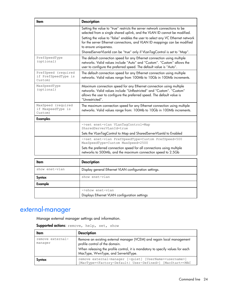| <b>Item</b>                                           | <b>Description</b>                                                                                                                                                                                                                                                                                                                                                                                                           |
|-------------------------------------------------------|------------------------------------------------------------------------------------------------------------------------------------------------------------------------------------------------------------------------------------------------------------------------------------------------------------------------------------------------------------------------------------------------------------------------------|
|                                                       | Setting the value to "true" restricts the server network connections to be<br>selected from a single shared uplink, and the VLAN ID cannot be modified.<br>Setting the value to "false" enables the user to select any VC Ethernet network<br>for the server Ethernet connections, and VLAN ID mappings can be modified<br>to ensure uniqueness.<br>SharedServerVLanId can be "true" only if VLanTagControl is set to "Map". |
| PrefSpeedType<br>(optional)                           | The default connection speed for any Ethernet connection using multiple<br>networks. Valid values include "Auto" and "Custom". "Custom" allows the<br>user to configure the preferred speed. The default value is "Auto".                                                                                                                                                                                                    |
| PrefSpeed (required<br>if PrefSpeedType is<br>Custom) | The default connection speed for any Ethernet connection using multiple<br>networks. Valid values range from 100Mb to 10Gb in 100Mb increments.                                                                                                                                                                                                                                                                              |
| MaxSpeedType<br>(optional)                            | Maximum connection speed for any Ethernet connection using multiple<br>networks. Valid values include "UnRestricted" and "Custom". "Custom"<br>allows the user to configure the preferred speed. The default value is<br>"Unrestricted".                                                                                                                                                                                     |
| MaxSpeed (required<br>if MaxpeedType is<br>Custom)    | The maximum connection speed for any Ethernet connection using multiple<br>networks. Valid values range from: 100Mb to 10Gb in 100Mb increments.                                                                                                                                                                                                                                                                             |
| <b>Examples</b>                                       |                                                                                                                                                                                                                                                                                                                                                                                                                              |
|                                                       | ->set enet-vlan VLanTaqControl=Map<br>SharedServerVLanId=true<br>Sets the VLanTagControl to Map and SharedServerVLanId to Enabled                                                                                                                                                                                                                                                                                            |
|                                                       | ->set enet-vlan PrefSpeedType=Custom PrefSpeed=500<br>MaxSpeedType=Custom MaxSpeed=2500<br>Sets the preferred connection speed for all connections using multiple<br>networks to 500Mb, and the maximum connection speed to 2.5Gb                                                                                                                                                                                            |
|                                                       |                                                                                                                                                                                                                                                                                                                                                                                                                              |

| ltem           | <b>Description</b>                                                |
|----------------|-------------------------------------------------------------------|
| show enet-ylan | Display general Ethernet VLAN configuration settings.             |
| Syntax         | show enet-vlan                                                    |
| Example        |                                                                   |
|                | ->show enet-vlan<br>Displays Ethernet VLAN configuration settings |

## <span id="page-23-0"></span>external-manager

Manage external manager settings and information.

| ltem                        | <b>Description</b>                                                                                                                                                                                                                |
|-----------------------------|-----------------------------------------------------------------------------------------------------------------------------------------------------------------------------------------------------------------------------------|
| remove external-<br>manager | Remove an existing external manager (VCEM) and regain local management<br>profile control of the domain.<br>When releasing the profile control, it is mandatory to specify values for each<br>MacType, WwnType, and ServerIdType. |
| Syntax                      | remove external-manager [-quiet] [UserName= <username>]<br/>[MacType=<factory-default  user-defined="">] [MacStart=<mac< td=""></mac<></factory-default ></username>                                                              |

Supported actions: remove, help, set, show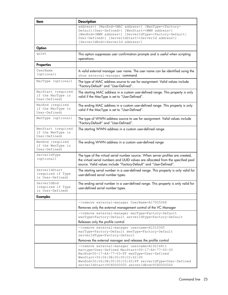| ltem                                                     | <b>Description</b>                                                                                                                                                                                                                                                                                                                                            |
|----------------------------------------------------------|---------------------------------------------------------------------------------------------------------------------------------------------------------------------------------------------------------------------------------------------------------------------------------------------------------------------------------------------------------------|
|                                                          | address>] [MacEnd= <mac address="">] [WwnType=<factory-<br>Default User-Defined&gt;] [WwnStart=<wwn address="">]<br/>[WwnEnd=<wwn address="">] [ServerIdType=<factory-default <br>User-Defined&gt;] [ServerIdStart=<serverid address="">]<br/>[ServerIdEnd=<serverid address="">]</serverid></serverid></factory-default <br></wwn></wwn></factory-<br></mac> |
| Option                                                   |                                                                                                                                                                                                                                                                                                                                                               |
| quiet                                                    | This option suppresses user confirmation prompts and is useful when scripting<br>operations.                                                                                                                                                                                                                                                                  |
| <b>Properties</b>                                        |                                                                                                                                                                                                                                                                                                                                                               |
| UserName<br>(optional)                                   | A valid external manager user name. The user name can be identified using the<br>show external-manager command.                                                                                                                                                                                                                                               |
| MacType (optional)                                       | The type of MAC address source to use for assignment. Valid values include<br>"Factory-Default" and "User-Defined".                                                                                                                                                                                                                                           |
| MacStart (required<br>if the MacType is<br>User-Defined) | The starting MAC address in a custom user-defined range. This property is only<br>valid if the MacType is set to "User-Defined".                                                                                                                                                                                                                              |
| MacEnd (required<br>if the MacType is<br>User-Defined)   | The ending MAC address in a custom user-defined range. This property is only<br>valid if the MacType is set to "User-Defined".                                                                                                                                                                                                                                |
| WwnType (optional)                                       | The type of WWN address source to use for assignment. Valid values include<br>"Factory-Default" and "User-Defined".                                                                                                                                                                                                                                           |
| WwnStart (required<br>if the WwnType is<br>User-Defined) | The starting WWN address in a custom user-defined range                                                                                                                                                                                                                                                                                                       |
| WwnEnd (required<br>if the WwnType is<br>User-Defined)   | The ending WWN address in a custom user-defined range                                                                                                                                                                                                                                                                                                         |
| ServerIdType<br>(optional)                               | The type of the virtual serial number source. When server profiles are created,<br>the virtual serial numbers and UUID values are allocated from the specified pool<br>source. Valid values include "Factory-Default" and "User-Defined".                                                                                                                     |
| ServerIdStart<br>(required if Type<br>is User-Defined)   | The starting serial number in a user-defined range. This property is only valid for<br>user-defined serial number types.                                                                                                                                                                                                                                      |
| ServerIdEnd<br>(required if Type<br>is User-Defined)     | The ending serial number in a user-defined range. This property is only valid for<br>user-defined serial number types.                                                                                                                                                                                                                                        |
| <b>Examples</b>                                          |                                                                                                                                                                                                                                                                                                                                                               |
|                                                          | ->remove external-manager UserName=A17005068                                                                                                                                                                                                                                                                                                                  |
|                                                          | Removes only the external management control of the VC Manager                                                                                                                                                                                                                                                                                                |
|                                                          | ->remove external-manager macType=Factory-Default<br>wwnType=Factory-Default serverIdType=Factory-Default<br>Releases only the profile control                                                                                                                                                                                                                |
|                                                          | ->remove external-manager username=A1010345                                                                                                                                                                                                                                                                                                                   |
|                                                          | macType=Factory-Default wwnType=Factory-Default<br>serverIdType=Factory-Default                                                                                                                                                                                                                                                                               |
|                                                          | Removes the external manager and releases the profile control                                                                                                                                                                                                                                                                                                 |
|                                                          | ->remove external-manager username=A19216811<br>mactype=User-Defined MacStart=00-17-A4-77-00-00<br>MacEnd=00-17-A4-77-03-FF wwnType=User-Defined<br>WwnStart=50:06:0B:00:00:C2:62:00<br>WwnEnd=50:06:0B:00:00:C2:65:FF serverIdType=User-Defined<br>serverIdStart=VCX0000000 serverIdEnd=VCX000002Z                                                           |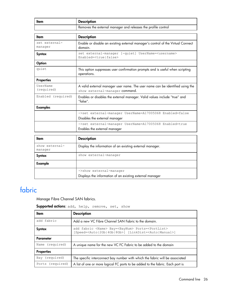| ltem | Description                                                   |
|------|---------------------------------------------------------------|
|      | Removes the external manager and releases the profile control |

| ltem                     | <b>Description</b>                                                                                              |
|--------------------------|-----------------------------------------------------------------------------------------------------------------|
| set external-<br>manager | Enable or disable an existing external manager's control of the Virtual Connect<br>domain.                      |
| Syntax                   | set external-manager [-quiet] UserName= <username><br/>Enabled=<true false></true false></username>             |
| Option                   |                                                                                                                 |
| quiet                    | This option suppresses user confirmation prompts and is useful when scripting<br>operations.                    |
| <b>Properties</b>        |                                                                                                                 |
| UserName<br>(required)   | A valid external manager user name. The user name can be identified using the<br>show external-manager command. |
| Enabled (required)       | Enables or disables the external manager. Valid values include "true" and<br>"false".                           |
| <b>Examples</b>          |                                                                                                                 |
|                          | ->set external-manager UserName=A17005068 Enabled=false                                                         |
|                          | Disables the external manager                                                                                   |
|                          | ->set external-manager UserName=A17005068 Enabled=true                                                          |
|                          | Enables the external manager                                                                                    |

| ltem                      | <b>Description</b>                                                                  |
|---------------------------|-------------------------------------------------------------------------------------|
| show external-<br>manager | Display the information of an existing external manager.                            |
| Syntax                    | show external-manager                                                               |
| Example                   |                                                                                     |
|                           | ->show external-manager<br>Displays the information of an existing external manager |

## <span id="page-25-0"></span>fabric

Manage Fibre Channel SAN fabrics.

#### Supported actions: add, help, remove, set, show

| ltem              | <b>Description</b>                                                                                                                                                  |
|-------------------|---------------------------------------------------------------------------------------------------------------------------------------------------------------------|
| add fabric        | Add a new VC Fibre Channel SAN Fabric to the domain.                                                                                                                |
| Syntax            | add fabric <name> Bay=<baynum> Ports=<portlist><br/>[Speed=<auto 2gb 4gb 8gb>] [LinkDist=<auto manual>]</auto manual></auto 2gb 4gb 8gb></portlist></baynum></name> |
| Parameter         |                                                                                                                                                                     |
| Name (required)   | A unique name for the new VC FC Fabric to be added to the domain                                                                                                    |
| <b>Properties</b> |                                                                                                                                                                     |
| Bay (required)    | The specific interconnect bay number with which the fabric will be associated                                                                                       |
| Ports (required)  | A list of one or more logical FC ports to be added to the fabric. Each port is                                                                                      |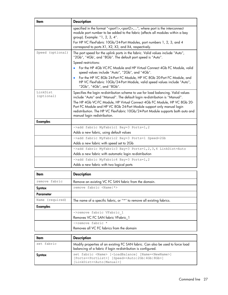| ltem                   | <b>Description</b>                                                                                                                                                                                                                                                                                                                                                                                                                        |
|------------------------|-------------------------------------------------------------------------------------------------------------------------------------------------------------------------------------------------------------------------------------------------------------------------------------------------------------------------------------------------------------------------------------------------------------------------------------------|
|                        | specified in the format " <port1>,<port2>,", where port is the interconnect<br/>module port number to be added to the fabric (affects all modules within a bay<br/>group). Example: "1, 2, 3, 4".<br/>For HP VC FlexFabric 10Gb/24-Port Modules, port numbers 1, 2, 3, and 4</port2></port1>                                                                                                                                              |
|                        | correspond to ports X1, X2, X3, and X4, respectively.                                                                                                                                                                                                                                                                                                                                                                                     |
| Speed (optional)       | The port speed for the uplink ports in the fabric. Valid values include "Auto",<br>"2Gb", "4Gb', and "8Gb". The default port speed is "Auto".                                                                                                                                                                                                                                                                                             |
|                        | Speed restrictions:                                                                                                                                                                                                                                                                                                                                                                                                                       |
|                        | • For the HP 4Gb VC-FC Module and HP Virtual Connect 4Gb FC Module, valid<br>speed values include "Auto", "2Gb", and "4Gb".                                                                                                                                                                                                                                                                                                               |
|                        | For the HP VC 8Gb 24-Port FC Module, HP VC 8Gb 20-Port FC Module, and<br>$\bullet$<br>HP VC FlexFabric 10Gb/24-Port Module, valid speed values include "Auto",<br>"2Gb", "4Gb", and "8Gb".                                                                                                                                                                                                                                                |
| LinkDist<br>(optional) | Specifies the login re-distribution scheme to use for load balancing. Valid values<br>include "Auto" and "Manual". The default login re-distribution is "Manual".<br>The HP 4Gb VC-FC Module, HP Virtual Connect 4Gb FC Module, HP VC 8Gb 20-<br>Port FC Module and HP VC 8Gb 24-Port Module support only manual login<br>redistribution. The HP VC FlexFabric 10Gb/24-Port Module supports both auto and<br>manual login redistribution. |
| <b>Examples</b>        |                                                                                                                                                                                                                                                                                                                                                                                                                                           |
|                        | ->add fabric MyFabric1 Bay=3 Ports=1,2                                                                                                                                                                                                                                                                                                                                                                                                    |
|                        | Adds a new fabric, using default values                                                                                                                                                                                                                                                                                                                                                                                                   |
|                        | ->add fabric MyFabric2 Bay=3 Ports=1 Speed=2Gb                                                                                                                                                                                                                                                                                                                                                                                            |
|                        | Adds a new fabric with speed set to 2Gb                                                                                                                                                                                                                                                                                                                                                                                                   |
|                        | ->add fabric MyFabric3 Bay=3 Ports=1, 2, 3, 4 LinkDist=Auto                                                                                                                                                                                                                                                                                                                                                                               |
|                        | Adds a new fabric with automatic login re-distribution                                                                                                                                                                                                                                                                                                                                                                                    |
|                        | ->add fabric MyFabric4 Bay=3 Ports=1,2                                                                                                                                                                                                                                                                                                                                                                                                    |
|                        | Adds a new fabric with two logical ports                                                                                                                                                                                                                                                                                                                                                                                                  |
|                        |                                                                                                                                                                                                                                                                                                                                                                                                                                           |
| <b>Item</b>            | <b>Description</b>                                                                                                                                                                                                                                                                                                                                                                                                                        |
| remove fabric          | Remove an existing VC FC SAN fabric from the domain.                                                                                                                                                                                                                                                                                                                                                                                      |
| Syntax                 | remove fabric <name  *=""></name>                                                                                                                                                                                                                                                                                                                                                                                                         |

|            | Removes all VC FC fabrics from the domain                                                                                                                                                     |
|------------|-----------------------------------------------------------------------------------------------------------------------------------------------------------------------------------------------|
| ltem       | <b>Description</b>                                                                                                                                                                            |
| set fabric | Modify properties of an existing FC SAN fabric. Can also be used to force load<br>balancing of a fabric if login re-distribution is configured.                                               |
| Syntax     | set fabric <name> [-LoadBalance] [Name=<newname>]<br/>[Ports=<portlist>] [Speed=<auto 2gb 4gb 8gb>]<br/>[LinkDist=<auto manual>]</auto manual></auto 2gb 4gb 8gb></portlist></newname></name> |

Name (required) The name of a specific fabric, or "\*" to remove all existing fabrics.

->remove fabric VFabric\_1 Removes VC FC SAN fabric VFabric\_1

->remove fabric \*

Parameter

Examples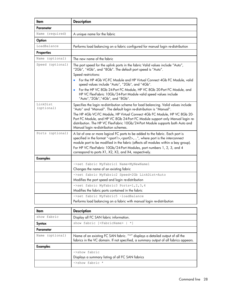| Item                   | <b>Description</b>                                                                                                                                                                                                                                                                                                                                                                                        |
|------------------------|-----------------------------------------------------------------------------------------------------------------------------------------------------------------------------------------------------------------------------------------------------------------------------------------------------------------------------------------------------------------------------------------------------------|
| <b>Parameter</b>       |                                                                                                                                                                                                                                                                                                                                                                                                           |
| Name (required)        | A unique name for the fabric                                                                                                                                                                                                                                                                                                                                                                              |
| Option                 |                                                                                                                                                                                                                                                                                                                                                                                                           |
| LoadBalance            | Performs load balancing on a fabric configured for manual login re-distribution                                                                                                                                                                                                                                                                                                                           |
| <b>Properties</b>      |                                                                                                                                                                                                                                                                                                                                                                                                           |
| Name (optional)        | The new name of the fabric                                                                                                                                                                                                                                                                                                                                                                                |
| Speed (optional)       | The port speed for the uplink ports in the fabric Valid values include "Auto",<br>"2Gb", "4Gb", and "8Gb". The default port speed is "Auto".                                                                                                                                                                                                                                                              |
|                        | Speed restrictions:                                                                                                                                                                                                                                                                                                                                                                                       |
|                        | For the HP 4Gb VC-FC Module and HP Virtual Connect 4Gb FC Module, valid<br>speed values include "Auto", "2Gb", and "4Gb".                                                                                                                                                                                                                                                                                 |
|                        | For the HP VC 8Gb 24-Port FC Module, HP VC 8Gb 20-Port FC Module, and<br>٠<br>HP VC FlexFabric 10Gb/24-Port Module valid speed values include<br>"Auto","2Gb","4Gb", and "8Gb".                                                                                                                                                                                                                           |
| LinkDist<br>(optional) | Specifies the login re-distribution scheme for load balancing. Valid values include<br>"Auto" and "Manual". The default login re-distribution is "Manual".<br>The HP 4Gb VC-FC Module, HP Virtual Connect 4Gb FC Module, HP VC 8Gb 20-                                                                                                                                                                    |
|                        | Port FC Module, and HP VC 8Gb 24-Port FC Module support only Manual login re-<br>distribution. The HP VC FlexFabric 10Gb/24-Port Module supports both Auto and<br>Manual login re-distribution schemes.                                                                                                                                                                                                   |
| Ports (optional)       | A list of one or more logical FC ports to be added to the fabric. Each port is<br>specified in the format " <port1>,<port2>,", where port is the interconnect<br/>module port to be modified in the fabric (affects all modules within a bay group).<br/>For HP VC FlexFabric 10Gb/24-Port Modules, port numbers 1, 2, 3, and 4<br/>correspond to ports X1, X2, X3, and X4, respectively.</port2></port1> |
| <b>Examples</b>        |                                                                                                                                                                                                                                                                                                                                                                                                           |
|                        | ->set fabric MyFabric1 Name=MyNewName1                                                                                                                                                                                                                                                                                                                                                                    |
|                        | Changes the name of an existing fabric                                                                                                                                                                                                                                                                                                                                                                    |
|                        | ->set fabric MyFabric2 Speed=2Gb LinkDist=Auto                                                                                                                                                                                                                                                                                                                                                            |
|                        | Modifies the port speed and login re-distribution                                                                                                                                                                                                                                                                                                                                                         |
|                        | ->set fabric MyFabric3 Ports=1, 2, 3, 4                                                                                                                                                                                                                                                                                                                                                                   |
|                        | Modifies the fabric ports contained in the fabric                                                                                                                                                                                                                                                                                                                                                         |
|                        | ->set fabric MyFabric5 -loadBalance                                                                                                                                                                                                                                                                                                                                                                       |
|                        | Performs load balancing on a fabric with manual login re-distribution                                                                                                                                                                                                                                                                                                                                     |
| Item                   | <b>Description</b>                                                                                                                                                                                                                                                                                                                                                                                        |

| ltem            | <b>Description</b>                                                                                                                                                   |
|-----------------|----------------------------------------------------------------------------------------------------------------------------------------------------------------------|
| show fabric     | Display all FC SAN fabric information.                                                                                                                               |
| Syntax          | show fabric [ <fabricname>   *]</fabricname>                                                                                                                         |
| Parameter       |                                                                                                                                                                      |
| Name (optional) | Name of an existing FC SAN fabric. "*" displays a detailed output of all the<br>fabrics in the VC domain. If not specified, a summary output of all fabrics appears. |
| <b>Examples</b> |                                                                                                                                                                      |
|                 | ->show fabric                                                                                                                                                        |
|                 | Displays a summary listing of all FC SAN fabrics                                                                                                                     |
|                 | $\rightarrow$ show fabric *                                                                                                                                          |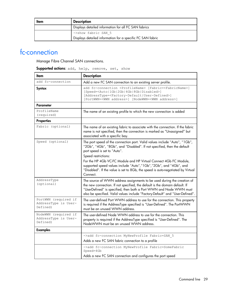| Item | <b>Description</b>                                         |
|------|------------------------------------------------------------|
|      | Displays detailed information for all FC SAN fabrics       |
|      | ->show fabric SAN 5                                        |
|      | Displays detailed information for a specific FC SAN fabric |

### <span id="page-28-0"></span>fc-connection

Manage Fibre Channel SAN connections.

| Supported actions: add, help, remove, set, show |  |  |  |  |
|-------------------------------------------------|--|--|--|--|
|-------------------------------------------------|--|--|--|--|

| ltem                                                     | <b>Description</b>                                                                                                                                                                                                                                                                                                                                                                                                                                    |  |
|----------------------------------------------------------|-------------------------------------------------------------------------------------------------------------------------------------------------------------------------------------------------------------------------------------------------------------------------------------------------------------------------------------------------------------------------------------------------------------------------------------------------------|--|
| add fc-connection                                        | Add a new FC SAN connection to an existing server profile.                                                                                                                                                                                                                                                                                                                                                                                            |  |
| Syntax                                                   | add fc-connection <profilename> [Fabric=<fabricname>]<br/>[Speed=<auto 1gb 2gb 4gb 8gb disabled>]<br/>[AddressType=<factory-default user-defined>]<br/>[PortWWN=<wwn address="">] [NodeWWN=<wwn address="">]</wwn></wwn></factory-default user-defined></auto 1gb 2gb 4gb 8gb disabled></fabricname></profilename>                                                                                                                                    |  |
| Parameter                                                |                                                                                                                                                                                                                                                                                                                                                                                                                                                       |  |
| ProfileName<br>(required)                                | The name of an existing profile to which the new connection is added                                                                                                                                                                                                                                                                                                                                                                                  |  |
| Properties                                               |                                                                                                                                                                                                                                                                                                                                                                                                                                                       |  |
| Fabric (optional)                                        | The name of an existing fabric to associate with the connection. If the fabric<br>name is not specified, then the connection is marked as "Unassigned" but<br>associated with a specific bay.                                                                                                                                                                                                                                                         |  |
| Speed (optional)                                         | The port speed of the connection port. Valid values include "Auto", "1Gb",<br>"2Gb", "4Gb", "8Gb", and "Disabled". If not specified, then the default<br>port speed is set to "Auto".<br>Speed restrictions:<br>For the HP 4Gb VC-FC Module and HP Virtual Connect 4Gb FC Module,<br>supported speed values include "Auto","1Gb","2Gb", and "4Gb", and<br>"Disabled". If the value is set to 8Gb, the speed is auto-negotiated by Virtual<br>Connect. |  |
| AddressType<br>(optional)                                | The source of WWN address assignments to be used during the creation of<br>the new connection. If not specified, the default is the domain default. If<br>"UserDefined" is specified, then both a Port WWN and Node WWN must<br>also be specified. Valid values include "Factory-Default" and "User-Defined".                                                                                                                                         |  |
| PortWWN (required if<br>AddressType is User-<br>Defined) | The user-defined Port WWN address to use for the connection. This property<br>is required if the AddressType specified is "User-Defined". The PortWWN<br>must be an unused WWN address.                                                                                                                                                                                                                                                               |  |
| NodeWWN (required if<br>AddressType is User-<br>Defined) | The user-defined Node WWN address to use for the connection. This<br>property is required if the AddressType specified is "User-Defined". The<br>NodeWWN must be an unused WWN address.                                                                                                                                                                                                                                                               |  |
| <b>Examples</b>                                          |                                                                                                                                                                                                                                                                                                                                                                                                                                                       |  |
|                                                          | ->add fc-connection MyNewProfile Fabric=SAN 5<br>Adds a new FC SAN fabric connection to a profile                                                                                                                                                                                                                                                                                                                                                     |  |
|                                                          | ->add fc-connection MyNewProfile Fabric=SomeFabric<br>Speed=4Gb                                                                                                                                                                                                                                                                                                                                                                                       |  |
|                                                          | Adds a new FC SAN connection and configures the port speed                                                                                                                                                                                                                                                                                                                                                                                            |  |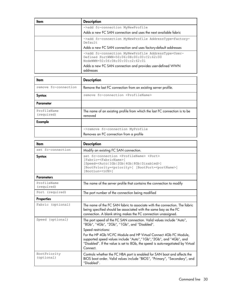| ltem | <b>Description</b>                                                                                                                                                                                          |
|------|-------------------------------------------------------------------------------------------------------------------------------------------------------------------------------------------------------------|
|      | ->add fc-connection MyNewProfile<br>Adds a new FC SAN connection and uses the next available fabric                                                                                                         |
|      | ->add fc-connection MyNewProfile AddressType=Factory-<br>Default.<br>Adds a new FC SAN connection and uses factory-default addresses                                                                        |
|      | ->add fc-connection MyNewProfile AddressType=User-<br>Defined PortWWN=50:06:0B:00:00:C2:62:00<br>NodeWWN=50:06:0B:00:00:c2:62:01<br>Adds a new FC SAN connection and provides user-defined WWN<br>addresses |

| ltem                      | <b>Description</b>                                                                    |
|---------------------------|---------------------------------------------------------------------------------------|
| remove fc-connection      | Remove the last FC connection from an existing server profile.                        |
| Syntax                    | remove fc-connection <profilename></profilename>                                      |
| Parameter                 |                                                                                       |
| ProfileName<br>(required) | The name of an existing profile from which the last FC connection is to be<br>removed |
| Example                   |                                                                                       |
|                           | ->remove fc-connection MyProfile<br>Removes an FC connection from a profile           |

| ltem                       | <b>Description</b>                                                                                                                                                                                                                                                                                                                                                                     |
|----------------------------|----------------------------------------------------------------------------------------------------------------------------------------------------------------------------------------------------------------------------------------------------------------------------------------------------------------------------------------------------------------------------------------|
| set fc-connection          | Modify an existing FC SAN connection.                                                                                                                                                                                                                                                                                                                                                  |
| Syntax                     | set fc-connection <profilename> <port><br/>[Fabric=<fabricname>]<br/>[Speed=<auto 1gb 2gb 4gb 8gb disabled>]<br/>[BootPriority=<priority>] [BootPort=<portname>]<br/>[BootLun=<lun>]</lun></portname></priority></auto 1gb 2gb 4gb 8gb disabled></fabricname></port></profilename>                                                                                                     |
| <b>Parameters</b>          |                                                                                                                                                                                                                                                                                                                                                                                        |
| ProfileName<br>(required)  | The name of the server profile that contains the connection to modify                                                                                                                                                                                                                                                                                                                  |
| Port (required)            | The port number of the connection being modified                                                                                                                                                                                                                                                                                                                                       |
| <b>Properties</b>          |                                                                                                                                                                                                                                                                                                                                                                                        |
| Fabric (optional)          | The name of the FC SAN fabric to associate with the connection. The fabric<br>being specified should be associated with the same bay as the FC<br>connection. A blank string makes the FC connection unassigned.                                                                                                                                                                       |
| Speed (optional)           | The port speed of the FC SAN connection. Valid values include "Auto",<br>"8Gb", "4Gb", "2Gb", "1Gb", and "Disabled".<br>Speed restrictions:<br>For the HP 4Gb VC-FC Module and HP Virtual Connect 4Gb FC Module,<br>supported speed values include "Auto", "1Gb", "2Gb", and "4Gb", and<br>"Disabled". If the value is set to 8Gb, the speed is auto-negotiated by Virtual<br>Connect. |
| BootPriority<br>(optional) | Controls whether the FC HBA port is enabled for SAN boot and affects the<br>BIOS boot order. Valid values include "BIOS", "Primary", "Secondary", and<br>"Disabled".                                                                                                                                                                                                                   |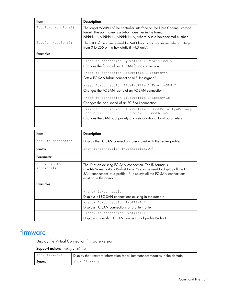| ltem                | <b>Description</b>                                                                                                                                                                                     |  |
|---------------------|--------------------------------------------------------------------------------------------------------------------------------------------------------------------------------------------------------|--|
| BootPort (optional) | The target WWPN of the controller interface on the Fibre Channel storage<br>target. The port name is a 64-bit identifier in the format<br>NN:NN:NN:NN:NN:NN:NN:NN:NN, where N is a hexadecimal number. |  |
| BootLun (optional)  | The LUN of the volume used for SAN boot. Valid values include an integer<br>from 0 to 255 or 16 hex digits (HP-UX only).                                                                               |  |
| <b>Examples</b>     |                                                                                                                                                                                                        |  |
|                     | ->set fc-connection MyProfile 1 Fabric=SAN 5<br>Changes the fabric of an FC SAN fabric connection                                                                                                      |  |
|                     | ->set fc-connection RedProfile 2 Fabric=""<br>Sets a FC SAN fabric connection to "Unassigned"                                                                                                          |  |
|                     | ->set fc-connection BlueProfile 1 Fabric=SAN 7<br>Changes the FC SAN fabric of an FC SAN connection                                                                                                    |  |
|                     | ->set fc-connection BlueProfile 1 Speed=4Gb<br>Changes the port speed of an FC SAN connection                                                                                                          |  |
|                     | ->set fc-connection BlueProfile 1 BootPriority=Primary<br>BootPort=50:06:0B:00:00:C2:62:00 BootLun=5<br>Changes the SAN boot priority and sets additional boot parameters                              |  |

| ltem                       | <b>Description</b>                                                                                                                                                                                                                                                          |
|----------------------------|-----------------------------------------------------------------------------------------------------------------------------------------------------------------------------------------------------------------------------------------------------------------------------|
| show fc-connection         | Display the FC SAN connections associated with the server profiles.                                                                                                                                                                                                         |
| Syntax                     | show fc-connection [ <connectionid>]</connectionid>                                                                                                                                                                                                                         |
| Parameter                  |                                                                                                                                                                                                                                                                             |
| ConnectionID<br>(optional) | The ID of an existing FC SAN connection. The ID format is<br><profilename:port>. <profilename:*> can be used to display all the FC<br/>SAN connections of a profile. '*' displays all the FC SAN connections<br/>existing in the domain.</profilename:*></profilename:port> |
| <b>Examples</b>            |                                                                                                                                                                                                                                                                             |
|                            | $\rightarrow$ show fc-connection                                                                                                                                                                                                                                            |
|                            | Displays all FC SAN connections existing in the domain                                                                                                                                                                                                                      |
|                            | ->show fc-connection Profile1:*                                                                                                                                                                                                                                             |
|                            | Displays FC SAN connections of profile Profile 1                                                                                                                                                                                                                            |
|                            | ->show fc-connection Profile1:1                                                                                                                                                                                                                                             |
|                            | Displays a specific FC SAN connection of profile Profile 1                                                                                                                                                                                                                  |

## <span id="page-30-0"></span>firmware

Display the Virtual Connection firmware version.

Support actions: help, show

| show firmware | Display the firmware information for all interconnect modules in the domain. |
|---------------|------------------------------------------------------------------------------|
| Syntax        | show firmware                                                                |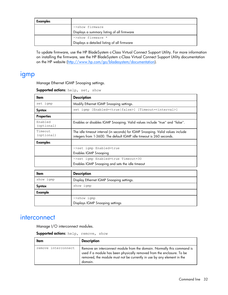| <b>Examples</b> |                                             |
|-----------------|---------------------------------------------|
|                 | ->show firmware                             |
|                 | Displays a summary listing of all firmware  |
|                 | ->show firmware *                           |
|                 | Displays a detailed listing of all firmware |

To update firmware, use the HP BladeSystem c-Class Virtual Connect Support Utility. For more information on installing the firmware, see the HP BladeSystem c-Class Virtual Connect Support Utility documentation on the HP website [\(http://www.hp.com/go/bladesystem/documentation\)](http://www.hp.com/go/bladesystem/documentation).

### <span id="page-31-0"></span>igmp

Manage Ethernet IGMP Snooping settings.

| Item                  | <b>Description</b>                                                                                                                                    |
|-----------------------|-------------------------------------------------------------------------------------------------------------------------------------------------------|
| set igmp              | Modify Ethernet IGMP Snooping settings.                                                                                                               |
| Syntax                | set igmp [Enabled= <true false>] [Timeout=<interval>]</interval></true false>                                                                         |
| <b>Properties</b>     |                                                                                                                                                       |
| Enabled<br>(optional) | Enables or disables IGMP Snooping. Valid values include "true" and "false".                                                                           |
| Timeout<br>(optional) | The idle timeout interval (in seconds) for IGMP Snooping. Valid values include<br>integers from 1-3600. The default IGMP idle timeout is 260 seconds. |
| <b>Examples</b>       |                                                                                                                                                       |
|                       | ->set igmp Enabled=true                                                                                                                               |
|                       | <b>Enables IGMP Snooping</b>                                                                                                                          |
|                       | ->set igmp Enabled=true Timeout=30                                                                                                                    |
|                       | Enables IGMP Snooping and sets the idle timeout                                                                                                       |
| ltem                  | <b>Description</b>                                                                                                                                    |
| show igmp             | Display Ethernet IGMP Snooping settings.                                                                                                              |
| Syntax                | show igmp                                                                                                                                             |
| Example               |                                                                                                                                                       |
|                       | $\rightarrow$ show igmp                                                                                                                               |
|                       | Displays IGMP Snooping settings                                                                                                                       |

Supported actions: help, set, show

### <span id="page-31-1"></span>**interconnect**

Manage I/O interconnect modules.

Supported actions: help, remove, show

| Item                | <b>Description</b>                                                                                                                                                                                                                     |
|---------------------|----------------------------------------------------------------------------------------------------------------------------------------------------------------------------------------------------------------------------------------|
| remove interconnect | Remove an interconnect module from the domain. Normally this command is<br>used if a module has been physically removed from the enclosure. To be<br>removed, the module must not be currently in use by any element in the<br>domain. |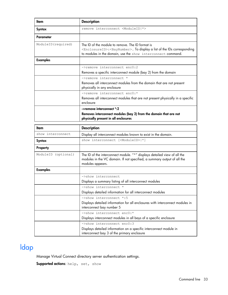| ltem                | <b>Description</b>                                                                                                                                                                                                   |
|---------------------|----------------------------------------------------------------------------------------------------------------------------------------------------------------------------------------------------------------------|
| Syntax              | remove interconnect <moduleid *></moduleid *>                                                                                                                                                                        |
| Parameter           |                                                                                                                                                                                                                      |
| ModuleID (required) | The ID of the module to remove. The ID format is<br><enclosureid>:<baynumber>. To display a list of the IDs corresponding<br/>to modules in the domain, use the show interconnect command.</baynumber></enclosureid> |
| <b>Examples</b>     |                                                                                                                                                                                                                      |
|                     | ->remove interconnect enc0:2<br>Removes a specific interconnect module (bay 2) from the domain                                                                                                                       |
|                     | ->remove interconnect *<br>Removes all interconnect modules from the domain that are not present<br>physically in any enclosure                                                                                      |
|                     | ->remove interconnect enc0:*<br>Removes all interconnect modules that are not present physically in a specific<br>enclosure                                                                                          |
|                     | ->remove interconnect *: 2<br>Removes interconnect modules (bay 2) from the domain that are not<br>physically present in all enclosures                                                                              |

| ltem                | <b>Description</b>                                                                                                                                                      |
|---------------------|-------------------------------------------------------------------------------------------------------------------------------------------------------------------------|
| show interconnect   | Display all interconnect modules known to exist in the domain.                                                                                                          |
| Syntax              | show interconnect [ <moduleid> *]</moduleid>                                                                                                                            |
| <b>Property</b>     |                                                                                                                                                                         |
| ModuleID (optional) | The ID of the interconnect module. "*" displays detailed view of all the<br>modules in the VC domain. If not specified, a summary output of all the<br>modules appears. |
| <b>Examples</b>     |                                                                                                                                                                         |
|                     | ->show interconnect                                                                                                                                                     |
|                     | Displays a summary listing of all interconnect modules                                                                                                                  |
|                     | ->show interconnect *                                                                                                                                                   |
|                     | Displays detailed information for all interconnect modules                                                                                                              |
|                     | ->show interconnect *: 5                                                                                                                                                |
|                     | Displays detailed information for all enclosures with interconnect modules in<br>interconnect bay number 5                                                              |
|                     | ->show interconnect enc0:*                                                                                                                                              |
|                     | Displays interconnect modules in all bays of a specific enclosure                                                                                                       |
|                     | ->show interconnect enc0:3                                                                                                                                              |
|                     | Displays detailed information on a specific interconnect module in<br>interconnect bay 3 of the primary enclosure                                                       |

# <span id="page-32-0"></span>ldap

Manage Virtual Connect directory server authentication settings.

Supported actions: help, set, show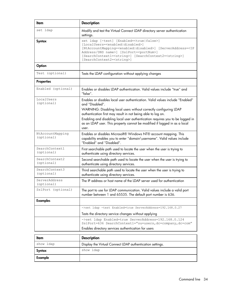| <b>Item</b>                    | <b>Description</b>                                                                                                                                                                                                                                                                                                                                                                                           |
|--------------------------------|--------------------------------------------------------------------------------------------------------------------------------------------------------------------------------------------------------------------------------------------------------------------------------------------------------------------------------------------------------------------------------------------------------------|
| set ldap                       | Modify and test the Virtual Connect LDAP directory server authentication<br>settings.                                                                                                                                                                                                                                                                                                                        |
| <b>Syntax</b>                  | set ldap [-test] [Enabled= <true false>]<br/>[LocalUsers=<enabled disabled>]<br/>[NtAccountMapping=<enabled disabled>] [ServerAddress=<ip<br>Address/DNS name&gt;] [SslPort=<portnum>]<br/>[SearchContext1=<string>] [SearchContext2=<string>]<br/>[SearchContext2=<string>]</string></string></string></portnum></ip<br></enabled disabled></enabled disabled></true false>                                 |
| Option                         |                                                                                                                                                                                                                                                                                                                                                                                                              |
| Test (optional)                | Tests the LDAP configuration without applying changes                                                                                                                                                                                                                                                                                                                                                        |
| <b>Properties</b>              |                                                                                                                                                                                                                                                                                                                                                                                                              |
| Enabled (optional)             | Enables or disables LDAP authentication. Valid values include "true" and<br>"false".                                                                                                                                                                                                                                                                                                                         |
| LocalUsers<br>(optional)       | Enables or disables local user authentication. Valid values include "Enabled"<br>and "Disabled".<br>WARNING: Disabling local users without correctly configuring LDAP<br>authentication first may result in not being able to log on.<br>Enabling and disabling local user authentication requires you to be logged in<br>as an LDAP user. This property cannot be modified if logged in as a local<br>user. |
| NtAccountMapping<br>(optional) | Enables or disables Microsoft® Windows NT® account mapping. This<br>capability enables you to enter "domain\username". Valid values include<br>"Enabled" and "Disabled".                                                                                                                                                                                                                                     |
| SearchContext1<br>(optional)   | First searchable path used to locate the user when the user is trying to<br>authenticate using directory services.                                                                                                                                                                                                                                                                                           |
| SearchContext2<br>(optional)   | Second searchable path used to locate the user when the user is trying to<br>authenticate using directory services.                                                                                                                                                                                                                                                                                          |
| SearchContext3<br>(optional)   | Third searchable path used to locate the user when the user is trying to<br>authenticate using directory services.                                                                                                                                                                                                                                                                                           |
| ServerAddress<br>(optional)    | The IP address or host name of the LDAP server used for authentication                                                                                                                                                                                                                                                                                                                                       |
| SslPort (optional)             | The port to use for LDAP communication. Valid values include a valid port<br>number between 1 and 65535. The default port number is 636.                                                                                                                                                                                                                                                                     |
| <b>Examples</b>                |                                                                                                                                                                                                                                                                                                                                                                                                              |
|                                | ->set ldap -test Enabled=true ServerAddress=192.168.0.27                                                                                                                                                                                                                                                                                                                                                     |
|                                | Tests the directory service changes without applying                                                                                                                                                                                                                                                                                                                                                         |
|                                | ->set ldap Enabled=true ServerAddress=192.168.0.124<br>SslPort=636 SearchContext1="ou=users, dc=company, dc=com"<br>Enables directory services authentication for users                                                                                                                                                                                                                                      |
|                                |                                                                                                                                                                                                                                                                                                                                                                                                              |

| Item      | <b>Description</b>                                        |
|-----------|-----------------------------------------------------------|
| show ldap | Display the Virtual Connect LDAP authentication settings. |
| Syntax    | show ldap                                                 |
| Example   |                                                           |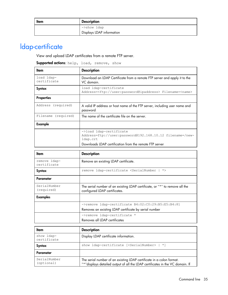| ltem | <b>Description</b>        |
|------|---------------------------|
|      | ->show ldap               |
|      | Displays LDAP information |

# <span id="page-34-0"></span>ldap-certificate

View and upload LDAP certificates from a remote FTP server.

#### Supported actions: help, load, remove, show

| ltem                      | <b>Description</b>                                                                               |
|---------------------------|--------------------------------------------------------------------------------------------------|
| load ldap-<br>certificate | Download an LDAP Certificate from a remote FTP server and apply it to the<br>VC domain.          |
| Syntax                    | load ldap-certificate<br>Address= <ftp: user:password@ipaddress="">Filename=<name></name></ftp:> |
| <b>Properties</b>         |                                                                                                  |
| Address (required)        | A valid IP address or host name of the FTP server, including user name and<br>password           |
| Filename (required)       | The name of the certificate file on the server.                                                  |
| Example                   |                                                                                                  |
|                           | ->load ldap-certificate<br>Address=ftp://user:password@192.168.10.12 filename=/new-<br>ldap.crt  |
|                           | Downloads LDAP certification from the remote FTP server                                          |

| ltem                        | <b>Description</b>                                                                                           |
|-----------------------------|--------------------------------------------------------------------------------------------------------------|
| remove ldap-<br>certificate | Remove an existing LDAP certificate.                                                                         |
| Syntax                      | remove ldap-certificate <serialnumber<br><math>^{\star}</math></serialnumber<br>                             |
| Parameter                   |                                                                                                              |
| SerialNumber<br>(required)  | The serial number of an existing LDAP certificate, or "*" to remove all the<br>configured LDAP certificates. |
| <b>Examples</b>             |                                                                                                              |
|                             | ->remove ldap-certificate B4:02:C0:29:B5:E5:B4:81<br>Removes an existing LDAP certificate by serial number   |
|                             | ->remove ldap-certificate *<br>Removes all IDAP certificates                                                 |

| ltem                       | <b>Description</b>                                                                                                                                    |
|----------------------------|-------------------------------------------------------------------------------------------------------------------------------------------------------|
| show ldap-<br>certificate  | Display LDAP certificate information.                                                                                                                 |
| Syntax                     | show ldap-certificate [ <serialnumber>   *]</serialnumber>                                                                                            |
| Parameter                  |                                                                                                                                                       |
| SerialNumber<br>(optional) | The serial number of an existing LDAP certificate in a colon format.<br>"*"displays detailed output of all the LDAP certificates in the VC domain. If |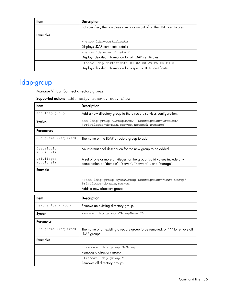| ltem     | <b>Description</b>                                                        |
|----------|---------------------------------------------------------------------------|
|          | not specified, then displays summary output of all the LDAP certificates. |
| Examples |                                                                           |
|          | ->show ldap-certificate                                                   |
|          | Displays LDAP certificate details                                         |
|          | ->show ldap-cerificate *                                                  |
|          | Displays detailed information for all LDAP certificates                   |
|          | ->show ldap-certificate B4:02:C0:29:B5:E5:B4:81                           |
|          | Displays detailed information for a specific LDAP certificate             |

# <span id="page-35-0"></span>ldap-group

Manage Virtual Connect directory groups.

Supported actions: add, help, remove, set, show

| Item                      | <b>Description</b>                                                                                                                      |
|---------------------------|-----------------------------------------------------------------------------------------------------------------------------------------|
| add ldap-group            | Add a new directory group to the directory services configuration.                                                                      |
| Syntax                    | add ldap-group <groupname> [Description=<string>]<br/>[Privileges=domain, server, network, storage]</string></groupname>                |
| <b>Parameters</b>         |                                                                                                                                         |
| GroupName (required)      | The name of the LDAP directory group to add                                                                                             |
| Description<br>(optional) | An informational description for the new group to be added                                                                              |
| Privileges<br>(optional)  | A set of one or more privileges for the group. Valid values include any<br>combination of "domain", "server", "network", and "storage". |
| Example                   |                                                                                                                                         |
|                           | ->add ldap-group MyNewGroup Description="Test Group"<br>Privileges=domain, server                                                       |
|                           | Adds a new directory group                                                                                                              |
| ltem                      | <b>Description</b>                                                                                                                      |

| ltem                 | <b>Description</b>                                                                         |
|----------------------|--------------------------------------------------------------------------------------------|
| remove ldap-group    | Remove an existing directory group.                                                        |
| Syntax               | remove ldap-group <groupname  *=""></groupname>                                            |
| Parameter            |                                                                                            |
| GroupName (required) | The name of an existing directory group to be removed, or "*" to remove all<br>LDAP groups |
| <b>Examples</b>      |                                                                                            |
|                      | ->remove ldap-group MyGroup                                                                |
|                      | Removes a directory group                                                                  |
|                      | ->remove ldap-group *                                                                      |
|                      | Removes all directory groups                                                               |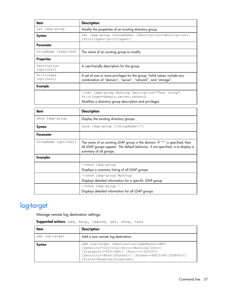| ltem                      | <b>Description</b>                                                                                                                      |
|---------------------------|-----------------------------------------------------------------------------------------------------------------------------------------|
| set ldap-group            | Modify the properties of an existing directory group.                                                                                   |
| Syntax                    | set ldap-group <groupname> [Description=<description>]<br/>[Privileges=<privileges>]</privileges></description></groupname>             |
| Parameter                 |                                                                                                                                         |
| GroupName (required)      | The name of an existing group to modify                                                                                                 |
| <b>Properties</b>         |                                                                                                                                         |
| Description<br>(optional) | A user-friendly description for the group                                                                                               |
| Privileges<br>(optional)  | A set of one or more privileges for the group. Valid values include any<br>combination of "domain", "server", "network", and "storage". |
| Example                   |                                                                                                                                         |
|                           | ->set ldap-group MyGroup Description="Test Group"<br>Privileges=domain, server, network                                                 |
|                           | Modifies a directory group description and privileges                                                                                   |

| ltem                 | <b>Description</b>                                                                                                                                                                       |  |  |
|----------------------|------------------------------------------------------------------------------------------------------------------------------------------------------------------------------------------|--|--|
| show ldap-group      | Display the existing directory groups.                                                                                                                                                   |  |  |
| Syntax               | show ldap-group [ <groupname> *]</groupname>                                                                                                                                             |  |  |
| Parameter            |                                                                                                                                                                                          |  |  |
| GroupName (optional) | The name of an existing LDAP group in the domain. If "*" is specified, then<br>all LDAP groups appear. The default behavior, if not specified, is to display a<br>summary of all groups. |  |  |
| <b>Examples</b>      |                                                                                                                                                                                          |  |  |
|                      | ->show ldap-group                                                                                                                                                                        |  |  |
|                      | Displays a summary listing of all LDAP groups                                                                                                                                            |  |  |
|                      | ->show ldap-group MyGroup                                                                                                                                                                |  |  |
|                      | Displays detailed information for a specific LDAP group                                                                                                                                  |  |  |
|                      | ->show ldap-group *                                                                                                                                                                      |  |  |
|                      | Displays detailed information for all LDAP groups                                                                                                                                        |  |  |

# <span id="page-36-0"></span>log-target

Manage remote log destination settings.

| Supported actions: add, help, remove, set, show, test |  |  |  |  |  |
|-------------------------------------------------------|--|--|--|--|--|
|-------------------------------------------------------|--|--|--|--|--|

| Item           | <b>Description</b>                                                                                                                                                                                                                                                                                                                                       |  |  |  |
|----------------|----------------------------------------------------------------------------------------------------------------------------------------------------------------------------------------------------------------------------------------------------------------------------------------------------------------------------------------------------------|--|--|--|
| add log-target | Add a new remote log destination.                                                                                                                                                                                                                                                                                                                        |  |  |  |
| Syntax         | add log-target <destination=ipaddress dns><br/>[Severity=<critical error warning info>]<br/>[Transport=<tcp udp>] [Port=&lt;1-65535&gt;]<br/>[Security=<none stunnel>] [Format=<rfc3164 iso8601>]<br/>[State=<enabled disabled>]</enabled disabled></rfc3164 iso8601></none stunnel></tcp udp></critical error warning info></destination=ipaddress dns> |  |  |  |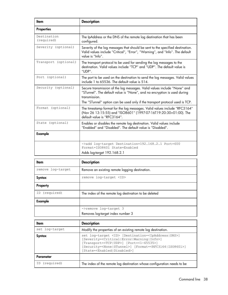| ltem                      | <b>Description</b>                                                                                                                                                                                                                                    |
|---------------------------|-------------------------------------------------------------------------------------------------------------------------------------------------------------------------------------------------------------------------------------------------------|
| <b>Properties</b>         |                                                                                                                                                                                                                                                       |
| Destination<br>(required) | The IpAddress or the DNS of the remote log destination that has been<br>configured.                                                                                                                                                                   |
| Severity (optional)       | Severity of the log messages that should be sent to the specified destination.<br>Valid values include "Critical", "Error", "Warning", and "Info". The default<br>value is "Info".                                                                    |
| Transport (optional)      | The transport protocol to be used for sending the log messages to the<br>destination. Valid values include "TCP" and "UDP". The default value is<br>"UDP".                                                                                            |
| Port (optional)           | The port to be used on the destination to send the log messages. Valid values<br>include 1 to 65536. The default value is 514.                                                                                                                        |
| Security (optional)       | Secure transmission of the log messages. Valid values include "None" and<br>"STunnel". The default value is "None", and no encryption is used during<br>transmission.<br>The "STunnel" option can be used only if the transport protocol used is TCP. |
| Format (optional)         | The timestamp format for the log messages. Valid values include "RFC3164"<br>(Nov 26 13:15:55) and "ISO8601" (1997-07-16T19:20:30+01:00). The<br>default value is "RFC3164".                                                                          |
| State (optional)          | Enables or disables the remote log destination. Valid values include<br>"Enabled" and "Disabled". The default value is "Disabled".                                                                                                                    |
| <b>Example</b>            |                                                                                                                                                                                                                                                       |
|                           | ->add log-target Destination=192.168.2.1 Port=600<br>Format=ISO8601 State=Enabled<br>Adds log-target 192.168.2.1                                                                                                                                      |

| ltem              | <b>Description</b>                                    |
|-------------------|-------------------------------------------------------|
| remove log-target | Remove an existing remote logging destination.        |
| <b>Syntax</b>     | remove log-target <id></id>                           |
| Property          |                                                       |
| (required)<br>ID  | The index of the remote log destination to be deleted |
| Example           |                                                       |
|                   | ->remove log-target 3                                 |
|                   | Removes log-target index number 3                     |

| ltem           | <b>Description</b>                                                                                                                                                                                                                                                                                                                                       |  |  |
|----------------|----------------------------------------------------------------------------------------------------------------------------------------------------------------------------------------------------------------------------------------------------------------------------------------------------------------------------------------------------------|--|--|
| set log-target | Modify the properties of an existing remote log destination.                                                                                                                                                                                                                                                                                             |  |  |
| Syntax         | set log-target <id> [Destination=<ipaddress dns>]<br/>[Severity=<critical error warning info>]<br/>[Transport=<tcp udp>] [Port=&lt;1-65535&gt;]<br/>[Security=<none stunnel>] [Format=<rfc3164 iso8601>]<br/>[State=<enabled disabled>]</enabled disabled></rfc3164 iso8601></none stunnel></tcp udp></critical error warning info></ipaddress dns></id> |  |  |
| Parameter      |                                                                                                                                                                                                                                                                                                                                                          |  |  |
| (required)     | The index of the remote log destination whose configuration needs to be                                                                                                                                                                                                                                                                                  |  |  |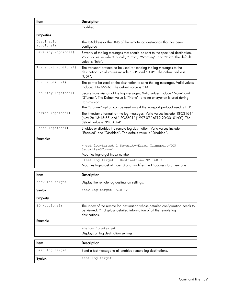| ltem                      | <b>Description</b>                                                                                                                                                                                                                                    |
|---------------------------|-------------------------------------------------------------------------------------------------------------------------------------------------------------------------------------------------------------------------------------------------------|
|                           | modified                                                                                                                                                                                                                                              |
| <b>Properties</b>         |                                                                                                                                                                                                                                                       |
| Destination<br>(optional) | The IpAddress or the DNS of the remote log destination that has been<br>configured                                                                                                                                                                    |
| Severity (optional)       | Severity of the log messages that should be sent to the specified destination.<br>Valid values include "Critical", "Error", "Warning", and "Info". The default<br>value is "Info".                                                                    |
| Transport (optional)      | The transport protocol to be used for sending the log messages to the<br>destination. Valid values include "TCP" and "UDP". The default value is<br>"UDP".                                                                                            |
| Port (optional)           | The port to be used on the destination to send the log messages. Valid values<br>include: 1 to 65536. The default value is 514.                                                                                                                       |
| Security (optional)       | Secure transmission of the log messages. Valid values include "None" and<br>"STunnel". The Default value is "None", and no encryption is used during<br>transmission.<br>The "STunnel" option can be used only if the transport protocol used is TCP. |
| Format (optional)         | The timestamp format for the log messages. Valid values include "RFC3164"<br>(Nov 26 13:15:55) and "ISO8601" (1997-07-16T19:20:30+01:00). The<br>default value is "RFC3164".                                                                          |
| State (optional)          | Enables or disables the remote log destination. Valid values include<br>"Enabled" and "Disabled". The default value is "Disabled".                                                                                                                    |
| <b>Examples</b>           |                                                                                                                                                                                                                                                       |
|                           | ->set log-target 1 Severity=Error Transport=TCP<br>Security=STunnel<br>Modifies log-target index number 1                                                                                                                                             |
|                           | ->set log-target 1 Destination=192.168.3.1                                                                                                                                                                                                            |
|                           | Modifies log-target at index 3 and modifies the IP address to a new one                                                                                                                                                                               |

| ltem             | <b>Description</b>                                                                                                                                                   |
|------------------|----------------------------------------------------------------------------------------------------------------------------------------------------------------------|
| show lot-target  | Display the remote log destination settings.                                                                                                                         |
| Syntax           | show log-target $[\langle ID *>]$                                                                                                                                    |
| Property         |                                                                                                                                                                      |
| (optional)<br>ID | The index of the remote log destination whose detailed configuration needs to<br>be viewed. '*' displays detailed information of all the remote log<br>destinations. |
| Example          |                                                                                                                                                                      |
|                  | ->show log-target                                                                                                                                                    |
|                  | Displays all log destination settings                                                                                                                                |
|                  |                                                                                                                                                                      |

| Item            | <b>Description</b>                                          |
|-----------------|-------------------------------------------------------------|
| test log-target | Send a test message to all enabled remote log destinations. |
| Syntax          | test log-target                                             |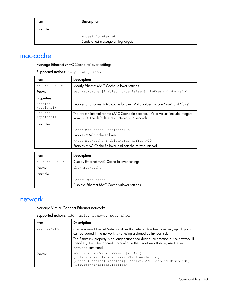| Item    | <b>Description</b>                   |  |  |
|---------|--------------------------------------|--|--|
| Example |                                      |  |  |
|         | ->test log-target                    |  |  |
|         | Sends a test message all log-targets |  |  |

## mac-cache

Manage Ethernet MAC Cache failover settings.

| <b>Supported actions:</b> help, set, show |  |  |  |
|-------------------------------------------|--|--|--|
|-------------------------------------------|--|--|--|

| ltem                  | <b>Description</b>                                                                                                                          |
|-----------------------|---------------------------------------------------------------------------------------------------------------------------------------------|
| set mac-cache         | Modify Ethernet MAC Cache failover settings.                                                                                                |
| Syntax                | set mac-cache [Enabled= <true false>] [Refresh=<interval>]</interval></true false>                                                          |
| <b>Properties</b>     |                                                                                                                                             |
| Enabled<br>(optional) | Enables or disables MAC cache failover. Valid values include "true" and "false".                                                            |
| Refresh<br>(optional) | The refresh interval for the MAC Cache (in seconds). Valid values include integers<br>from 1-30. The default refresh interval is 5 seconds. |
| <b>Examples</b>       |                                                                                                                                             |
|                       | ->set mac-cache Enabled=true                                                                                                                |
|                       | Enables MAC Cache Failover                                                                                                                  |
|                       | ->set mac-cache Enabled=true Refresh=10                                                                                                     |
|                       | Enables MAC Cache Failover and sets the refresh interval                                                                                    |
|                       |                                                                                                                                             |
| ltem                  | <b>Description</b>                                                                                                                          |
| show mac-cache        | Display Ethernet MAC Cache failover settings.                                                                                               |
| Syntax                | show mac-cache                                                                                                                              |
| Example               |                                                                                                                                             |

### network

Manage Virtual Connect Ethernet networks.

| <b>Supported actions</b> : add, help, remove, set, show |  |  |  |  |  |
|---------------------------------------------------------|--|--|--|--|--|
|---------------------------------------------------------|--|--|--|--|--|

->show mac-cache

Displays Ethernet MAC Cache failover settings

| ltem        | <b>Description</b>                                                                                                                                                                                                                                                                 |
|-------------|------------------------------------------------------------------------------------------------------------------------------------------------------------------------------------------------------------------------------------------------------------------------------------|
| add network | Create a new Ethernet Network. After the network has been created, uplink ports<br>can be added if the network is not using a shared uplink port set.                                                                                                                              |
|             | The SmartLink property is no longer supported during the creation of the network. If<br>specified, it will be ignored. To configure the SmartLink attribute, use the set<br>network command.                                                                                       |
| Syntax      | add network <networkname> [-quiet]<br/>[UplinkSet=<uplinksetname> VLanID=<vlanid>]<br/>[State=<enabled disabled>] [NativeVLAN=<enabled disabled>]<br/>[Private=<enabled disabled>]</enabled disabled></enabled disabled></enabled disabled></vlanid></uplinksetname></networkname> |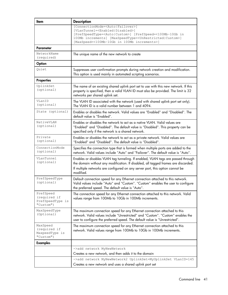| Item                                                       | <b>Description</b>                                                                                                                                                                                                                                                                                                           |
|------------------------------------------------------------|------------------------------------------------------------------------------------------------------------------------------------------------------------------------------------------------------------------------------------------------------------------------------------------------------------------------------|
|                                                            | [ConnectionMode= <auto failover>]<br/>[VLanTunnel=<enabled disabled>]<br/>[PrefSpeedType=<auto custom>] [PrefSpeed=&lt;100Mb-10Gb in<br/>100Mb increments] [MaxSpeedType=<unrestricted custom>]<br/>[MaxSpeed=&lt;100Mb-10Gb in 100Mb increments&gt;]</unrestricted custom></auto custom></enabled disabled></auto failover> |
| <b>Parameter</b>                                           |                                                                                                                                                                                                                                                                                                                              |
| NetworkName<br>(required)                                  | The unique name of the new network to create                                                                                                                                                                                                                                                                                 |
| Option                                                     |                                                                                                                                                                                                                                                                                                                              |
| Quiet                                                      | Suppresses user confirmation prompts during network creation and modification.<br>This option is used mainly in automated scripting scenarios.                                                                                                                                                                               |
| <b>Properties</b>                                          |                                                                                                                                                                                                                                                                                                                              |
| UplinkSet<br>(optional)                                    | The name of an existing shared uplink port set to use with this new network. If this<br>property is specified, then a valid VLAN ID must also be provided. The limit is 32<br>networks per shared uplink set.                                                                                                                |
| VLanID<br>(optional)                                       | The VLAN ID associated with the network (used with shared uplink port set only).<br>The VLAN ID is a valid number between 1 and 4094.                                                                                                                                                                                        |
| State (optional)                                           | Enables or disables the network. Valid values are "Enabled" and "Disabled". The<br>default value is "Enabled".                                                                                                                                                                                                               |
| NativeVLAN<br>(optional)                                   | Enables or disables the network to act as a native VLAN. Valid values are<br>"Enabled" and "Disabled". The default value is "Disabled". This property can be<br>specified only if the network is a shared network.                                                                                                           |
| Private<br>(optional)                                      | Enables or disables the network to act as a private network. Valid values are<br>"Enabled" and "Disabled". The default value is "Disabled".                                                                                                                                                                                  |
| ConnectionMode<br>(optional)                               | Specifies the connection type that is formed when multiple ports are added to the<br>network. Valid values include "Auto" and "Failover". The default value is "Auto".                                                                                                                                                       |
| VLanTunnel<br>(optional)                                   | Enables or disables VLAN tag tunneling. If enabled, VLAN tags are passed through<br>the domain without any modification. If disabled, all tagged frames are discarded.<br>If multiple networks are configured on any server port, this option cannot be<br>modified.                                                         |
| PrefSpeedType<br>(optional)                                | Default connection speed for any Ethernet connection attached to this network.<br>Valid values include "Auto" and "Custom". "Custom" enables the user to configure<br>the preferred speed. The default value is "Auto".                                                                                                      |
| PrefSpeed<br>(required if<br>PrefSpeedType is<br>"Custom") | The connection speed for any Ethernet connection attached to this network. Valid<br>values range from 100Mb to 10Gb in 100Mb increments.                                                                                                                                                                                     |
| MaxSpeedType<br>(Optional)                                 | The maximum connection speed for any Ethernet connection attached to this<br>network. Valid values include "Unrestricted" and "Custom". "Custom" enables the<br>user to configure the preferred speed. The default value is "Unrestricted".                                                                                  |
| MaxSpeed<br>(required if<br>MaxpeedType is<br>"Custom")    | The maximum connection speed for any Ethernet connection attached to this<br>network. Valid values range from 100Mb to 10Gb in 100Mb increments.                                                                                                                                                                             |
| <b>Examples</b>                                            |                                                                                                                                                                                                                                                                                                                              |
|                                                            | ->add network MyNewNetwork                                                                                                                                                                                                                                                                                                   |
|                                                            | Creates a new network, and then adds it to the domain                                                                                                                                                                                                                                                                        |
|                                                            | ->add network MyNewNetwork2 UplinkSet=MyUplinkSet VLanID=145<br>Creates a new network and uses a shared uplink port set                                                                                                                                                                                                      |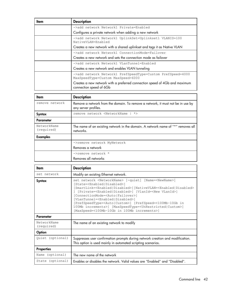| Item | <b>Description</b>                                                                                    |
|------|-------------------------------------------------------------------------------------------------------|
|      | ->add network Network1 Private=Enabled                                                                |
|      | Configures a private network when adding a new network                                                |
|      | ->add network Network1 UplinkSet=Uplinkset1 VLANID=100<br>NativeVLAN=Enabled                          |
|      | Creates a new network with a shared uplinkset and tags it as Native VLAN                              |
|      | ->add network Network1 ConnectionMode=Failover                                                        |
|      | Creates a new network and sets the connection mode as failover                                        |
|      | ->add network Network1 VLanTunnel=Enabled                                                             |
|      | Creates a new network and enables VLAN tunneling                                                      |
|      | ->add network Network1 PrefSpeedType=Custom PrefSpeed=4000<br>MaxSpeedType=Custom MaxSpeed=6000       |
|      | Creates a new network with a preferred connection speed of 4Gb and maximum<br>connection speed of 6Gb |

| ltem                      | <b>Description</b>                                                                                      |
|---------------------------|---------------------------------------------------------------------------------------------------------|
| remove network            | Remove a network from the domain. To remove a network, it must not be in use by<br>any server profiles. |
| Syntax                    | remove network <networkname<br><math>^{\star}</math></networkname<br>                                   |
| Parameter                 |                                                                                                         |
| NetworkName<br>(required) | The name of an existing network in the domain. A network name of "*" removes all<br>networks.           |
| <b>Examples</b>           |                                                                                                         |
|                           | ->remove network MyNetwork                                                                              |
|                           | Removes a network                                                                                       |
|                           | ->remove network *<br>Removes all networks                                                              |

| ltem                      | <b>Description</b>                                                                                                                                                                                                                                                                                                                                                                                                                                                                                                                                                                                                                                          |
|---------------------------|-------------------------------------------------------------------------------------------------------------------------------------------------------------------------------------------------------------------------------------------------------------------------------------------------------------------------------------------------------------------------------------------------------------------------------------------------------------------------------------------------------------------------------------------------------------------------------------------------------------------------------------------------------------|
| set network               | Modify an existing Ethernet network.                                                                                                                                                                                                                                                                                                                                                                                                                                                                                                                                                                                                                        |
| Syntax                    | set network <networkname> [-quiet] [Name=<newname>]<br/>[State=<enabled disabled>]<br/>[SmartLink=<enabled disabled>][NativeVLAN=<enabled disabled><br/>[Private=<enabled disabled>] [VlanId=<new vlanid="">]<br/>[ConnectionMode=<auto failover>]<br/>[VLanTunnel=<enabled disabled>]<br/>[PrefSpeedType=<auto custom>] [PrefSpeed=&lt;100Mb-10Gb in<br/>100Mb increments&gt;] [MaxSpeedType=<unrestricted custom>]<br/>[MaxSpeed=&lt;100Mb-10Gb in 100Mb increments&gt;]</unrestricted custom></auto custom></enabled disabled></auto failover></new></enabled disabled></enabled disabled></enabled disabled></enabled disabled></newname></networkname> |
| <b>Parameter</b>          |                                                                                                                                                                                                                                                                                                                                                                                                                                                                                                                                                                                                                                                             |
| NetworkName<br>(required) | The name of an existing network to modify                                                                                                                                                                                                                                                                                                                                                                                                                                                                                                                                                                                                                   |
| Option                    |                                                                                                                                                                                                                                                                                                                                                                                                                                                                                                                                                                                                                                                             |
| Quiet (optional)          | Suppresses user confirmation prompts during network creation and modification.<br>This option is used mainly in automated scripting scenarios.                                                                                                                                                                                                                                                                                                                                                                                                                                                                                                              |
| <b>Properties</b>         |                                                                                                                                                                                                                                                                                                                                                                                                                                                                                                                                                                                                                                                             |
| Name (optional)           | The new name of the network                                                                                                                                                                                                                                                                                                                                                                                                                                                                                                                                                                                                                                 |
| State (optional)          | Enables or disables the network. Valid values are "Enabled" and "Disabled".                                                                                                                                                                                                                                                                                                                                                                                                                                                                                                                                                                                 |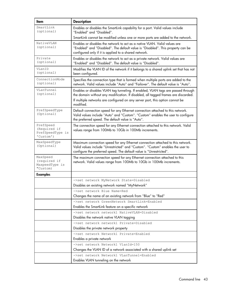| Item                                                       | <b>Description</b>                                                                                                                                                                                                                                                   |
|------------------------------------------------------------|----------------------------------------------------------------------------------------------------------------------------------------------------------------------------------------------------------------------------------------------------------------------|
| SmartLink<br>(optional)                                    | Enables or disables the SmartLink capability for a port. Valid values include<br>"Enabled" and "Disabled".                                                                                                                                                           |
|                                                            | SmartLink cannot be modified unless one or more ports are added to the network.                                                                                                                                                                                      |
| NativeVLAN<br>(optional)                                   | Enables or disables the network to act as a native VLAN. Valid values are<br>"Enabled" and "Disabled". The default value is "Disabled". This property can be<br>configured only if it is applied to a shared network.                                                |
| Private<br>(optional)                                      | Enables or disables the network to act as a private network. Valid values are<br>"Enabled" and "Disabled". The default value is "Disabled".                                                                                                                          |
| VLanID<br>(optional)                                       | Modifies the VLAN ID of the network if it belongs to a shared uplink set that has not<br>been configured.                                                                                                                                                            |
| ConnectionMode<br>(optional)                               | Specifies the connection type that is formed when multiple ports are added to the<br>network. Valid values include "Auto" and "Failover". The default value is "Auto".                                                                                               |
| VLanTunnel<br>(optional)                                   | Enables or disables VLAN tag tunneling. If enabled, VLAN tags are passed through<br>the domain without any modification. If disabled, all tagged frames are discarded.<br>If multiple networks are configured on any server port, this option cannot be<br>modified. |
| PrefSpeedType<br>(Optional)                                | Default connection speed for any Ethernet connection attached to this network.<br>Valid values include "Auto" and "Custom". "Custom" enables the user to configure<br>the preferred speed. The default value is "Auto".                                              |
| PrefSpeed<br>(Required if<br>PrefSpeedType is<br>'Custom') | The connection speed for any Ethernet connection attached to this network. Valid<br>values range from 100Mb to 10Gb in 100Mb increments.                                                                                                                             |
| MaxSpeedType<br>(Optional)                                 | Maximum connection speed for any Ethernet connection attached to this network.<br>Valid values include "Unrestricted" and "Custom". "Custom" enables the user to<br>configure the preferred speed. The default value is "Unrestricted".                              |
| MaxSpeed<br>(required if<br>MaxpeedType is<br>"Custom)     | The maximum connection speed for any Ethernet connection attached to this<br>network. Valid values range from 100Mb to 10Gb in 100Mb increments.                                                                                                                     |
| <b>Examples</b>                                            |                                                                                                                                                                                                                                                                      |
|                                                            | ->set network MyNetwork State=Disabled<br>Disables an existing network named "MyNetwork"                                                                                                                                                                             |
|                                                            | ->set network Blue Name=Red                                                                                                                                                                                                                                          |
|                                                            | Changes the name of an existing network from "Blue" to "Red"                                                                                                                                                                                                         |
|                                                            | ->set network GreenNetwork SmartLink=Enabled                                                                                                                                                                                                                         |
|                                                            | Enables the SmartLink feature on a specific network                                                                                                                                                                                                                  |
|                                                            | ->set network network1 NativeVLAN=Disabled<br>Disables the network native VLAN tagging                                                                                                                                                                               |
|                                                            | ->set network network1 Private=Disabled                                                                                                                                                                                                                              |
|                                                            | Disables the private network property                                                                                                                                                                                                                                |
|                                                            | ->set network Network1 Private=Enabled                                                                                                                                                                                                                               |
|                                                            | Enables a private network                                                                                                                                                                                                                                            |
|                                                            | ->set network Network1 VlanId=150                                                                                                                                                                                                                                    |
|                                                            | Changes the VLAN ID of a network associated with a shared uplink set                                                                                                                                                                                                 |
|                                                            | ->set network Network1 VLanTunnel=Enabled                                                                                                                                                                                                                            |
|                                                            | Enables VLAN tunneling on the network                                                                                                                                                                                                                                |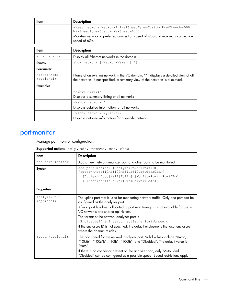| ltem                      | <b>Description</b>                                                                                                                                                |
|---------------------------|-------------------------------------------------------------------------------------------------------------------------------------------------------------------|
|                           | ->set network Network1 PrefSpeedType=Custom PrefSpeed=4000<br>MaxSpeedType=Custom MaxSpeed=6000                                                                   |
|                           | Modifies network to preferred connection speed of 4Gb and maximum connection<br>speed of 6Gb                                                                      |
|                           |                                                                                                                                                                   |
| ltem                      | <b>Description</b>                                                                                                                                                |
| show network              | Display all Ethernet networks in the domain.                                                                                                                      |
| <b>Syntax</b>             | show network [ <networkname>   *]</networkname>                                                                                                                   |
| Parameter                 |                                                                                                                                                                   |
| NetworkName<br>(optional) | Name of an existing network in the VC domain. "*" displays a detailed view of all<br>the networks. If not specified, a summary view of the networks is displayed. |
| <b>Examples</b>           |                                                                                                                                                                   |
|                           | ->show network                                                                                                                                                    |
|                           | Displays a summary listing of all networks                                                                                                                        |
|                           | $\rightarrow$ show network *                                                                                                                                      |
|                           | Displays detailed information for all networks                                                                                                                    |
|                           | ->show network MyNetwork                                                                                                                                          |
|                           | Displays detailed information for a specific network                                                                                                              |

# port-monitor

Manage port monitor configuration.

Supported actions: help, add, remove, set, show

| Item                       | <b>Description</b>                                                                                                                                                                                                                                                                                                                                                                                                                                                                                                  |
|----------------------------|---------------------------------------------------------------------------------------------------------------------------------------------------------------------------------------------------------------------------------------------------------------------------------------------------------------------------------------------------------------------------------------------------------------------------------------------------------------------------------------------------------------------|
| add port monitor           | Add a new network analyzer port and other ports to be monitored.                                                                                                                                                                                                                                                                                                                                                                                                                                                    |
| Syntax                     | add port-monitor [AnalyzerPort= <portid>]<br/>[Speed=<auto 10mb 100mb 1gb 10gb disabled>]<br/>[Duplex=<auto half full>] [MonitorPort=<portid>]<br/>[Direction=<toserver fromserver both>]</toserver fromserver both></portid></auto half full></auto 10mb 100mb 1gb 10gb disabled></portid>                                                                                                                                                                                                                         |
| <b>Properties</b>          |                                                                                                                                                                                                                                                                                                                                                                                                                                                                                                                     |
| AnalyzerPort<br>(optional) | The uplink port that is used for monitoring network traffic. Only one port can be<br>configured as the analyzer port.<br>After a port has been allocated to port monitoring, it is not available for use in<br>VC networks and shared uplink sets.<br>The format of the network analyzer port is<br><enclosureid>:<interconnectbay>:<portnumber>.<br/>If the enclosure ID is not specified, the default enclosure is the local enclosure<br/>where the domain resides.</portnumber></interconnectbay></enclosureid> |
| Speed (optional)           | The port speed for the network analyzer port. Valid values include "Auto",<br>"10Mb", "100Mb", "1Gb", "10Gb", and "Disabled". The default value is<br>"Auto".<br>If there is no connector present on the analyzer port, only "Auto" and<br>"Disabled" can be configured as a possible speed. Speed restrictions apply.                                                                                                                                                                                              |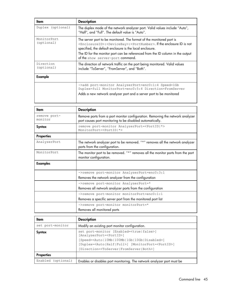| ltem                      | <b>Description</b>                                                                                                                                                                                                                                                                                                                                                     |
|---------------------------|------------------------------------------------------------------------------------------------------------------------------------------------------------------------------------------------------------------------------------------------------------------------------------------------------------------------------------------------------------------------|
| Duplex (optional)         | The duplex mode of the network analyzer port. Valid values include "Auto",<br>"Half", and "Full". The default value is "Auto".                                                                                                                                                                                                                                         |
| MonitorPort<br>(optional) | The server port to be monitored. The format of the monitored port is<br><enclosureid>:<devicebay>:<portnumber>. If the enclosure ID is not<br/>specified, the default enclosure is the local enclosure.<br/>The ID for the monitor port can be referenced from the ID column in the output<br/>of the show server-port command.</portnumber></devicebay></enclosureid> |
| Direction<br>(optional)   | The direction of network traffic on the port being monitored. Valid values<br>include "ToServer", "FromServer", and "Both".                                                                                                                                                                                                                                            |
| Example                   |                                                                                                                                                                                                                                                                                                                                                                        |
|                           | ->add port-monitor AnalyzerPort=enc0:1:4 Speed=1Gb<br>Duplex=full MonitorPort=enc0:5:4 Direction=FromServer<br>Adds a new network analyzer port and a server port to be monitored                                                                                                                                                                                      |

| ltem                    | <b>Description</b>                                                                                                                         |
|-------------------------|--------------------------------------------------------------------------------------------------------------------------------------------|
| remove port-<br>monitor | Remove ports from a port monitor configuration. Removing the network analyzer<br>port causes port monitoring to be disabled automatically. |
| Syntax                  | remove port-monitor AnalyzerPort= <portid *><br/>MonitorPort=<portid *=""  =""></portid></portid *>                                        |
| <b>Properties</b>       |                                                                                                                                            |
| AnalyzerPort            | The network analyzer port to be removed. "*" removes all the network analyzer<br>ports from the configuration.                             |
| MonitorPort             | The monitor port to be removed. "*" removes all the monitor ports from the port<br>monitor configuration.                                  |
| <b>Examples</b>         |                                                                                                                                            |
|                         | ->remove port-monitor AnalyzerPort=enc0:3:1                                                                                                |
|                         | Removes the network analyzer from the configuration                                                                                        |
|                         | ->remove port-monitor AnalyzerPort=*                                                                                                       |
|                         | Removes all network analyzer ports from the configuration                                                                                  |
|                         | ->remove port-monitor monitorPort=enc0:1:1                                                                                                 |
|                         | Removes a specific server port from the monitored port list                                                                                |
|                         | ->remove port-monitor monitorPort=*                                                                                                        |
|                         | Removes all monitored ports                                                                                                                |

| ltem               | <b>Description</b>                                                                                                                                                                                                                                                                                                                  |
|--------------------|-------------------------------------------------------------------------------------------------------------------------------------------------------------------------------------------------------------------------------------------------------------------------------------------------------------------------------------|
| set port-monitor   | Modify an existing port monitor configuration.                                                                                                                                                                                                                                                                                      |
| Syntax             | set port-monitor [Enabled= <true false>]<br/>[AnalyzerPort=<portid>]<br/>[Speed=<auto 10mb 100mb 1gb 10gb disabled>]<br/>[Duplex=<auto half full>] [MonitorPort=<portid>]<br/>[Direction=<toserver fromserver both>]</toserver fromserver both></portid></auto half full></auto 10mb 100mb 1gb 10gb disabled></portid></true false> |
| <b>Properties</b>  |                                                                                                                                                                                                                                                                                                                                     |
| Enabled (optional) | Enables or disables port monitoring. The network analyzer port must be                                                                                                                                                                                                                                                              |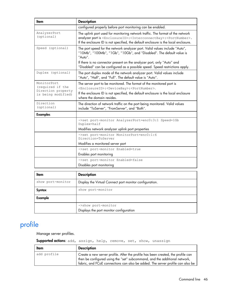| ltem                                     | <b>Description</b>                                                                                                                                                                                                                                                                    |
|------------------------------------------|---------------------------------------------------------------------------------------------------------------------------------------------------------------------------------------------------------------------------------------------------------------------------------------|
|                                          | configured properly before port monitoring can be enabled.                                                                                                                                                                                                                            |
| AnalyzerPort<br>(optional)               | The uplink port used for monitoring network traffic. The format of the network<br>analyzer port is <enclosureid>:<interconnectbay>:<portnumber>.<br/>If the enclosure ID is not specified, the default enclosure is the local enclosure.</portnumber></interconnectbay></enclosureid> |
| Speed (optional)                         | The port speed for the network analyzer port. Valid values include "Auto",<br>"10Mb", "100Mb", "1Gb", "10Gb", and "Disabled". The default value is<br>"Auto".                                                                                                                         |
|                                          | If there is no connector present on the analyzer port, only "Auto" and<br>"Disabled" can be configured as a possible speed. Speed restrictions apply.                                                                                                                                 |
| Duplex (optional)                        | The port duplex mode of the network analyzer port. Valid values include<br>"Auto", "Half", and "Full". The default value is "Auto".                                                                                                                                                   |
| MonitorPort<br>(required if the          | The server port to be monitored. The format of the monitored port is<br><enclosureid>:<devicebay>:<portnumber>.</portnumber></devicebay></enclosureid>                                                                                                                                |
| Direction property<br>is being modified) | If the enclosure ID is not specified, the default enclosure is the local enclosure<br>where the domain resides.                                                                                                                                                                       |
| Direction<br>(optional)                  | The direction of network traffic on the port being monitored. Valid values<br>include "ToServer", "FromServer", and "Both".                                                                                                                                                           |
| <b>Examples</b>                          |                                                                                                                                                                                                                                                                                       |
|                                          | ->set port-monitor AnalyzerPort=enc0:3:1 Speed=1Gb<br>Duplex=half                                                                                                                                                                                                                     |
|                                          | Modifies network analyzer uplink port properties                                                                                                                                                                                                                                      |
|                                          | ->set port-monitor MonitorPort=enc0:1:6<br>Direction=ToServer                                                                                                                                                                                                                         |
|                                          | Modifies a monitored server port                                                                                                                                                                                                                                                      |
|                                          | ->set port-monitor Enabled=true                                                                                                                                                                                                                                                       |
|                                          | Enables port monitoring                                                                                                                                                                                                                                                               |
|                                          | ->set port-monitor Enabled=false                                                                                                                                                                                                                                                      |
|                                          | Disables port monitoring                                                                                                                                                                                                                                                              |
| ltem                                     | <b>Description</b>                                                                                                                                                                                                                                                                    |
|                                          |                                                                                                                                                                                                                                                                                       |
| show port-monitor                        | Display the Virtual Connect port monitor configuration.                                                                                                                                                                                                                               |
| <b>Syntax</b>                            | show port-monitor                                                                                                                                                                                                                                                                     |
| Example                                  |                                                                                                                                                                                                                                                                                       |

# profile

Manage server profiles.

#### Supported actions: add, assign, help, remove, set, show, unassign

Displays the port monitor configuration

->show port-monitor

| ltem        | <b>Description</b>                                                                                                                                                                                                                               |
|-------------|--------------------------------------------------------------------------------------------------------------------------------------------------------------------------------------------------------------------------------------------------|
| add profile | Create a new server profile. After the profile has been created, the profile can<br>then be configured using the "set" subcommand, and the additional network,<br>fabric, and FCoE connections can also be added. The server profile can also be |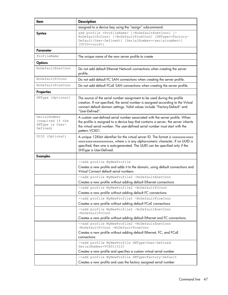| assigned to a device bay using the "assign" subcommand.                                                                                                                                                                                                                        |
|--------------------------------------------------------------------------------------------------------------------------------------------------------------------------------------------------------------------------------------------------------------------------------|
| add profile <profilename> [-NoDefaultEnetConn] [-<br/>NoDefaultFcConn] [-NoDefaultFcoeConn] [SNType=<factory-<br>Default User-Defined&gt;] [SerialNumber=<serialnumber>]<br/>[UUID=<uuid>]</uuid></serialnumber></factory-<br></profilename>                                   |
|                                                                                                                                                                                                                                                                                |
| The unique name of the new server profile to create                                                                                                                                                                                                                            |
|                                                                                                                                                                                                                                                                                |
| Do not add default Ethernet Network connections when creating the server                                                                                                                                                                                                       |
| Do not add default FC SAN connections when creating the server profile.                                                                                                                                                                                                        |
| Do not add default FCoE SAN connections when creating the server profile.                                                                                                                                                                                                      |
|                                                                                                                                                                                                                                                                                |
| The source of the serial number assignment to be used during the profile<br>creation. If not specified, the serial number is assigned according to the Virtual<br>connect default domain settings. Valid values include "Factory-Default" and                                  |
| A custom user-defined serial number associated with the server profile. When<br>the profile is assigned to a device bay that contains a server, the server inherits<br>the virtual serial number. The user-defined serial number must start with the                           |
| A unique 128-bit identifier for the virtual server ID. The format is xxxxxxxxxxxxx<br>xxxx-xxxx-xxxxxxxxxxxx, where x is any alpha-numeric character. If no UUID is<br>specified, then one is auto-generated. The UUID can be specified only if the<br>SNType is User-Defined. |
|                                                                                                                                                                                                                                                                                |
| ->add profile MyNewProfile<br>Creates a new profile and adds it to the domain, using default connections and<br>Virtual Connect default serial numbers                                                                                                                         |
| ->add profile MyNewProfile2 -NoDefaultEnetConn                                                                                                                                                                                                                                 |
| Creates a new profile without adding default Ethernet connections                                                                                                                                                                                                              |
| ->add profile MyNewProfile2 -NoDefaultFcConn                                                                                                                                                                                                                                   |
| Creates a new profile without adding default FC connections                                                                                                                                                                                                                    |
| ->add profile MyNewProfile2 -NoDefaultFcoeConn                                                                                                                                                                                                                                 |
| Creates a new profile without adding default FCoE connections                                                                                                                                                                                                                  |
| ->add profile MyNewProfile2 -NoDefaultEnetConn<br>$-No$ DefaultFcConn                                                                                                                                                                                                          |
| Creates a new profile without adding default Ethernet and FC connections                                                                                                                                                                                                       |
| ->add profile MyNewProfile2 -NoDefaultEnetConn<br>-NoDefaultFcConn -NoDefaultFcoeConn                                                                                                                                                                                          |
| Creates a new profile without adding default Ethernet, FC, and FCoE                                                                                                                                                                                                            |
| ->add profile MyNewProfile SNType=User-Defined<br>SerialNumber=VCX0113121                                                                                                                                                                                                      |
| Creates a new profile and specifies a custom virtual serial number                                                                                                                                                                                                             |
| ->add profile MyNewProfile SNType=Factory-Default<br>Creates a new profile and uses the factory assigned serial number                                                                                                                                                         |
| "User-Defined".<br>pattern VCX01.                                                                                                                                                                                                                                              |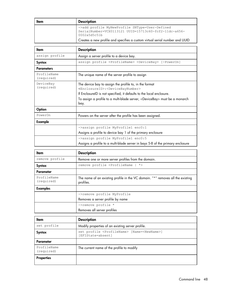| ltem | <b>Description</b>                                                                                                      |
|------|-------------------------------------------------------------------------------------------------------------------------|
|      | ->add profile MyNewProfile SNType=User-Defined<br>SerialNumber=VCX0113121 UUID=15713c60-fcf2-11dc-a656-<br>0002a5d5c51b |
|      | Creates a new profile and specifies a custom virtual serial number and UUID                                             |

| ltem                      | <b>Description</b>                                                                                                                                                                                 |
|---------------------------|----------------------------------------------------------------------------------------------------------------------------------------------------------------------------------------------------|
| assign profile            | Assign a server profile to a device bay.                                                                                                                                                           |
| Syntax                    | assign profile <profilename> <devicebay> [-PowerOn]</devicebay></profilename>                                                                                                                      |
| <b>Parameters</b>         |                                                                                                                                                                                                    |
| ProfileName<br>(required) | The unique name of the server profile to assign                                                                                                                                                    |
| DeviceBay<br>(required)   | The device bay to assign the profile to, in the format<br><enclosureid>:<devicebaynumber><br/>If EnclosureID is not specified, it defaults to the local enclosure.</devicebaynumber></enclosureid> |
|                           | To assign a profile to a multi-blade server, <devicebay> must be a monarch<br/>bay.</devicebay>                                                                                                    |
| Option                    |                                                                                                                                                                                                    |
| PowerOn                   | Powers on the server after the profile has been assigned.                                                                                                                                          |
| Example                   |                                                                                                                                                                                                    |
|                           | ->assign profile MyProfile1 enc0:1                                                                                                                                                                 |
|                           | Assigns a profile to device bay 1 of the primary enclosure                                                                                                                                         |
|                           | ->assign profile MyProfile1 enc0:5                                                                                                                                                                 |
|                           | Assigns a profile to a multi-blade server in bays 5-8 of the primary enclosure                                                                                                                     |

| ltem                      | <b>Description</b>                                                                          |
|---------------------------|---------------------------------------------------------------------------------------------|
| remove profile            | Remove one or more server profiles from the domain.                                         |
| Syntax                    | remove profile <profilename  <br=""><math>^{\star}</math></profilename>                     |
| Parameter                 |                                                                                             |
| ProfileName<br>(required) | The name of an existing profile in the VC domain. "*" removes all the existing<br>profiles. |
| <b>Examples</b>           |                                                                                             |
|                           | ->remove profile MyProfile                                                                  |
|                           | Removes a server profile by name                                                            |
|                           | ->remove profile *                                                                          |
|                           | Removes all server profiles                                                                 |

| ltem                      | <b>Description</b>                                                                       |
|---------------------------|------------------------------------------------------------------------------------------|
| set profile               | Modify properties of an existing server profile.                                         |
| Syntax                    | set profile <profilename> [Name=<newname>]<br/>[EFIState=absent]</newname></profilename> |
| Parameter                 |                                                                                          |
| ProfileName<br>(required) | The current name of the profile to modify                                                |
| <b>Properties</b>         |                                                                                          |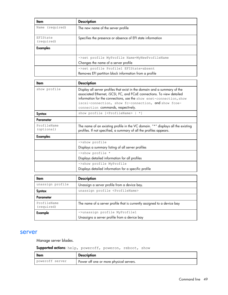| ltem                   | <b>Description</b>                                         |
|------------------------|------------------------------------------------------------|
| Name (required)        | The new name of the server profile                         |
| EFIState<br>(required) | Specifies the presence or absence of EFI state information |
| <b>Examples</b>        |                                                            |
|                        | ->set profile MyProfile Name=MyNewProfileName              |
|                        | Changes the name of a server profile                       |
|                        | ->set profile Profile1 EFIState=absent                     |
|                        | Removes EFI partition block information from a profile     |

| ltem                      | <b>Description</b>                                                                                                                                                                                                                                                                                                       |
|---------------------------|--------------------------------------------------------------------------------------------------------------------------------------------------------------------------------------------------------------------------------------------------------------------------------------------------------------------------|
| show profile              | Display all server profiles that exist in the domain and a summary of the<br>associated Ethernet, iSCSI, FC, and FCoE connections. To view detailed<br>information for the connections, use the show enet-connection, show<br>iscsi-connection, show fc-connection, and show fcoe-<br>connection commands, respectively. |
| Syntax                    | show profile [ <profilename> <math>  *  </math></profilename>                                                                                                                                                                                                                                                            |
| Parameter                 |                                                                                                                                                                                                                                                                                                                          |
| ProfileName<br>(optional) | The name of an existing profile in the VC domain. "*" displays all the existing<br>profiles. If not specified, a summary of all the profiles appears.                                                                                                                                                                    |
| <b>Examples</b>           |                                                                                                                                                                                                                                                                                                                          |
|                           | ->show profile                                                                                                                                                                                                                                                                                                           |
|                           | Displays a summary listing of all server profiles                                                                                                                                                                                                                                                                        |
|                           | $\rightarrow$ show profile *                                                                                                                                                                                                                                                                                             |
|                           | Displays detailed information for all profiles                                                                                                                                                                                                                                                                           |
|                           | ->show profile MyProfile                                                                                                                                                                                                                                                                                                 |
|                           | Displays detailed information for a specific profile                                                                                                                                                                                                                                                                     |

| ltem                      | <b>Description</b>                                                      |
|---------------------------|-------------------------------------------------------------------------|
| unassign profile          | Unassign a server profile from a device bay.                            |
| Syntax                    | unassign profile <profilename></profilename>                            |
| Parameter                 |                                                                         |
| ProfileName<br>(required) | The name of a server profile that is currently assigned to a device bay |
| Example                   | ->unassign profile MyProfile1                                           |
|                           | Unassigns a server profile from a device bay                            |

#### server

Manage server blades.

#### Supported actions: help, poweroff, poweron, reboot, show

| ltem            | <b>Description</b>                      |
|-----------------|-----------------------------------------|
| poweroff server | Power off one or more physical servers. |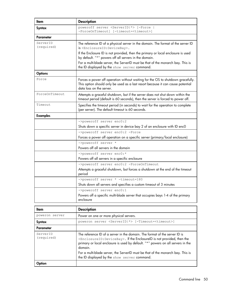| ltem                   | <b>Description</b>                                                                                                                                                                             |
|------------------------|------------------------------------------------------------------------------------------------------------------------------------------------------------------------------------------------|
| <b>Syntax</b>          | poweroff server <serverid *> [-Force  <br/>-ForceOnTimeout] [-timeout=<timeout>]</timeout></serverid *>                                                                                        |
| Parameter              |                                                                                                                                                                                                |
| ServerID<br>(required) | The reference ID of a physical server in the domain. The format of the server ID<br>is <enclosureid:devicebay>.</enclosureid:devicebay>                                                        |
|                        | If the Enclosure ID is not provided, then the primary or local enclosure is used<br>by default. "*" powers off all servers in the domain.                                                      |
|                        | For a multi-blade server, the ServerID must be that of the monarch bay. This is<br>the ID displayed by the show server command.                                                                |
| <b>Options</b>         |                                                                                                                                                                                                |
| Force                  | Forces a power off operation without waiting for the OS to shutdown gracefully.<br>This option should only be used as a last resort because it can cause potential<br>data loss on the server. |
| ForceOnTimeout         | Attempts a graceful shutdown, but if the server does not shut down within the<br>timeout period (default is 60 seconds), then the server is forced to power off.                               |
| Timeout                | Specifies the timeout period (in seconds) to wait for the operation to complete<br>(per server). The default timeout is 60 seconds.                                                            |
| <b>Examples</b>        |                                                                                                                                                                                                |
|                        | ->poweroff server enc0:2                                                                                                                                                                       |
|                        | Shuts down a specific server in device bay 2 of an enclosure with ID enc0                                                                                                                      |
|                        | ->poweroff server enc0:2 -Force                                                                                                                                                                |
|                        | Forces a power off operation on a specific server (primary/local enclosure)                                                                                                                    |
|                        | ->poweroff server *                                                                                                                                                                            |
|                        | Powers off all servers in the domain                                                                                                                                                           |
|                        | ->poweroff server enc0:*                                                                                                                                                                       |
|                        | Powers off all servers in a specific enclosure<br>->poweroff server enc0:2 -ForceOnTimeout                                                                                                     |
|                        | Attempts a graceful shutdown, but forces a shutdown at the end of the timeout<br>period                                                                                                        |
|                        | ->poweroff server * -timeout=180                                                                                                                                                               |
|                        | Shuts down all servers and specifies a custom timeout of 3 minutes                                                                                                                             |
|                        | ->poweroff server enc0:1                                                                                                                                                                       |
|                        | Powers off a specific multi-blade server that occupies bays 1-4 of the primary<br>enclosure                                                                                                    |
|                        |                                                                                                                                                                                                |

| ltem                   | <b>Description</b>                                                                                                                                                                                                                                                                                                                                                                                          |
|------------------------|-------------------------------------------------------------------------------------------------------------------------------------------------------------------------------------------------------------------------------------------------------------------------------------------------------------------------------------------------------------------------------------------------------------|
| poweron server         | Power on one or more physical servers.                                                                                                                                                                                                                                                                                                                                                                      |
| Syntax                 | poweron server <serverid *> [-Timeout=<timeout>]</timeout></serverid *>                                                                                                                                                                                                                                                                                                                                     |
| Parameter              |                                                                                                                                                                                                                                                                                                                                                                                                             |
| ServerID<br>(required) | The reference ID of a server in the domain. The format of the server ID is<br><enclosureid: devicebay="">. If the EnclosureID is not provided, then the<br/>primary or local enclosure is used by default. "*" powers on all servers in the<br/>domain.<br/>For a multi-blade server, the ServerID must be that of the monarch bay. This is<br/>the ID displayed by the show server command.</enclosureid:> |
|                        |                                                                                                                                                                                                                                                                                                                                                                                                             |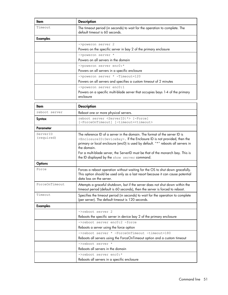| ltem                   | <b>Description</b>                                                                                                                                                                                                                                                                                                                                                                                                |
|------------------------|-------------------------------------------------------------------------------------------------------------------------------------------------------------------------------------------------------------------------------------------------------------------------------------------------------------------------------------------------------------------------------------------------------------------|
| Timeout                | The timeout period (in seconds) to wait for the operation to complete. The<br>default timeout is 60 seconds.                                                                                                                                                                                                                                                                                                      |
| <b>Examples</b>        |                                                                                                                                                                                                                                                                                                                                                                                                                   |
|                        | ->poweron server 2                                                                                                                                                                                                                                                                                                                                                                                                |
|                        | Powers on the specific server in bay 2 of the primary enclosure                                                                                                                                                                                                                                                                                                                                                   |
|                        | ->poweron server *                                                                                                                                                                                                                                                                                                                                                                                                |
|                        | Powers on all servers in the domain                                                                                                                                                                                                                                                                                                                                                                               |
|                        | ->poweron server enc0:*                                                                                                                                                                                                                                                                                                                                                                                           |
|                        | Powers on all servers in a specific enclosure                                                                                                                                                                                                                                                                                                                                                                     |
|                        | ->poweron server * -Timeout=120                                                                                                                                                                                                                                                                                                                                                                                   |
|                        | Powers on all servers and specifies a custom timeout of 2 minutes                                                                                                                                                                                                                                                                                                                                                 |
|                        | ->poweron server enc0:1<br>Powers on a specific multi-blade server that occupies bays 1-4 of the primary<br>enclosure                                                                                                                                                                                                                                                                                             |
| ltem                   | <b>Description</b>                                                                                                                                                                                                                                                                                                                                                                                                |
| reboot server          | Reboot one or more physical servers.                                                                                                                                                                                                                                                                                                                                                                              |
| <b>Syntax</b>          | reboot server <serverid *> [-Force]<br/>[-ForceOnTimeout] [-timeout=<timeout></timeout></serverid *>                                                                                                                                                                                                                                                                                                              |
| Parameter              |                                                                                                                                                                                                                                                                                                                                                                                                                   |
| ServerID<br>(required) | The reference ID of a server in the domain. The format of the server ID is<br><enclosureid: devicebay="">. If the Enclosure ID is not provided, then the<br/>primary or local enclosure (enc0) is used by default. "*" reboots all servers in<br/>the domain.<br/>For a multi-blade server, the ServerID must be that of the monarch bay. This is<br/>the ID displayed by the show server command.</enclosureid:> |
| <b>Options</b>         |                                                                                                                                                                                                                                                                                                                                                                                                                   |
| Force                  | Forces a reboot operation without waiting for the OS to shut down gracefully.<br>This option should be used only as a last resort because it can cause potential<br>data loss on the server.                                                                                                                                                                                                                      |
| ForceOnTimeout         | Attempts a graceful shutdown, but if the server does not shut down within the<br>timeout period (default is 60 seconds), then the server is forced to reboot.                                                                                                                                                                                                                                                     |
| Timeout                | Specifies the timeout period (in seconds) to wait for the operation to complete<br>(per server). The default timeout is 120 seconds.                                                                                                                                                                                                                                                                              |
| <b>Examples</b>        |                                                                                                                                                                                                                                                                                                                                                                                                                   |
|                        | ->reboot server 2                                                                                                                                                                                                                                                                                                                                                                                                 |
|                        | Reboots the specific server in device bay 2 of the primary enclosure                                                                                                                                                                                                                                                                                                                                              |
|                        | ->reboot server enc0:2 -force                                                                                                                                                                                                                                                                                                                                                                                     |
|                        | Reboots a server using the force option                                                                                                                                                                                                                                                                                                                                                                           |
|                        | ->reboot server * -ForceOnTimeout -timeout=180                                                                                                                                                                                                                                                                                                                                                                    |
|                        | Reboots all servers using the ForceOnTimeout option and a custom timeout                                                                                                                                                                                                                                                                                                                                          |
|                        | ->reboot server *                                                                                                                                                                                                                                                                                                                                                                                                 |
|                        | Reboots all servers in the domain                                                                                                                                                                                                                                                                                                                                                                                 |
|                        | ->reboot server enc0:*                                                                                                                                                                                                                                                                                                                                                                                            |
|                        | Reboots all servers in a specific enclosure                                                                                                                                                                                                                                                                                                                                                                       |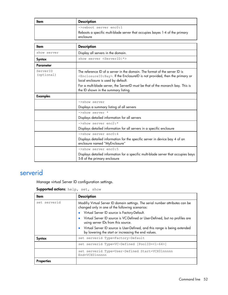| ltem                   | <b>Description</b>                                                                                                                                                                                                                                                                                                                               |
|------------------------|--------------------------------------------------------------------------------------------------------------------------------------------------------------------------------------------------------------------------------------------------------------------------------------------------------------------------------------------------|
|                        | ->reboot server enc0:1                                                                                                                                                                                                                                                                                                                           |
|                        | Reboots a specific multi-blade server that occupies bayes 1-4 of the primary<br>enclosure                                                                                                                                                                                                                                                        |
|                        |                                                                                                                                                                                                                                                                                                                                                  |
| ltem                   | <b>Description</b>                                                                                                                                                                                                                                                                                                                               |
| show server            | Display all servers in the domain.                                                                                                                                                                                                                                                                                                               |
| <b>Syntax</b>          | show server <serverid *></serverid *>                                                                                                                                                                                                                                                                                                            |
| <b>Parameter</b>       |                                                                                                                                                                                                                                                                                                                                                  |
| ServerID<br>(optional) | The reference ID of a server in the domain. The format of the server ID is<br><enclosureid: bay="">. If the EnclosureID is not provided, then the primary or<br/>local enclosure is used by default.<br/>For a multi-blade server, the ServerID must be that of the monarch bay. This is<br/>the ID shown in the summary listing.</enclosureid:> |
|                        |                                                                                                                                                                                                                                                                                                                                                  |
| <b>Examples</b>        |                                                                                                                                                                                                                                                                                                                                                  |
|                        | ->show server                                                                                                                                                                                                                                                                                                                                    |
|                        | Displays a summary listing of all servers                                                                                                                                                                                                                                                                                                        |
|                        | ->show server *                                                                                                                                                                                                                                                                                                                                  |
|                        | Displays detailed information for all servers                                                                                                                                                                                                                                                                                                    |
|                        | ->show server enc2:*                                                                                                                                                                                                                                                                                                                             |
|                        | Displays detailed information for all servers in a specific enclosure                                                                                                                                                                                                                                                                            |
|                        | $\rightarrow$ show server enc $0:4$                                                                                                                                                                                                                                                                                                              |
|                        | Displays detailed information for the specific server in device bay 4 of an<br>enclosure named "MyEnclosure"                                                                                                                                                                                                                                     |
|                        | ->show server enc0:5                                                                                                                                                                                                                                                                                                                             |
|                        | Displays detailed information for a specific multi-blade server that occupies bays<br>5-8 of the primary enclosure                                                                                                                                                                                                                               |

### serverid

Manage virtual Server ID configuration settings.

Supported actions: help, set, show

| ltem              | <b>Description</b>                                                                                                                |
|-------------------|-----------------------------------------------------------------------------------------------------------------------------------|
| set serverid      | Modifiy Virtual Server ID domain settings. The serial number attributes can be<br>changed only in one of the following scenarios: |
|                   | Virtual Server ID source is Factory-Default.                                                                                      |
|                   | Virtual Server ID source is VC-Defined or User-Defined, but no profiles are<br>using server IDs from this source.                 |
|                   | Virtual Server ID source is User-Defined, and this range is being extended<br>by lowering the start or increasing the end values. |
| Syntax            | set serverid Type=Factory-Default                                                                                                 |
|                   | set serverid Type=VC-Defined [PoolID=<1-64>]                                                                                      |
|                   | set serverid Type=User-Defined Start=VCX01nnnnn<br>End=VCX01nnnnn                                                                 |
| <b>Properties</b> |                                                                                                                                   |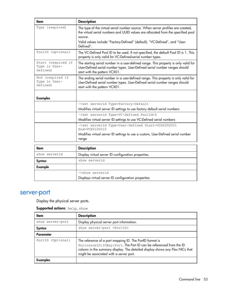| Item                                            | <b>Description</b>                                                                                                                                                                                                                                                        |
|-------------------------------------------------|---------------------------------------------------------------------------------------------------------------------------------------------------------------------------------------------------------------------------------------------------------------------------|
| Type (required)                                 | The type of the virtual serial number source. When server profiles are created,<br>the virtual serial numbers and UUID values are allocated from the specified pool<br>source.<br>Valid values include "Factory-Defined" (default), "VC-Defined", and "User-<br>Defined". |
| PoolID (optional)                               | The VC-Defined Pool ID to be used. If not specified, the default Pool ID is 1. This<br>property is only valid for VC-Defined-serial number types.                                                                                                                         |
| Start (required if<br>Type is User-<br>Defined) | The starting serial number in a user-defined range. This property is only valid for<br>User-Defined serial number types. User-Defined serial number ranges should<br>start with the pattern VCX01.                                                                        |
| End (required if<br>Type is User-<br>Defined)   | The ending serial number in a user-defined range. This property is only valid for<br>User-Defined serial number types. User-Defined serial number ranges should<br>start with the pattern VCX01.                                                                          |
| <b>Examples</b>                                 |                                                                                                                                                                                                                                                                           |
|                                                 | ->set serverid Type=Factory-Default                                                                                                                                                                                                                                       |
|                                                 | Modifies virtual server ID settings to use factory default serial numbers                                                                                                                                                                                                 |
|                                                 | ->set serverid Type=VC-Defined PoolId=5                                                                                                                                                                                                                                   |
|                                                 | Modifies virtual server ID settings to use VC-Defined serial numbers                                                                                                                                                                                                      |
|                                                 | ->set serverid Type=User-Defined Start=VCX0000001<br>End=VCX0100010                                                                                                                                                                                                       |
|                                                 | Modifies virtual server ID settings to use a custom, User-Defined serial number<br>range                                                                                                                                                                                  |
|                                                 |                                                                                                                                                                                                                                                                           |
| <b>Item</b>                                     | <b>Description</b>                                                                                                                                                                                                                                                        |
| show serverid                                   | Display virtual server ID configuration properties.                                                                                                                                                                                                                       |
| <b>Syntax</b>                                   | show serverid                                                                                                                                                                                                                                                             |
| <b>Example</b>                                  |                                                                                                                                                                                                                                                                           |
|                                                 | ->show serverid                                                                                                                                                                                                                                                           |
|                                                 | Displays virtual server ID configuration properties                                                                                                                                                                                                                       |

### server-port

Display the physical server ports.

Supported actions: help, show

| ltem              | <b>Description</b>                                                                                                                                                                                                                                         |
|-------------------|------------------------------------------------------------------------------------------------------------------------------------------------------------------------------------------------------------------------------------------------------------|
| show server-port  | Display physical server port information.                                                                                                                                                                                                                  |
| Syntax            | show server-port <portid></portid>                                                                                                                                                                                                                         |
| Parameter         |                                                                                                                                                                                                                                                            |
| PortID (Optional) | The reference of a port mapping ID. The PortID format is<br>EnclosureID: IOBay: Port. The Port ID can be referenced from the ID<br>column in the summary display. The detailed display shows any Flex NICs that<br>might be associated with a server port. |
| <b>Examples</b>   |                                                                                                                                                                                                                                                            |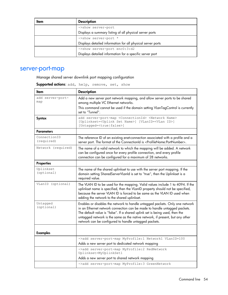| Item | <b>Description</b>                                          |
|------|-------------------------------------------------------------|
|      | ->show server-port                                          |
|      | Displays a summary listing of all physical server ports     |
|      | ->show server-port *                                        |
|      | Displays detailed information for all physical server ports |
|      | ->show server-port enc0:3:d2                                |
|      | Displays detailed information for a specific server port    |

### server-port-map

Manage shared server downlink port mapping configuration

Supported actions: add, help, remove, set, show

| Item                       | <b>Description</b>                                                                                                                                                                                                                                                                                                                                                                  |
|----------------------------|-------------------------------------------------------------------------------------------------------------------------------------------------------------------------------------------------------------------------------------------------------------------------------------------------------------------------------------------------------------------------------------|
| add server-port-<br>map    | Add a new server port network mapping, and allow server ports to be shared<br>among multiple VC Ethernet networks.                                                                                                                                                                                                                                                                  |
|                            | This command cannot be used if the domain setting VLanTagControl is currently<br>set to "Tunnel".                                                                                                                                                                                                                                                                                   |
| <b>Syntax</b>              | add server-port-map <connectionid> <network name=""><br/>[Uplinkset=<uplink name="" set="">] [VLanID=<vlan id="">]<br/>[Untagged=<true false>]</true false></vlan></uplink></network></connectionid>                                                                                                                                                                                |
| <b>Parameters</b>          |                                                                                                                                                                                                                                                                                                                                                                                     |
| ConnectionID<br>(required) | The reference ID of an existing enet-connection associated with a profile and a<br>server port. The format of the ConnectionId is <profilename:portnumber>.</profilename:portnumber>                                                                                                                                                                                                |
| Network (required)         | The name of a valid network to which the mapping will be added. A network<br>can be configured once for every profile connection, and every profile<br>connection can be configured for a maximum of 28 networks.                                                                                                                                                                   |
| <b>Properties</b>          |                                                                                                                                                                                                                                                                                                                                                                                     |
| Uplinkset<br>(optional)    | The name of the shared uplinkset to use with the server port mapping. If the<br>domain setting SharedServerVLanId is set to "true", then the Uplinkset is a<br>required value.                                                                                                                                                                                                      |
| VLanID (optional)          | The VLAN ID to be used for the mapping. Valid values include 1 to 4094. If the<br>uplinkset name is specified, then the VLanID property should not be specified,<br>because the server VLAN ID is forced to be same as the VLAN ID used when<br>adding the network to the shared uplinkset.                                                                                         |
| Untagged<br>(optional)     | Enables or disables the network to handle untagged packets. Only one network<br>in an Ethernet network connection can be made to handle untagged packets.<br>The default value is "false". If a shared uplink set is being used, then the<br>untagged network is the same as the native network, if present, but any other<br>network can be configured to handle untagged packets. |
| <b>Examples</b>            |                                                                                                                                                                                                                                                                                                                                                                                     |
|                            | ->add server-port-map MyProfile:1 Network1 VLanID=100                                                                                                                                                                                                                                                                                                                               |
|                            | Adds a new server port to dedicated network mapping                                                                                                                                                                                                                                                                                                                                 |
|                            | ->add server-port-map MyProfile:2 RedNetwork<br>Uplinkset=MyUplinkSet1                                                                                                                                                                                                                                                                                                              |
|                            | Adds a new server port to shared network mapping                                                                                                                                                                                                                                                                                                                                    |
|                            | ->add server-port-map MyProfile:3 GreenNetwork                                                                                                                                                                                                                                                                                                                                      |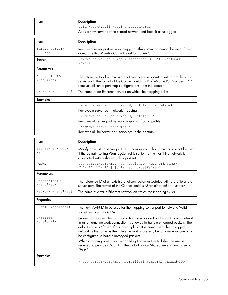| Item                       | <b>Description</b>                                                                                                                                                                                                                                       |
|----------------------------|----------------------------------------------------------------------------------------------------------------------------------------------------------------------------------------------------------------------------------------------------------|
|                            | Uplinkset=MyUplinkset1 UnTagged=true                                                                                                                                                                                                                     |
|                            | Adds a new server port to shared network and label it as untagged                                                                                                                                                                                        |
|                            |                                                                                                                                                                                                                                                          |
| ltem                       | <b>Description</b>                                                                                                                                                                                                                                       |
| remove server-<br>port-map | Remove a server port network mapping. This command cannot be used if the<br>domain setting VLanTagControl is set to "Tunnel".                                                                                                                            |
| Syntax                     | remove server-port-map <connectionid *=""  =""> [<network<br>Name&gt;1</network<br></connectionid>                                                                                                                                                       |
| <b>Parameters</b>          |                                                                                                                                                                                                                                                          |
| ConnectionID<br>(required) | The reference ID of an existing enet-connection associated with a profile and a<br>server port. The format of the ConnectionId is <profilename:portnumber>. "*"<br/>removes all server-port-map configurations from the domain.</profilename:portnumber> |
| Network (optional)         | The name of an Ethernet network on which the mapping exists                                                                                                                                                                                              |
| <b>Examples</b>            |                                                                                                                                                                                                                                                          |
|                            | ->remove server-port-map MyProfile:1 RedNetwork                                                                                                                                                                                                          |
|                            | Removes a server port network mapping                                                                                                                                                                                                                    |
|                            | ->remove server-port-map MyProfile:1 *                                                                                                                                                                                                                   |
|                            | Removes all server port network mappings from a profile                                                                                                                                                                                                  |
|                            | ->remove server-port-map *                                                                                                                                                                                                                               |
|                            | Removes all the server port mappings in the domain                                                                                                                                                                                                       |

| ltem                       | <b>Description</b>                                                                                                                                                                                                                                                                                                                                                                                                                                                                                                                                   |
|----------------------------|------------------------------------------------------------------------------------------------------------------------------------------------------------------------------------------------------------------------------------------------------------------------------------------------------------------------------------------------------------------------------------------------------------------------------------------------------------------------------------------------------------------------------------------------------|
| set server-port-<br>map    | Modify an existing server port network mapping. This command cannot be used<br>if the domain setting VlanTagControl is set to "Tunnel" or if the network is<br>associated with a shared uplink port set.                                                                                                                                                                                                                                                                                                                                             |
| <b>Syntax</b>              | set server-port-map <connectionid> <network name=""><br/>[VLanID=<vlanid>] [UnTagged=<true false>]</true false></vlanid></network></connectionid>                                                                                                                                                                                                                                                                                                                                                                                                    |
| <b>Parameters</b>          |                                                                                                                                                                                                                                                                                                                                                                                                                                                                                                                                                      |
| ConnectionID<br>(required) | The reference ID of an existing enet-connection associated with a profile and a<br>server port. The format of the ConnectionId is <profilename:portnumber>.</profilename:portnumber>                                                                                                                                                                                                                                                                                                                                                                 |
| Network (required)         | The name of a valid Ethernet network on which the mapping exists                                                                                                                                                                                                                                                                                                                                                                                                                                                                                     |
| <b>Properties</b>          |                                                                                                                                                                                                                                                                                                                                                                                                                                                                                                                                                      |
| VLanID (optional)          | The new VLAN ID to be used for the mapping server port to network. Valid<br>values include 1 to 4094.                                                                                                                                                                                                                                                                                                                                                                                                                                                |
| Untagged<br>(optional)     | Enables or disables the network to handle untagged packets. Only one network<br>in an Ethernet network connection is allowed to handle untagged packets. The<br>default value is "false". If a shared uplink set is being used, the untagged<br>network is the same as the native network if present, but any network can also<br>be configured to handle untagged packets.<br>When changing a network untagged option from true to false, the user is<br>required to provide a VLanID if the global option SharedServerVLanId is set to<br>"false". |
| <b>Examples</b>            |                                                                                                                                                                                                                                                                                                                                                                                                                                                                                                                                                      |
|                            | ->set server-port-map MyProfile:1 Network1 VLanId=100                                                                                                                                                                                                                                                                                                                                                                                                                                                                                                |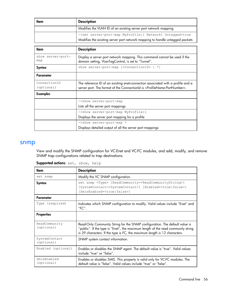| Item | <b>Description</b>                                                                                                                       |
|------|------------------------------------------------------------------------------------------------------------------------------------------|
|      | Modifies the VLAN ID of an existing server port network mapping                                                                          |
|      | ->set server-port-map MyProfile:1 Network1 Untagged=true<br>Modifies the existing server port network mapping to handle untagged packets |

| ltem                       | <b>Description</b>                                                                                                                                                                   |
|----------------------------|--------------------------------------------------------------------------------------------------------------------------------------------------------------------------------------|
| show server-port-<br>map   | Display a server port network mapping. This command cannot be used if the<br>domain setting, VLanTagControl, is set to "Tunnel".                                                     |
| Syntax                     | show server-port-map [ <connectionid> <math>  * ]</math></connectionid>                                                                                                              |
| Parameter                  |                                                                                                                                                                                      |
| ConnectionID<br>(optional) | The reference ID of an existing enet-connection associated with a profile and a<br>server port. The format of the ConnectionId is <profilename:portnumber>.</profilename:portnumber> |
| <b>Examples</b>            |                                                                                                                                                                                      |
|                            | ->show server-port-map                                                                                                                                                               |
|                            | Lists all the server port mappings                                                                                                                                                   |
|                            | ->show server-port-map MyProfile:1                                                                                                                                                   |
|                            | Displays the server port mapping for a profile                                                                                                                                       |
|                            | ->show server-port-map *                                                                                                                                                             |
|                            | Displays detailed output of all the server port mappings                                                                                                                             |

#### snmp

View and modify the SNMP configuration for VC-Enet and VC-FC modules, and add, modify, and remove SNMP trap configurations related to trap destinations.

| Item                        | <b>Description</b>                                                                                                                                                                                                                           |
|-----------------------------|----------------------------------------------------------------------------------------------------------------------------------------------------------------------------------------------------------------------------------------------|
| set snmp                    | Modify the VC SNMP configuration.                                                                                                                                                                                                            |
| Syntax                      | set snmp <type> [ReadCommunity=<readcommunitystring>]<br/>[SystemContact=<systemcontact>] [Enabled=<true false>]<br/>[SmisEnabled=<true false>]</true false></true false></systemcontact></readcommunitystring></type>                       |
| Parameter                   |                                                                                                                                                                                                                                              |
| Type (required)             | Indicates which SNMP configuration to modify. Valid values include "Enet" and<br>"FC".                                                                                                                                                       |
| <b>Properties</b>           |                                                                                                                                                                                                                                              |
| ReadCommunity<br>(optional) | Read-Only Community String for the SNMP configuration. The default value is<br>"public". If the type is "Enet", the maximum length of the read community string<br>is 39 characters. If the type is FC, the maximum length is 12 characters. |
| SystemContact<br>(optional) | SNMP system contact information.                                                                                                                                                                                                             |
| Enabled (optional)          | Enables or disables the SNMP agent. The default value is "true". Valid values<br>include "true" or "false".                                                                                                                                  |
| SmisEnabled<br>(optional)   | Enables or disables SMIS. This property is valid only for VC-FC modules. The<br>default value is "false". Valid values include "true" or "false".                                                                                            |

Supported actions: set, show, help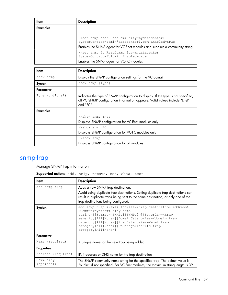| ltem     | <b>Description</b>                                                                                                                                                            |
|----------|-------------------------------------------------------------------------------------------------------------------------------------------------------------------------------|
| Examples |                                                                                                                                                                               |
|          |                                                                                                                                                                               |
|          | ->set snmp enet ReadCommunity=mydatacenter1<br>SystemContact=admin@datacenter1.com Enabled=true<br>Enables the SNMP agent for VC-Enet modules and supplies a community string |
|          | ->set snmp fc ReadCommunity=mydatacenter<br>SystemContact=FcAdmin Enabled=true<br>Enables the SNMP agent for VC-FC modules                                                    |

| ltem            | <b>Description</b>                                                                                                                                                            |
|-----------------|-------------------------------------------------------------------------------------------------------------------------------------------------------------------------------|
| show snmp       | Display the SNMP configuration settings for the VC domain.                                                                                                                    |
| Syntax          | show snmp [Type]                                                                                                                                                              |
| Parameter       |                                                                                                                                                                               |
| Type (optional) | Indicates the type of SNMP configuration to display. If the type is not specified,<br>all VC SNMP configuration information appears. Valid values include "Enet"<br>and "FC". |
| <b>Examples</b> |                                                                                                                                                                               |
|                 | ->show snmp Enet                                                                                                                                                              |
|                 | Displays SNMP configuration for VC-Enet modules only                                                                                                                          |
|                 | ->show snmp FC                                                                                                                                                                |
|                 | Displays SNMP configuration for VC-FC modules only                                                                                                                            |
|                 | $->$ show snmp                                                                                                                                                                |
|                 | Displays SNMP configuration for all modules                                                                                                                                   |

### snmp-trap

Manage SNMP trap information

Supported actions: add, help, remove, set, show, test

| ltem                    | <b>Description</b>                                                                                                                                                                                                                                                                                                                                                                                                                               |
|-------------------------|--------------------------------------------------------------------------------------------------------------------------------------------------------------------------------------------------------------------------------------------------------------------------------------------------------------------------------------------------------------------------------------------------------------------------------------------------|
| add snmp-trap           | Adds a new SNMP trap destination.<br>Avoid using duplicate trap destinations. Setting duplicate trap destinations can<br>result in duplicate traps being sent to the same destination, or only one of the<br>trap destinations being configured.                                                                                                                                                                                                 |
| Syntax                  | add snmp-trap <name> Address=<trap address="" destination=""><br/>[Community=<community name<br="">string&gt;][Format=<snmpv1 snmpv2>][Severity=<trap<br>severity   All   None&gt;] [DomainCategories=<domain trap<br="">category   All   None&gt;] [EnetCategories=<enet trap<br="">category   All   None&gt;] [FcCategories=<fc trap<br="">category   All   None&gt;]</fc></enet></domain></trap<br></snmpv1 snmpv2></community></trap></name> |
| Parameter               |                                                                                                                                                                                                                                                                                                                                                                                                                                                  |
| Name (required)         | A unique name for the new trap being added                                                                                                                                                                                                                                                                                                                                                                                                       |
| <b>Properties</b>       |                                                                                                                                                                                                                                                                                                                                                                                                                                                  |
| Address (required)      | IPv4 address or DNS name for the trap destination                                                                                                                                                                                                                                                                                                                                                                                                |
| Community<br>(optional) | The SNMP community name string for the specified trap. The default value is<br>"public" if not specified. For VC-Enet modules, the maximum string length is 39.                                                                                                                                                                                                                                                                                  |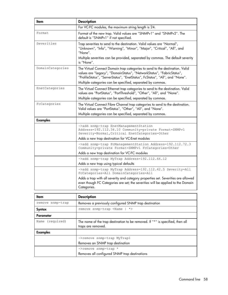| Item             | <b>Description</b>                                                                                                                                                                                                                                                                                  |
|------------------|-----------------------------------------------------------------------------------------------------------------------------------------------------------------------------------------------------------------------------------------------------------------------------------------------------|
|                  | For VC-FC modules, the maximum string length is 24.                                                                                                                                                                                                                                                 |
| Format           | Format of the new trap. Valid values are "SNMPv1" and "SNMPv2". The<br>default is "SNMPv1" if not specified.                                                                                                                                                                                        |
| Severities       | Trap severities to send to the destination. Valid values are "Normal",<br>"Unknown", "Info", "Warning", "Minor", "Major", "Critical", "All", and<br>"None".<br>Multiple severities can be provided, separated by commas. The default severity<br>is "None".                                         |
| DomainCategories | The Virtual Connect Domain trap categories to send to the destination. Valid<br>values are "Legacy", "DomainStatus", "NetworkStatus", "FabricStatus",<br>"ProfileStatus", "ServerStatus", "EnetStatus", FcStatus", "All", and "None".<br>Multiple categories can be specified, separated by commas. |
| EnetCategories   | The Virtual Connect Ethernet trap categories to send to the destination. Valid<br>values are "PortStatus", "PortThreshold", "Other", "All", and "None".<br>Multiple categories can be specified, separated by commas.                                                                               |
| FcCategories     | The Virtual Connect Fibre Channel trap categories to send to the destination.<br>Valid values are "PortStatus", "Other", "All", and "None".                                                                                                                                                         |
|                  | Multiple categories can be specified, separated by commas.                                                                                                                                                                                                                                          |
| <b>Examples</b>  |                                                                                                                                                                                                                                                                                                     |
|                  | ->add snmp-trap EnetManagementStation<br>Address=192.112.34.10 Community=private Format=SNMPv1<br>Severity=Normal, Critical EnetCategories=Other                                                                                                                                                    |
|                  | Adds a new trap destination for VC-Enet modules                                                                                                                                                                                                                                                     |
|                  | ->add snmp-trap FcManagementStation Address=192.112.72.3<br>Community=private Format=SNMPv1 FcCategories=Other<br>Adds a new trap destination for VC-FC modules                                                                                                                                     |
|                  | ->add snmp-trap MyTrap Address=192.112.66.12                                                                                                                                                                                                                                                        |
|                  | Adds a new trap using typical defaults                                                                                                                                                                                                                                                              |
|                  | ->add snmp-trap MyTrap Address=192.112.42.5 Severity=All<br>FcCategories=All DomainCategories=All                                                                                                                                                                                                   |
|                  | Adds a trap with all severity and category properties set. Severities are allowed<br>even though FC Categories are set; the severities will be applied to the Domain<br>Categories.                                                                                                                 |
| Item             | <b>Description</b>                                                                                                                                                                                                                                                                                  |
| remove snmp-trap |                                                                                                                                                                                                                                                                                                     |
|                  | Removes a previously configured SNMP trap destination<br>remove snmp-trap <name<br>*&gt;</name<br>                                                                                                                                                                                                  |
| Syntax           |                                                                                                                                                                                                                                                                                                     |
| Parameter        |                                                                                                                                                                                                                                                                                                     |

| The name of the trap destination to be removed. If "*" is specified, then all<br>traps are removed. |
|-----------------------------------------------------------------------------------------------------|
|                                                                                                     |
| ->remove snmp-trap MyTrap1                                                                          |
| Removes an SNMP trap destination                                                                    |
| $\rightarrow$ remove snmp-trap *                                                                    |
| Removes all configured SNMP trap destinations                                                       |
|                                                                                                     |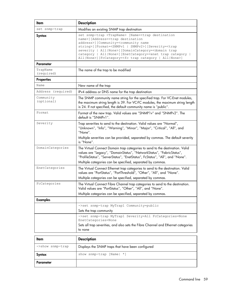| Item                    | <b>Description</b>                                                                                                                                                                                                                                                                                                                                                                                                                                                                                      |
|-------------------------|---------------------------------------------------------------------------------------------------------------------------------------------------------------------------------------------------------------------------------------------------------------------------------------------------------------------------------------------------------------------------------------------------------------------------------------------------------------------------------------------------------|
| set snmp-trap           | Modifies an existing SNMP trap destination                                                                                                                                                                                                                                                                                                                                                                                                                                                              |
| <b>Syntax</b>           | set snmp-trap <trapname> [Name=<trap destination<br="">name&gt;][Address=<trap destination<br="">address&gt;][Community=<community name<br="">string&gt;][Format=<snmpv1 snmpv2=""  ="">][Severity=<trap<br>severity   All None&gt;] [DomainCategory=<domain trap<br="">category   All None&gt;] [EnetCategory=<enet category="" trap=""  <br="">All   None&gt;] [FcCategory=<fc all="" category="" none="" trap=""  ="">]</fc></enet></domain></trap<br></snmpv1></community></trap></trap></trapname> |
| Parameter               |                                                                                                                                                                                                                                                                                                                                                                                                                                                                                                         |
| TrapName<br>(required)  | The name of the trap to be modified                                                                                                                                                                                                                                                                                                                                                                                                                                                                     |
| <b>Properties</b>       |                                                                                                                                                                                                                                                                                                                                                                                                                                                                                                         |
| Name                    | New name of the trap                                                                                                                                                                                                                                                                                                                                                                                                                                                                                    |
| Address (required)      | IPv4 address or DNS name for the trap destination                                                                                                                                                                                                                                                                                                                                                                                                                                                       |
| Community<br>(optional) | The SNMP community name string for the specified trap. For VC-Enet modules,<br>the maximum string length is 39. For VC-FC modules, the maximum string length<br>is 24. If not specified, the default community name is "public".                                                                                                                                                                                                                                                                        |
| Format                  | Format of the new trap. Valid values are "SNMP1v" and "SNMPv2". The<br>default is "SNMPv1".                                                                                                                                                                                                                                                                                                                                                                                                             |
| Severity                | Trap severities to send to the destination. Valid values are "Normal",<br>"Unknown", "Info", "Warning", "Minor", "Major", "Critical", "All", and<br>"None".<br>Multiple severities can be provided, separated by commas. The default severity<br>is "None".                                                                                                                                                                                                                                             |
| DomainCategories        | The Virtual Connect Domain trap categories to send to the destination. Valid<br>values are "Legacy", "DomainStatus", "NetworkStatus", "FabricStatus",<br>"ProfileStatus", "ServerStatus", "EnetStatus", FcStatus", "All", and "None".<br>Multiple categories can be specified, separated by commas.                                                                                                                                                                                                     |
| EnetCategories          | The Virtual Connect Ethernet trap categories to send to the destination. Valid<br>values are "PortStatus", "PortThreshold", "Other", "All", and "None".<br>Multiple categories can be specified, separated by commas.                                                                                                                                                                                                                                                                                   |
| FcCategories            | The Virtual Connect Fibre Channel trap categories to send to the destination.<br>Valid values are "PortStatus", "Other", "All", and "None".<br>Multiple categories can be specified, separated by commas.                                                                                                                                                                                                                                                                                               |
| <b>Examples</b>         |                                                                                                                                                                                                                                                                                                                                                                                                                                                                                                         |
|                         | ->set snmp-trap MyTrap1 Community=public<br>Sets the trap community                                                                                                                                                                                                                                                                                                                                                                                                                                     |
|                         | ->set snmp-trap MyTrap1 Severity=All FcCategories=None<br>EnetCategories=None<br>Sets all trap severities, and also sets the Fibre Channel and Ethernet categories<br>to none                                                                                                                                                                                                                                                                                                                           |
|                         |                                                                                                                                                                                                                                                                                                                                                                                                                                                                                                         |
| Item                    | <b>Description</b>                                                                                                                                                                                                                                                                                                                                                                                                                                                                                      |

| Item             | <b>Description</b>                                |
|------------------|---------------------------------------------------|
| ->show snmp-trap | Displays the SNMP traps that have been configured |
| Syntax           | show snmp-trap [Name] $*$ ]                       |
| Parameter        |                                                   |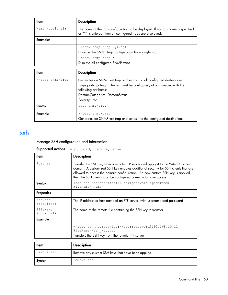| Item            | <b>Description</b>                                                                                                                               |
|-----------------|--------------------------------------------------------------------------------------------------------------------------------------------------|
| Name (optional) | The name of the trap configuration to be displayed. If no trap name is specified,<br>or "*" is entered, then all configured traps are displayed. |
| <b>Examples</b> |                                                                                                                                                  |
|                 | ->show snmp-trap MyTrap1                                                                                                                         |
|                 | Displays the SNMP trap configuration for a single trap                                                                                           |
|                 | $\rightarrow$ show snmp-trap *                                                                                                                   |
|                 | Displays all configured SNMP traps                                                                                                               |

| ltem             | <b>Description</b>                                                                                  |
|------------------|-----------------------------------------------------------------------------------------------------|
| ->test snmp-trap | Generates an SNMP test trap and sends it to all configured destinations.                            |
|                  | Traps participating in the test must be configured, at a minimum, with the<br>following attributes: |
|                  | DomainCategories: DomainStatus                                                                      |
|                  | Severity: Info                                                                                      |
| Syntax           | test snmp-trap                                                                                      |
| Example          | ->test snmp-trap                                                                                    |
|                  | Generates an SNMP test trap and sends it to the configured destinations                             |

### ssh

Manage SSH configuration and information.

Supported actions: help, load, remove, show

| Item                   | <b>Description</b>                                                                                                                                                                                                                                                                                                             |
|------------------------|--------------------------------------------------------------------------------------------------------------------------------------------------------------------------------------------------------------------------------------------------------------------------------------------------------------------------------|
| load ssh               | Transfer the SSH key from a remote FTP server and apply it to the Virtual Connect<br>domain. A customized SSH key enables additional security for SSH clients that are<br>allowed to access the domain configuration. If a new custom SSH key is applied,<br>then the SSH clients must be configured correctly to have access. |
| Syntax                 | load ssh Address= <ftp: user:password@ipaddress=""><br/>FileName=<name></name></ftp:>                                                                                                                                                                                                                                          |
| <b>Properties</b>      |                                                                                                                                                                                                                                                                                                                                |
| Address<br>(required)  | The IP address or host name of an FTP server, with username and password                                                                                                                                                                                                                                                       |
| FileName<br>(optional) | The name of the remote file containing the SSH key to transfer                                                                                                                                                                                                                                                                 |
| Example                |                                                                                                                                                                                                                                                                                                                                |
|                        | ->load ssh Address=ftp://user:password@192.168.10.12<br>FileName=/ssh key.pub                                                                                                                                                                                                                                                  |
|                        | Transfers the SSH key from the remote FTP server                                                                                                                                                                                                                                                                               |
|                        |                                                                                                                                                                                                                                                                                                                                |

| Item       | <b>Description</b>                                 |
|------------|----------------------------------------------------|
| remove ssh | Remove any custom SSH keys that have been applied. |
| Svntax     | remove ssh                                         |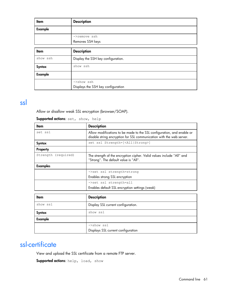| Item           | <b>Description</b>                 |
|----------------|------------------------------------|
| <b>Example</b> |                                    |
|                | ->remove ssh                       |
|                | Removes SSH keys                   |
|                |                                    |
| <b>Item</b>    | <b>Description</b>                 |
| show ssh       | Display the SSH key configuration. |
| <b>Syntax</b>  | show ssh                           |
| <b>Example</b> |                                    |
|                | $\rightarrow$ show ssh             |
|                | Displays the SSH key configuration |

### ssl

Allow or disallow weak SSL encryption (browser/SOAP).

| ltem                | <b>Description</b>                                                                                                                             |
|---------------------|------------------------------------------------------------------------------------------------------------------------------------------------|
| set ssl             | Allow modifications to be made to the SSL configuration, and enable or<br>disable string encryption for SSL communication with the web server. |
| Syntax              | set ssl Strength=[ <all strong>]</all strong>                                                                                                  |
| Property            |                                                                                                                                                |
| Strength (required) | The strength of the encryption cipher. Valid values include "All" and<br>"Strong". The default value is "All".                                 |
| <b>Examples</b>     |                                                                                                                                                |
|                     | ->set ssl strength=strong                                                                                                                      |
|                     | Enables strong SSL encryption                                                                                                                  |
|                     | ->set ssl strength=all                                                                                                                         |
|                     | Enables default SSL encryption settings (weak)                                                                                                 |
|                     |                                                                                                                                                |
| ltem                | <b>Description</b>                                                                                                                             |
| show ssl            | Display SSL current configuration.                                                                                                             |

Supported actions: set, show, help

| Item     | <b>Description</b>                 |
|----------|------------------------------------|
| show ssl | Display SSL current configuration. |
| Syntax   | show ssl                           |
| Example  |                                    |
|          | ->show ssl                         |
|          | Displays SSL current configuration |

## ssl-certificate

View and upload the SSL certificate from a remote FTP server.

Supported actions: help, load, show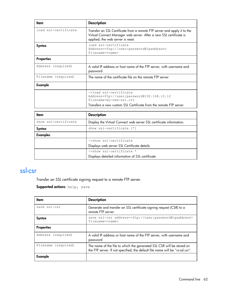| ltem                 | <b>Description</b>                                                                                                                                                                  |
|----------------------|-------------------------------------------------------------------------------------------------------------------------------------------------------------------------------------|
| load ssl-certificate | Transfer an SSL Certificate from a remote FTP server and apply it to the<br>Virtual Connect Manager web server. After a new SSL certificate is<br>applied, the web server is reset. |
| Syntax               | load ssl-certificate<br>Address= <ftp: user:password@ipaddress=""><br/>Filename=<name></name></ftp:>                                                                                |
| <b>Properties</b>    |                                                                                                                                                                                     |
| Address (required)   | A valid IP address or host name of the FTP server, with username and<br>password                                                                                                    |
| Filename (required)  | The name of the certificate file on the remote FTP server                                                                                                                           |
| Example              |                                                                                                                                                                                     |
|                      | ->load ssl-certificate<br>Address=ftp://user:password@192.168.10.12<br>Filename=my-new-ssl.crt                                                                                      |
|                      | Transfers a new custom SSL Certificate from the remote FTP server                                                                                                                   |
| ltem                 | <b>Description</b>                                                                                                                                                                  |

| неш                  | <b>DESCRIPTION</b>                                                  |
|----------------------|---------------------------------------------------------------------|
| show ssl-certificate | Display the Virtual Connect web server SSL certificate information. |
| Syntax               | show ssl-certificate [*]                                            |
| Examples             |                                                                     |
|                      | ->show ssl-certificate                                              |
|                      | Displays web server SSL Certificate details                         |
|                      | ->show ssl-certificate *                                            |
|                      | Displays detailed information of SSL certificate                    |

## ssl-csr

Transfer an SSL certificate signing request to a remote FTP server.

```
Supported actions: help, save
```

| ltem                   | <b>Description</b>                                                                                                                                     |
|------------------------|--------------------------------------------------------------------------------------------------------------------------------------------------------|
| save ssl-csr           | Generate and transfer an SSL certificate signing request (CSR) to a<br>remote FTP server.                                                              |
| Syntax                 | save ssl-csr address= <ftp: user:password@ipaddress=""><br/>filename=<name></name></ftp:>                                                              |
| <b>Properties</b>      |                                                                                                                                                        |
| Address (required)     | A valid IP address or host name of the FTP server, with username and<br>password                                                                       |
| Filename<br>(required) | The name of the file to which the generated SSL CSR will be stored on<br>the FTP server. If not specified, the default file name will be "vc-ssl.csr". |
| Example                |                                                                                                                                                        |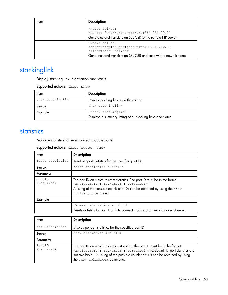| ltem | <b>Description</b>                                                                                                         |
|------|----------------------------------------------------------------------------------------------------------------------------|
|      | ->save ssl-csr<br>address=ftp://user:password@192.168.10.12<br>Generates and transfers an SSL CSR to the remote FTP server |
|      | ->save ssl-csr<br>address=ftp://user:password@192.168.10.12<br>filename=new-ssl.csr                                        |
|      | Generates and transfers an SSL CSR and save with a new filename                                                            |

# stackinglink

Display stacking link information and status.

Supported actions: help, show

| <b>Description</b>                                                                 |
|------------------------------------------------------------------------------------|
| Display stacking links and their status.                                           |
| show stackinglink                                                                  |
| ->show stackinglink<br>Displays a summary listing of all stacking links and status |
|                                                                                    |

#### statistics

Manage statistics for interconnect module ports.

Supported actions: help, reset, show

| ltem                 | <b>Description</b>                                                                                                                                                                                                                                                 |
|----------------------|--------------------------------------------------------------------------------------------------------------------------------------------------------------------------------------------------------------------------------------------------------------------|
| reset statistics     | Reset per-port statistics for the specified port ID.                                                                                                                                                                                                               |
| Syntax               | reset statistics <portid></portid>                                                                                                                                                                                                                                 |
| Parameter            |                                                                                                                                                                                                                                                                    |
| PortID<br>(required) | The port ID on which to reset statistics. The port ID must be in the format<br><enclosureid>:<baynumber>:<portlabel><br/>A listing of the possible uplink port IDs can be obtained by using the show<br/>uplinkport command.</portlabel></baynumber></enclosureid> |
| Example              |                                                                                                                                                                                                                                                                    |
|                      | ->reset statistics enc0:3:1<br>Resets statistics for port 1 on interconnect module 3 of the primary enclosure.                                                                                                                                                     |

| Item                 | <b>Description</b>                                                                                                                                                                                                                                                                                                   |
|----------------------|----------------------------------------------------------------------------------------------------------------------------------------------------------------------------------------------------------------------------------------------------------------------------------------------------------------------|
| show statistics      | Display per-port statistics for the specified port ID.                                                                                                                                                                                                                                                               |
| <b>Syntax</b>        | show statistics <portid></portid>                                                                                                                                                                                                                                                                                    |
| Parameter            |                                                                                                                                                                                                                                                                                                                      |
| PortID<br>(required) | The port ID on which to display statistics. The port ID must be in the format<br><enclosureid>:<baynumber>:<portlabel>. FC downlink port statistics are<br/>not available. A listing of the possible uplink port IDs can be obtained by using<br/>the show uplinkport command.</portlabel></baynumber></enclosureid> |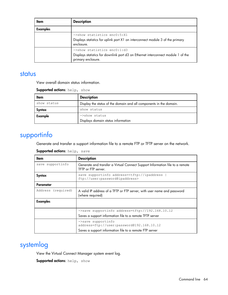| Item            | <b>Description</b>                                                                                                                                    |
|-----------------|-------------------------------------------------------------------------------------------------------------------------------------------------------|
| <b>Examples</b> |                                                                                                                                                       |
|                 | ->show statistics enc0:5:X1<br>Displays statistics for uplink port X1 on interconnect module 3 of the primary<br>enclosure.                           |
|                 | $\rightarrow$ show statistics enc $0:1:d3$<br>Displays statistics for downlink port d3 on Ethernet interconnect module 1 of the<br>primary enclosure. |

#### status

View overall domain status information.

| <b>Supported actions: help, show</b> |  |
|--------------------------------------|--|
|--------------------------------------|--|

| Item        | <b>Description</b>                                                 |
|-------------|--------------------------------------------------------------------|
| show status | Display the status of the domain and all components in the domain. |
| Syntax      | show status                                                        |
| Example     | ->show status<br>Displays domain status information                |

## supportinfo

Generate and transfer a support information file to a remote FTP or TFTP server on the network.

#### Supported actions: help, save

| ltem               | <b>Description</b>                                                                                  |
|--------------------|-----------------------------------------------------------------------------------------------------|
| save supportinfo   | Generate and transfer a Virtual Connect Support Information file to a remote<br>TFTP or FTP server. |
| Syntax             | save supportinfo address= <tftp: ipaddress<br="">ftp://user:password@ipaddress&gt;</tftp:>          |
| Parameter          |                                                                                                     |
| Address (required) | A valid IP address of a TFTP or FTP server, with user name and password<br>(where required)         |
| <b>Examples</b>    |                                                                                                     |
|                    | ->save supportinfo address=tftp://192.168.10.12                                                     |
|                    | Saves a support information file to a remote TFTP server                                            |
|                    | ->save supportinfo<br>address=ftp://user:password@192.168.10.12                                     |
|                    | Saves a support information file to a remote FTP server                                             |

## systemlog

View the Virtual Connect Manager system event log.

Supported actions: help, show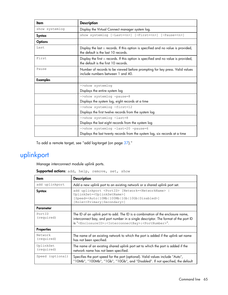| Item            | <b>Description</b>                                                                                                         |
|-----------------|----------------------------------------------------------------------------------------------------------------------------|
| show systemlog  | Display the Virtual Connect manager system log.                                                                            |
| Syntax          | show systemloq [-Last= <n>] [-First=<n>] [-Pause=<n>]</n></n></n>                                                          |
| <b>Options</b>  |                                                                                                                            |
| Last            | Display the last $n$ records. If this option is specified and no value is provided,<br>the default is the last 10 records. |
| First           | Display the first n records. If this option is specified and no value is provided,<br>the default is the first 10 records. |
| Pause           | Number of records to be viewed before prompting for key press. Valid values<br>include numbers between 1 and 40.           |
| <b>Examples</b> |                                                                                                                            |
|                 | ->show systemlog                                                                                                           |
|                 | Displays the entire system log                                                                                             |
|                 | ->show systemlog -pause=8                                                                                                  |
|                 | Displays the system log, eight records at a time                                                                           |
|                 | ->show systemlog -first=12                                                                                                 |
|                 | Displays the first twelve records from the system log                                                                      |
|                 | ->show systemlog -last=8                                                                                                   |
|                 | Displays the last eight records from the system log                                                                        |
|                 | ->show systemlog -last=20 -pause=6                                                                                         |
|                 | Displays the last twenty records from the system log, six records at a time                                                |

To add a remote target, see "add log-target (on page [37\)](#page-36-0)."

# uplinkport

Manage interconnect module uplink ports.

Supported actions: add, help, remove, set, show

| ltem                    | <b>Description</b>                                                                                                                                                                                                                                                         |
|-------------------------|----------------------------------------------------------------------------------------------------------------------------------------------------------------------------------------------------------------------------------------------------------------------------|
| add uplinkport          | Add a new uplink port to an existing network or a shared uplink port set.                                                                                                                                                                                                  |
| Syntax                  | add uplinkport <portid> [Network=<networkname>  <br/>UplinkSet=<uplinksetname>]<br/>[Speed=<auto 10mb 100mb 1gb 10gb disabled>]<br/>[Role=<primary secondary>]</primary secondary></auto 10mb 100mb 1gb 10gb disabled></uplinksetname></networkname></portid>              |
| <b>Parameter</b>        |                                                                                                                                                                                                                                                                            |
| Port.ID<br>(required)   | The ID of an uplink port to add. The ID is a combination of the enclosure name,<br>interconnect bay, and port number in a single descriptor. The format of the port ID<br>is " <enclosureid>:<interconnectbay>:<portnumber>".</portnumber></interconnectbay></enclosureid> |
| <b>Properties</b>       |                                                                                                                                                                                                                                                                            |
| Network<br>(required)   | The name of an existing network to which the port is added if the uplink set name<br>has not been specified.                                                                                                                                                               |
| UplinkSet<br>(required) | The name of an existing shared uplink port set to which the port is added if the<br>network name has not been specified.                                                                                                                                                   |
| Speed (optional)        | Specifies the port speed for the port (optional). Valid values include "Auto",<br>"10Mb", "100Mb", "1Gb", "10Gb", and "Disabled". If not specified, the default                                                                                                            |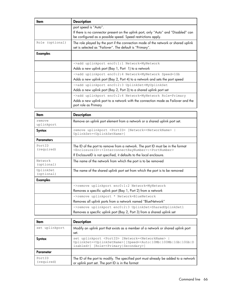| ltem            | <b>Description</b>                                                                                                                                  |
|-----------------|-----------------------------------------------------------------------------------------------------------------------------------------------------|
|                 | port speed is "Auto".                                                                                                                               |
|                 | If there is no connector present on the uplink port, only "Auto" and "Disabled" can<br>be configured as a possible speed. Speed restrictions apply. |
| Role (optional) | The role played by the port if the connection mode of the network or shared uplink<br>set is selected as "Failover". The default is "Primary".      |
| <b>Examples</b> |                                                                                                                                                     |
|                 | ->add uplinkport enc0:1:1 Network=MyNetwork                                                                                                         |
|                 | Adds a new uplink port (Bay 1, Port 1) to a network                                                                                                 |
|                 | ->add uplinkport enc0:2:4 Network=MyNetwork Speed=1Gb                                                                                               |
|                 | Adds a new uplink port (Bay 2, Port 4) to a network and sets the port speed                                                                         |
|                 | ->add uplinkport enc0:2:3 UplinkSet=MyUplinkSet                                                                                                     |
|                 | Adds a new uplink port (Bay 2, Port 3) to a shared uplink port set                                                                                  |
|                 | ->add uplinkport enc0:2:4 Network=MyNetwork Role=Primary                                                                                            |
|                 | Adds a new uplink port to a network with the connection mode as Failover and the<br>port role as Primary                                            |
|                 |                                                                                                                                                     |

| ltem                    | <b>Description</b>                                                                                                                                                                      |
|-------------------------|-----------------------------------------------------------------------------------------------------------------------------------------------------------------------------------------|
| remove<br>uplinkport    | Remove an uplink port element from a network or a shared uplink port set.                                                                                                               |
| Syntax                  | remove uplinkport <portid> [Network=<networkname>  <br/>UplinkSet=<uplinksetname>]</uplinksetname></networkname></portid>                                                               |
| <b>Parameters</b>       |                                                                                                                                                                                         |
| PortID<br>(required)    | The ID of the port to remove from a network. The port ID must be in the format<br><enclosureid>:<interconnectbaynumber>:<portnumber></portnumber></interconnectbaynumber></enclosureid> |
|                         | If EnclosureID is not specified, it defaults to the local enclosure.                                                                                                                    |
| Network<br>(optional)   | The name of the network from which the port is to be removed                                                                                                                            |
| UplinkSet<br>(optional) | The name of the shared uplink port set from which the port is to be removed                                                                                                             |
| <b>Examples</b>         |                                                                                                                                                                                         |
|                         | ->remove uplinkport enc0:1:2 Network=MyNetwork<br>Removes a specific uplink port (Bay 1, Port 2) from a network                                                                         |
|                         | ->remove uplinkport * Network=BlueNetwork                                                                                                                                               |
|                         | Removes all uplink ports from a network named "BlueNetwork"                                                                                                                             |
|                         | ->remove uplinkport enc0:2:3 UplinkSet=SharedUplinkSet1                                                                                                                                 |
|                         | Removes a specific uplink port (Bay 2, Port 3) from a shared uplink set                                                                                                                 |
|                         |                                                                                                                                                                                         |

| ltem                 | <b>Description</b>                                                                                                                                                                                                                                      |
|----------------------|---------------------------------------------------------------------------------------------------------------------------------------------------------------------------------------------------------------------------------------------------------|
| set uplinkport       | Modify an uplink port that exists as a member of a network or shared uplink port<br>set.                                                                                                                                                                |
| Syntax               | set uplinkport <portid> [Network=<networkname>  <br/>UplinkSet=<uplinksetname>][Speed=<auto 10mb 100mb 1gb 10gb d<br>isabled&gt;] [Role=<primary secondary>]</primary secondary></auto 10mb 100mb 1gb 10gb d<br></uplinksetname></networkname></portid> |
| Parameter            |                                                                                                                                                                                                                                                         |
| PortID<br>(required) | The ID of the port to modify. The specified port must already be added to a network<br>or uplink port set. The port ID is in the format                                                                                                                 |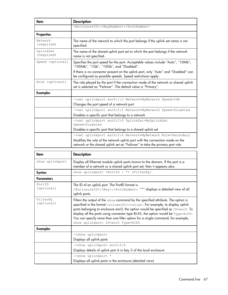| Item                    | <b>Description</b>                                                                                                                                           |
|-------------------------|--------------------------------------------------------------------------------------------------------------------------------------------------------------|
|                         | <enclosureid>:<baynumber>:<portnumber></portnumber></baynumber></enclosureid>                                                                                |
| <b>Properties</b>       |                                                                                                                                                              |
| Network<br>(required)   | The name of the network to which the port belongs if the uplink set name is not<br>specified.                                                                |
| UplinkSet<br>(required) | The name of the shared uplink port set to which the port belongs if the network<br>name is not specified.                                                    |
| Speed (optional)        | Specifies the port speed for the port. Acceptable values include "Auto", "10Mb",<br>"100Mb", "1Gb", "10Gb", and "Disabled".                                  |
|                         | If there is no connector present on the uplink port, only "Auto" and "Disabled" can<br>be configured as possible speeds. Speed restrictions apply.           |
| Role (optional)         | The role played by the port if the connection mode of the network or shared uplink<br>set is selected as "Failover". The default value is "Primary".         |
| <b>Examples</b>         |                                                                                                                                                              |
|                         | ->set uplinkport enc0:1:2 Network=MyNetwork Speed=1Gb                                                                                                        |
|                         | Changes the port speed of a network port                                                                                                                     |
|                         | ->set uplinkport enc0:2:1 Network=MyNetwork Speed=Disabled                                                                                                   |
|                         | Disables a specific port that belongs to a network                                                                                                           |
|                         | ->set uplinkport enc0:2:4 UplinkSet=MyUplinkSet<br>Speed=Disabled                                                                                            |
|                         | Disables a specific port that belongs to a shared uplink set                                                                                                 |
|                         | ->set uplinkport enc0:2:4 Network=MyNetwork Role=Secondary                                                                                                   |
|                         | Modifies the role of the network uplink port with the connection mode on the<br>network or the shared uplink set as "Failover" to take the primary port role |

| ltem                   | <b>Description</b>                                                                                                                                                                                                                                                                                                                                                                                                                                                                                                |
|------------------------|-------------------------------------------------------------------------------------------------------------------------------------------------------------------------------------------------------------------------------------------------------------------------------------------------------------------------------------------------------------------------------------------------------------------------------------------------------------------------------------------------------------------|
| show uplinkport        | Display all Ethernet module uplink ports known to the domain. If the port is a<br>member of a network or a shared uplink port set, then it appears also.                                                                                                                                                                                                                                                                                                                                                          |
| Syntax                 | show uplinkport <portid *=""  =""> [FilterBy]</portid>                                                                                                                                                                                                                                                                                                                                                                                                                                                            |
| <b>Parameters</b>      |                                                                                                                                                                                                                                                                                                                                                                                                                                                                                                                   |
| Port.ID<br>(optional)  | The ID of an uplink port. The PortID format is<br><enclosureid>:<bay>:<portnumber>. "*" displays a detailed view of all<br/>uplink ports.</portnumber></bay></enclosureid>                                                                                                                                                                                                                                                                                                                                        |
| FilterBy<br>(optional) | Filters the output of the $\frac{1}{2}$ show command by the specified attribute. The option is<br>specified in the format <columnid>=<value>. For example, to display uplink<br/>ports belonging to enclosure enc0, the option would be specified as ID=enc0. To<br/>display all the ports using connector type RJ-45, the option would be <math>Type = RJ45</math>.<br/>You can specify more than one filter option for a single command; for example,<br/>show uplinkport ID=enc0 Type=RJ45.</value></columnid> |
| <b>Examples</b>        |                                                                                                                                                                                                                                                                                                                                                                                                                                                                                                                   |
|                        | ->show uplinkport<br>Displays all uplink ports                                                                                                                                                                                                                                                                                                                                                                                                                                                                    |
|                        | ->show uplinkport enc0:5:6<br>Displays details of uplink port 6 in bay 5 of the local enclosure                                                                                                                                                                                                                                                                                                                                                                                                                   |
|                        | ->show uplinkport *<br>Displays all uplink ports in the enclosure (detailed view)                                                                                                                                                                                                                                                                                                                                                                                                                                 |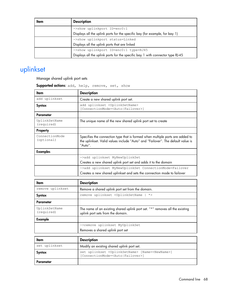| Item | <b>Description</b>                                                             |
|------|--------------------------------------------------------------------------------|
|      | ->show uplinkport ID=enc0:1                                                    |
|      | Displays all the uplink ports for the specific bay (for example, for bay 1)    |
|      | ->show uplinkport status=Linked                                                |
|      | Displays all the uplink ports that are linked                                  |
|      | ->show uplinkport ID=enc0:1 type=RJ45                                          |
|      | Displays all the uplink ports for the specific bay 1 with connector type RJ-45 |

# uplinkset

Manage shared uplink port sets

Supported actions: add, help, remove, set, show

| Item                         | <b>Description</b>                                                                                                                                                          |
|------------------------------|-----------------------------------------------------------------------------------------------------------------------------------------------------------------------------|
| add uplinkset                | Create a new shared uplink port set.                                                                                                                                        |
| Syntax                       | add uplinkset <uplinksetname><br/>[ConnectionMode=<auto failover>]</auto failover></uplinksetname>                                                                          |
| Parameter                    |                                                                                                                                                                             |
| UplinkSetName<br>(required)  | The unique name of the new shared uplink port set to create                                                                                                                 |
| Property                     |                                                                                                                                                                             |
| ConnectionMode<br>(optional) | Specifies the connection type that is formed when multiple ports are added to<br>the uplinkset. Valid values include "Auto" and "Failover". The default value is<br>"Auto". |
| <b>Examples</b>              |                                                                                                                                                                             |
|                              | ->add uplinkset MyNewUplinkSet                                                                                                                                              |
|                              | Creates a new shared uplink port set and adds it to the domain                                                                                                              |
|                              | ->add uplinkset MyNewUplinkSet ConnectionMode=Failover                                                                                                                      |
|                              | Creates a new shared uplinkset and sets the connection mode to failover                                                                                                     |

| ltem                        | <b>Description</b>                                                                                                |
|-----------------------------|-------------------------------------------------------------------------------------------------------------------|
| remove uplinkset            | Remove a shared uplink port set from the domain.                                                                  |
| Syntax                      | remove uplinkset <uplinksetname *=""  =""></uplinksetname>                                                        |
| Parameter                   |                                                                                                                   |
| UplinkSetName<br>(required) | The name of an existing shared uplink port set. "*" removes all the existing<br>uplink port sets from the domain. |
| Example                     |                                                                                                                   |
|                             | ->remove uplinkset MyUplinkSet                                                                                    |
|                             | Removes a shared uplink port set                                                                                  |

| Item          | <b>Description</b>                                                                                                            |
|---------------|-------------------------------------------------------------------------------------------------------------------------------|
| set uplinkset | Modify an existing shared uplink port set.                                                                                    |
| Svntax        | set uplinkset <uplinksetname> [Name=<newname>]<br/>[ConnectionMode=<auto failover>]</auto failover></newname></uplinksetname> |
| Parameter     |                                                                                                                               |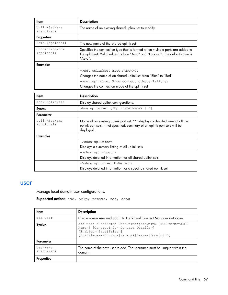| ltem                         | <b>Description</b>                                                                                                                                                          |
|------------------------------|-----------------------------------------------------------------------------------------------------------------------------------------------------------------------------|
| UplinkSetName<br>(required)  | The name of an existing shared uplink set to modify                                                                                                                         |
| <b>Properties</b>            |                                                                                                                                                                             |
| (optional)<br>Name           | The new name of the shared uplink set                                                                                                                                       |
| ConnectionMode<br>(optional) | Specifies the connection type that is formed when multiple ports are added to<br>the uplinkset. Valid values include "Auto" and "Failover". The default value is<br>"Auto". |
| <b>Examples</b>              |                                                                                                                                                                             |
|                              | ->set uplinkset Blue Name=Red                                                                                                                                               |
|                              | Changes the name of an shared uplink set from "Blue" to "Red"                                                                                                               |
|                              | ->set uplinkset Blue connectionMode=Failover                                                                                                                                |
|                              | Changes the connection mode of the uplink set                                                                                                                               |

| Item                        | <b>Description</b>                                                                                                                                                        |
|-----------------------------|---------------------------------------------------------------------------------------------------------------------------------------------------------------------------|
| show uplinkset              | Display shared uplink configurations.                                                                                                                                     |
| Syntax                      | show uplinkset [ <uplinksetname>   *]</uplinksetname>                                                                                                                     |
| Parameter                   |                                                                                                                                                                           |
| UplinkSetName<br>(optional) | Name of an existing uplink port set. "*" displays a detailed view of all the<br>uplink port sets. If not specified, summary of all uplink port sets will be<br>displayed. |
| <b>Examples</b>             |                                                                                                                                                                           |
|                             | ->show uplinkset                                                                                                                                                          |
|                             | Displays a summary listing of all uplink sets                                                                                                                             |
|                             | ->show uplinkset *                                                                                                                                                        |
|                             | Displays detailed information for all shared uplink sets                                                                                                                  |
|                             | ->show uplinkset MyNetwork                                                                                                                                                |
|                             | Displays detailed information for a specific shared uplink set                                                                                                            |

#### user

Manage local domain user configurations.

```
Supported actions: add, help, remove, set, show
```

| ltem                   | <b>Description</b>                                                                                                                                                                                                                                                            |
|------------------------|-------------------------------------------------------------------------------------------------------------------------------------------------------------------------------------------------------------------------------------------------------------------------------|
| add user               | Create a new user and add it to the Virtual Connect Manager database.                                                                                                                                                                                                         |
| Syntax                 | add user <username> Password=<password> [FullName=<full<br>Name&gt;] [ContactInfo=<contact details="">]<br/>Enabled=<true false>]<br/>[Privileges=<storage network server domain *>]</storage network server domain *></true false></contact></full<br></password></username> |
| Parameter              |                                                                                                                                                                                                                                                                               |
| UserName<br>(required) | The name of the new user to add. The username must be unique within the<br>domain.                                                                                                                                                                                            |
| <b>Properties</b>      |                                                                                                                                                                                                                                                                               |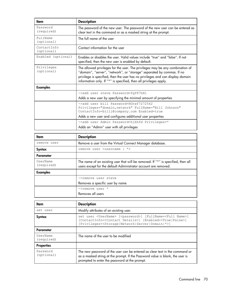| ltem                      | <b>Description</b>                                                                                                                                                                                                                                                                                             |
|---------------------------|----------------------------------------------------------------------------------------------------------------------------------------------------------------------------------------------------------------------------------------------------------------------------------------------------------------|
| Password<br>(required)    | The password of the new user. The password of the new user can be entered as<br>clear text in the command or as a masked string at the prompt.                                                                                                                                                                 |
| FullName<br>(optional)    | The full name of the user                                                                                                                                                                                                                                                                                      |
| ContactInfo<br>(optional) | Contact information for the user                                                                                                                                                                                                                                                                               |
| Enabled (optional)        | Enables or disables the user. Valid values include "true" and "false". If not<br>specified, then the new user is enabled by default.                                                                                                                                                                           |
| Privileges<br>(optional)  | The allowed privileges for the user. The privileges may be any combination of<br>"domain", "server", "network", or "storage" separated by commas. If no<br>privilege is specified, then the user has no privileges and can display domain<br>information only. If "*" is specified, then all privileges apply. |
| <b>Examples</b>           |                                                                                                                                                                                                                                                                                                                |
|                           | ->add user steve Password=fqY87hHl                                                                                                                                                                                                                                                                             |
|                           | Adds a new user by specifying the minimal amount of properties                                                                                                                                                                                                                                                 |
|                           | ->add user bill Password=HGtwf7272562<br>Privileges="domain, network" FullName="Bill Johnson"<br>ContactInfo=billj@company.com Enabled=true<br>Adds a new user and configures additional user properties                                                                                                       |
|                           | ->add user Admin Password=hjkhfd Privileges=*                                                                                                                                                                                                                                                                  |
|                           | Adds an "Admin" user with all privileges                                                                                                                                                                                                                                                                       |

| ltem                   | <b>Description</b>                                                                                                                                  |
|------------------------|-----------------------------------------------------------------------------------------------------------------------------------------------------|
| remove user            | Remove a user from the Virtual Connect Manager database.                                                                                            |
| Syntax                 | remove user <username *=""  =""></username>                                                                                                         |
| Parameter              |                                                                                                                                                     |
| UserName<br>(required) | The name of an existing user that will be removed. If "*" is specified, then all<br>users except for the default Administrator account are removed. |
| <b>Examples</b>        |                                                                                                                                                     |
|                        | ->remove user steve                                                                                                                                 |
|                        | Removes a specific user by name                                                                                                                     |
|                        | $\rightarrow$ remove user *                                                                                                                         |
|                        | Removes all users                                                                                                                                   |

| ltem                   | <b>Description</b>                                                                                                                                                                                                                                                |
|------------------------|-------------------------------------------------------------------------------------------------------------------------------------------------------------------------------------------------------------------------------------------------------------------|
| set user               | Modify attributes of an existing user.                                                                                                                                                                                                                            |
| Syntax                 | set user <username> [<password>] [FullName=<full name="">]<br/>[ContactInfo=<contact details="">] [Enabled=<true false>]<br/>[Privileges=<storage network server domain *>]</storage network server domain *></true false></contact></full></password></username> |
| Parameter              |                                                                                                                                                                                                                                                                   |
| UserName<br>(required) | The name of the user to be modified                                                                                                                                                                                                                               |
| <b>Properties</b>      |                                                                                                                                                                                                                                                                   |
| Password<br>(optional) | The new password of the user can be entered as clear text in the command or<br>as a masked string at the prompt. If the Password value is blank, the user is<br>prompted to enter the password at the prompt.                                                     |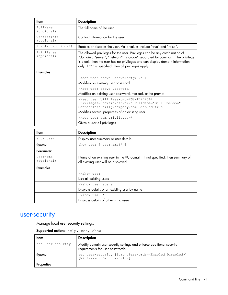| ltem                      | <b>Description</b>                                                                                                                                                                                                                                                                                   |
|---------------------------|------------------------------------------------------------------------------------------------------------------------------------------------------------------------------------------------------------------------------------------------------------------------------------------------------|
| FullName<br>(optional)    | The full name of the user                                                                                                                                                                                                                                                                            |
| ContactInfo<br>(optional) | Contact information for the user                                                                                                                                                                                                                                                                     |
| Enabled (optional)        | Foobles or disables the user. Valid values include "true" and "false".                                                                                                                                                                                                                               |
| Privileges<br>(optional)  | The allowed privileges for the user. Privileges can be any combination of<br>"domain", "server", "network", "storage" separated by commas. If the privilege<br>is blank, then the user has no privileges and can display domain information<br>only. If "*" is specified, then all privileges apply. |
| <b>Examples</b>           |                                                                                                                                                                                                                                                                                                      |
|                           | ->set user steve Password=fqY87hHl                                                                                                                                                                                                                                                                   |
|                           | Modifies an existing user password                                                                                                                                                                                                                                                                   |
|                           | ->set user steve Password                                                                                                                                                                                                                                                                            |
|                           | Modifies an existing user password, masked, at the prompt                                                                                                                                                                                                                                            |
|                           | ->set user bill Password=HGtwf7272562<br>Privileges="domain, network" FullName="Bill Johnson"<br>ContactInfo=billj@company.com Enabled=true<br>Modifies several properties of an existing user                                                                                                       |
|                           | ->set user tom privileges=*                                                                                                                                                                                                                                                                          |
|                           | Gives a user all privileges                                                                                                                                                                                                                                                                          |
|                           |                                                                                                                                                                                                                                                                                                      |
| Item                      | <b>Description</b>                                                                                                                                                                                                                                                                                   |
|                           | $\mathbf{1}$ $\mathbf{1}$                                                                                                                                                                                                                                                                            |

| <b>ITem</b>            | <b>Description</b>                                                                                                   |
|------------------------|----------------------------------------------------------------------------------------------------------------------|
| show user              | Display user summary or user details.                                                                                |
| Syntax                 | show user [ <username *>]</username *>                                                                               |
| Parameter              |                                                                                                                      |
| UserName<br>(optional) | Name of an existing user in the VC domain. If not specified, then summary of<br>all existing user will be displayed. |
| <b>Examples</b>        |                                                                                                                      |
|                        | ->show user                                                                                                          |
|                        | Lists all existing users                                                                                             |
|                        | ->show user steve                                                                                                    |
|                        | Displays details of an existing user by name                                                                         |
|                        | $\rightarrow$ show user *                                                                                            |
|                        | Displays details of all existing users                                                                               |

### user-security

Manage local user security settings.

Supported actions: help, set, show

| ltem              | <b>Description</b>                                                                                              |
|-------------------|-----------------------------------------------------------------------------------------------------------------|
| set user-security | Modify domain user security settings and enforce additional security<br>requirements for user passwords.        |
| Syntax            | set user-security [StrongPasswords= <enabled disabled>]<br/>[MinPasswordLength=&lt;3-40&gt;]</enabled disabled> |
| <b>Properties</b> |                                                                                                                 |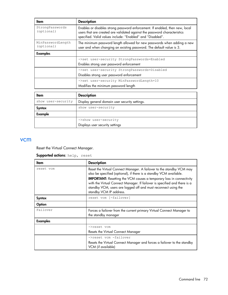| ltem                            | <b>Description</b>                                                                                                                                                                                                      |
|---------------------------------|-------------------------------------------------------------------------------------------------------------------------------------------------------------------------------------------------------------------------|
| StrongPasswords<br>(optional)   | Enables or disables strong password enforcement. If enabled, then new, local<br>users that are created are validated against the password characteristics<br>specified. Valid values include: "Enabled" and "Disabled". |
| MinPasswordLength<br>(optional) | The minimum password length allowed for new passwords when adding a new<br>user and when changing an existing password. The default value is 3.                                                                         |
| <b>Examples</b>                 |                                                                                                                                                                                                                         |
|                                 | ->set user-security StrongPasswords=Enabled                                                                                                                                                                             |
|                                 | Enables strong user password enforcement                                                                                                                                                                                |
|                                 | ->set user-security StrongPasswords=Disabled                                                                                                                                                                            |
|                                 | Disables strong user password enforcement                                                                                                                                                                               |
|                                 | ->set user-security MinPasswordLength=10                                                                                                                                                                                |
|                                 | Modifies the minimum password length                                                                                                                                                                                    |

| Item               | <b>Description</b>                             |
|--------------------|------------------------------------------------|
| show user-security | Display general domain user security settings. |
| Syntax             | show user-security                             |
| Example            |                                                |
|                    | ->show user-security                           |
|                    | Displays user security settings                |

#### vcm

Reset the Virtual Connect Manager.

#### Supported actions: help, reset

| ltem            | <b>Description</b>                                                                                                                                                                                                                                                                                                                                                                                  |
|-----------------|-----------------------------------------------------------------------------------------------------------------------------------------------------------------------------------------------------------------------------------------------------------------------------------------------------------------------------------------------------------------------------------------------------|
| reset vcm       | Reset the Virtual Connect Manager. A failover to the standby VCM may<br>also be specified (optional), if there is a standby VCM available.<br><b>IMPORTANT:</b> Resetting the VCM causes a temporary loss in connectivity<br>with the Virtual Connect Manager. If failover is specified and there is a<br>standby VCM, users are logged off and must reconnect using the<br>standby VCM IP address. |
| Syntax          | reset vcm [-failover]                                                                                                                                                                                                                                                                                                                                                                               |
| Option          |                                                                                                                                                                                                                                                                                                                                                                                                     |
| Failover        | Forces a failover from the current primary Virtual Connect Manager to<br>the standby manager                                                                                                                                                                                                                                                                                                        |
| <b>Examples</b> |                                                                                                                                                                                                                                                                                                                                                                                                     |
|                 | ->reset vcm                                                                                                                                                                                                                                                                                                                                                                                         |
|                 | Resets the Virtual Connect Manager                                                                                                                                                                                                                                                                                                                                                                  |
|                 | ->reset vcm -failover<br>Resets the Virtual Connect Manager and forces a failover to the standby<br>VCM (if available)                                                                                                                                                                                                                                                                              |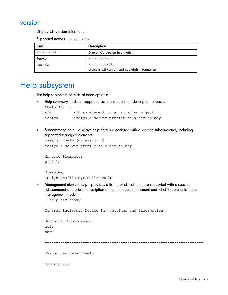## version

Display CLI version information.

Supported actions: help, show

| Item         | <b>Description</b>                                               |  |
|--------------|------------------------------------------------------------------|--|
| show version | Display CLI version information.                                 |  |
| Syntax       | show version                                                     |  |
| Example      | ->show version<br>Displays CLI version and copyright information |  |

# Help subsystem

The help subsystem consists of three options:

Help summary—lists all supported actions and a short description of each:

```
>help (or ?)
add add an element to an existing object
assign assign a server profile to a device bay
. . .
```
• Subcommand help—displays help details associated with a specific subcommand, including supported managed elements:

```
>assign -help (or assign ?)
assign a server profile to a device bay
```

```
Managed Elements:
profile
```

```
Examples:
assign profile MyProfile enc0:1
```
**Management element help**—provides a listing of objects that are supported with a specific subcommand and a brief description of the management element and what it represents in the management model:

```
->help devicebay
```

```
General Enclosure Device Bay settings and information
Supported Subcommands:
help
show
  -----------------------------------------------------------------------
->show devicebay -help
Description:
```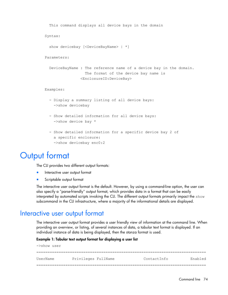```
 This command displays all device bays in the domain
Syntax:
 show devicebay [<DeviceBayName> | *]
Parameters:
  DeviceBayName : The reference name of a device bay in the domain.
                   The format of the device bay name is 
                 <EnclosureID:DeviceBay>
Examples:
  - Display a summary listing of all device bays:
     ->show devicebay
   - Show detailed information for all device bays:
     ->show device bay *
  - Show detailed information for a specific device bay 2 of
     a specific enclosure:
     ->show devicebay enc0:2
```
# Output format

The CLI provides two different output formats:

- Interactive user output format
- Scriptable output format

The interactive user output format is the default. However, by using a command-line option, the user can also specify a "parse-friendly" output format, which provides data in a format that can be easily interpreted by automated scripts invoking the CLI. The different output formats primarily impact the show subcommand in the CLI infrastructure, where a majority of the informational details are displayed.

## Interactive user output format

The interactive user output format provides a user friendly view of information at the command line. When providing an overview, or listing, of several instances of data, a tabular text format is displayed. If an individual instance of data is being displayed, then the stanza format is used.

#### Example 1: Tabular text output format for displaying a user list

| ->show user |                     |             |         |
|-------------|---------------------|-------------|---------|
|             |                     |             |         |
| UserName    | Privileges FullName | ContactInfo | Enabled |
|             |                     |             |         |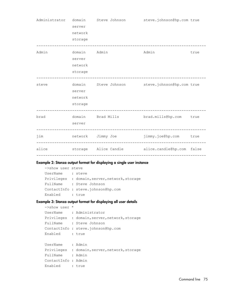|       | server<br>network<br>storage                 | Administrator domain Steve Johnson | steve.johnson@hp.com true                                |      |
|-------|----------------------------------------------|------------------------------------|----------------------------------------------------------|------|
| Admin | domain Admin<br>server<br>network<br>storage |                                    | Admin                                                    | true |
| steve | server<br>network<br>storage                 |                                    | domain Steve Johnson steve.johnson@hp.com true           |      |
| brad  | server                                       |                                    | domain Brad Mills brad.mills@hp.com true                 |      |
| jim   |                                              |                                    | network Jimmy Joe    immy.joe@hp.com    true             |      |
|       |                                              |                                    | alice and storage Alice Candle alice.candle@hp.com false |      |

#### Example 2: Stanza output format for displaying a single user instance

```
->show user steve
UserName : steve
Privileges : domain, server, network, storage
FullName : Steve Johnson
ContactInfo : steve.johnson@hp.com
Enabled : true
```
#### Example 3: Stanza output format for displaying all user details

```
->show user *
UserName : Administrator
Privileges : domain, server, network, storage
FullName : Steve Johnson
ContactInfo : steve.johnson@hp.com
Enabled : true
UserName : Admin
Privileges : domain, server, network, storage
FullName : Admin
ContactInfo : Admin
Enabled : true
```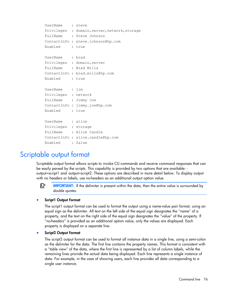```
UserName : steve
Privileges : domain, server, network, storage
FullName : Steve Johnson
ContactInfo : steve.johnson@hp.com
Enabled : true
UserName : brad
Privileges : domain, server
FullName : Brad Mills
ContactInfo : brad.mills@hp.com
Enabled : true
UserName : jim
Privileges : network
FullName : Jimmy Joe
ContactInfo : jimmy.joe@hp.com
Enabled : true
UserName : alice
Privileges : storage
FullName : Alice Candle
ContactInfo : alice.candle@hp.com
Enabled : false
```
# Scriptable output format

Scriptable output format allows scripts to invoke CLI commands and receive command responses that can be easily parsed by the scripts. This capability is provided by two options that are available: output=script1 and -output=script2. These options are described in more detail below. To display output with no headers or labels, use no-headers as an additional output option value.

 $\mathbb{Z}$ **IMPORTANT:** If the delimiter is present within the data, then the entire value is surrounded by double quotes.

#### Script1 Output Format

The script1 output format can be used to format the output using a name-value pair format, using an equal sign as the delimiter. All text on the left side of the equal sign designates the "name" of a property, and the text on the right side of the equal sign designates the "value" of the property. If "no-headers" is provided as an additional option value, only the values are displayed. Each property is displayed on a separate line.

#### Script2 Output Format

The script2 output format can be used to format all instance data in a single line, using a semi-colon as the delimiter for the data. The first line contains the property names. This format is consistent with a "table view" of the data, where the first line is represented by a list of column labels, while the remaining lines provide the actual data being displayed. Each line represents a single instance of data. For example, in the case of showing users, each line provides all data corresponding to a single user instance.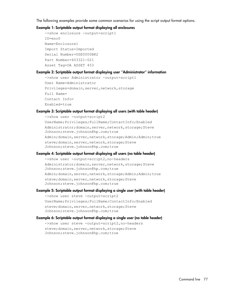The following examples provide some common scenarios for using the script output format options.

#### Example 1: Scriptable output format displaying all enclosures

```
->show enclosure -output=script1
ID=enc0
Name=Enclosure1
Import Status=Imported
Serial Number=USE0000BK2
Part Number=403321-021
Asset Tag=OA ASSET 453
```
#### Example 2: Scriptable output format displaying user "Administrator" information

```
->show user Administrator -output=script1
User Name=Administrator
Privileges=domain, server, network, storage
Full Name=
Contact Info=
Enabled=true
```
#### Example 3: Scriptable output format displaying all users (with table header)

```
->show user -output=script2
UserName;Privileges;FullName;ContactInfo;Enabled
Administrator;domain, server, network, storage; Steve
Johnson;steve.johnson@hp.com;true
Admin;domain,server,network,storage;Admin;Admin;true
steve; domain, server, network, storage; Steve
Johnson;steve.johnson@hp.com;true
```
#### Example 4: Scriptable output format displaying all users (no table header)

```
->show user -output=script2, no-headers
Administrator; domain, server, network, storage; Steve
Johnson;steve.johnson@hp.com;true
Admin;domain, server, network, storage; Admin; Admin; true
steve; domain, server, network, storage; Steve
Johnson;steve.johnson@hp.com;true
```
#### Example 5: Scriptable output format displaying a single user (with table header)

```
->show user steve -output=script2
UserName;Privileges;FullName;ContactInfo;Enabled
steve; domain, server, network, storage; Steve
Johnson;steve.johnson@hp.com;true
```
#### Example 6: Scriptable output format displaying a single user (no table header)

```
->show user steve -output=script2, no-headers
steve; domain, server, network, storage; Steve
Johnson;steve.johnson@hp.com;true
```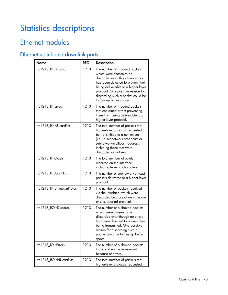# Statistics descriptions

# Ethernet modules

# Ethernet uplink and downlink ports

| <b>Name</b>               | <b>RFC</b> | <b>Description</b>                                                                                                                                                                                                                                                             |
|---------------------------|------------|--------------------------------------------------------------------------------------------------------------------------------------------------------------------------------------------------------------------------------------------------------------------------------|
| rfc1213_IfInDiscards      | 1213       | The number of inbound packets<br>which were chosen to be<br>discarded even though no errors<br>had been detected to prevent their<br>being deliverable to a higher-layer<br>protocol. One possible reason for<br>discarding such a packet could be<br>to free up buffer space. |
| rfc1213_lfInErrors        | 1213       | The number of inbound packets<br>that contained errors preventing<br>them from being deliverable to a<br>higher-layer protocol.                                                                                                                                                |
| rfc1213_IfInNUcastPkts    | 1213       | The total number of packets that<br>higher-level protocols requested<br>be transmitted to a non-unicast<br>(i.e., a subnetwork-broadcast or<br>subnetwork-multicast) address,<br>including those that were<br>discarded or not sent.                                           |
| rfc1213_IfInOctets        | 1213       | The total number of octets<br>received on the interface,<br>including framing characters.                                                                                                                                                                                      |
| rfc1213_IInUcastPkts      | 1213       | The number of subnetwork-unicast<br>packets delivered to a higher-layer<br>protocol.                                                                                                                                                                                           |
| rfc1213_IfInUnknownProtos | 1213       | The number of packets received<br>via the interface which were<br>discarded because of an unknown<br>or unsupported protocol.                                                                                                                                                  |
| rfc1213_IfOutDiscards     | 1213       | The number of outbound packets<br>which were chosen to be<br>discarded even though no errors<br>had been detected to prevent their<br>being transmitted. One possible<br>reason for discarding such a<br>packet could be to free up buffer<br>space.                           |
| rfc1213_IOutErrors        | 1213       | The number of outbound packets<br>that could not be transmitted<br>because of errors.                                                                                                                                                                                          |
| rfc1213_IfOutNUcastPkts   | 1213       | The total number of packets that<br>higher-level protocols requested                                                                                                                                                                                                           |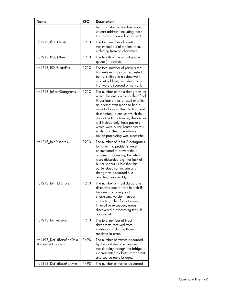| <b>Name</b>                                    | <b>RFC</b> | <b>Description</b>                                                                                                                                                                                                                                                                                                                                                                                                 |
|------------------------------------------------|------------|--------------------------------------------------------------------------------------------------------------------------------------------------------------------------------------------------------------------------------------------------------------------------------------------------------------------------------------------------------------------------------------------------------------------|
|                                                |            | be transmitted to a subnetwork-<br>unicast address, including those<br>that were discarded or not sent.                                                                                                                                                                                                                                                                                                            |
| rfc1213_IfOutOctets                            | 1213       | The total number of octets<br>transmitted out of the interface,<br>including framing characters.                                                                                                                                                                                                                                                                                                                   |
| rfc1213_lfOutQLen                              | 1213       | The length of the output packet<br>queue (in packets).                                                                                                                                                                                                                                                                                                                                                             |
| rfc1213_IfOutUcastPkts                         | 1213       | The total number of packets that<br>higher-level protocols requested<br>be transmitted to a subnetwork-<br>unicast address, including those<br>that were discarded or not sent.                                                                                                                                                                                                                                    |
| rfc1213_IpForwDatagrams                        | 1213       | The number of input datagrams for<br>which this entity was not their final<br>IP destination, as a result of which<br>an attempt was made to find a<br>route to forward them to that final<br>destination. In entities which do<br>not act as IP Gateways, this ounter<br>will include only those packets<br>which were ource-Routed via this<br>entity, and the Source-Route<br>option processing was successful. |
| rfc1213_IpInDiscards                           | 1213       | The number of input IP datagrams<br>for which no problems were<br>encountered to prevent their<br>ontinued processing, but which<br>were discarded e.g., for lack of<br>buffer space). Note that this<br>ounter does not include any<br>datagrams discarded hile<br>awaiting re-assembly.                                                                                                                          |
| rfc 1 2 1 3_IpInHdrErrors                      | 1213       | The number of input datagrams<br>discarded due to rrors in their IP<br>headers, including bad<br>checksums, version number<br>mismatch, other format errors,<br>time-to-live exceeded, errors<br>discovered n processing their IP<br>options, etc.                                                                                                                                                                 |
| rfc1213_lpInReceives                           | 1213       | The total number of input<br>datagrams received from<br>interfaces, including those<br>received in error.                                                                                                                                                                                                                                                                                                          |
| rfc1493_Dot1dBasePortDela<br>yExceededDiscards | 1493       | The number of frames discarded<br>by this port due to excessive<br>transit delay through the bridge. It<br>i incremented by both transparent<br>and source route bridges.                                                                                                                                                                                                                                          |
| rfc1213_Dot1dBasePortMtu                       | 1493       | The number of frames discarded                                                                                                                                                                                                                                                                                                                                                                                     |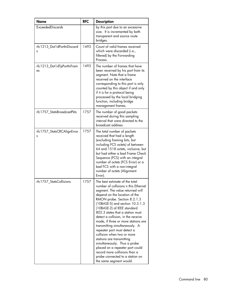| <b>Name</b>                     | <b>RFC</b> | <b>Description</b>                                                                                                                                                                                                                                                                                                                                                                                                                                                                                                                                                                                                                                          |
|---------------------------------|------------|-------------------------------------------------------------------------------------------------------------------------------------------------------------------------------------------------------------------------------------------------------------------------------------------------------------------------------------------------------------------------------------------------------------------------------------------------------------------------------------------------------------------------------------------------------------------------------------------------------------------------------------------------------------|
| <b>ExceededDiscards</b>         |            | by this port due to an excessive<br>size. It is incremented by both<br>transparent and source route<br>bridges.                                                                                                                                                                                                                                                                                                                                                                                                                                                                                                                                             |
| rfc1213_Dot1dPortInDiscard<br>s | 1493       | Count of valid frames received<br>which were discarded (i.e.,<br>filtered) by the Forwarding<br>Process.                                                                                                                                                                                                                                                                                                                                                                                                                                                                                                                                                    |
| rfc1213_Dot1dTpPortInFram<br>es | 1493       | The number of frames that have<br>been received by his port from its<br>segment. Note that a frame<br>received on the interface<br>corresponding to this port is only<br>counted by this object if and only<br>if it is for a protocol being<br>processed by the local bridging<br>function, including bridge<br>management frames.                                                                                                                                                                                                                                                                                                                         |
| rfc1757_StatsBroadcastPkts      | 1757       | The number of good packets<br>received during this sampling<br>interval that were directed to the<br>broadcast address                                                                                                                                                                                                                                                                                                                                                                                                                                                                                                                                      |
| rfc1757_StatsCRCAlignError<br>S | 1757       | The total number of packets<br>received that had a length<br>(excluding framing bits, but<br>including FCS octets) of between<br>64 and 1518 octets, inclusive, but<br>but had either a bad Frame Check<br>Sequence (FCS) with an integral<br>number of octets (FCS Error) or a<br>bad FCS with a non-integral<br>number of octets (Alignment<br>Error).                                                                                                                                                                                                                                                                                                    |
| rfc1757_StatsCollisions         | 1757       | The best estimate of the total<br>number of collisions n this Ethernet<br>segment. The value returned will<br>depend on the location of the<br>RMON probe. Section 8.2.1.3<br>(10BASE-5) and section 10.3.1.3<br>(10BASE-2) of IEEE standard<br>802.3 states that a station must<br>detect a collision, in the receive<br>mode, if three or more stations are<br>transmitting simultaneously. A<br>repeater port must detect a<br>collision when two or more<br>stations are transmitting<br>simultaneously. Thus a probe<br>placed on a repeater port could<br>record more collisions than a<br>probe connected to a station on<br>the same segment would. |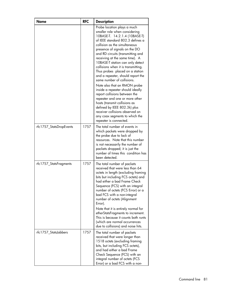| Name                    | <b>RFC</b> | <b>Description</b>                                                                                                                                                                                                                                                                                                                                                                                                                                                                                                                                                                                                                                                                                                                                                 |
|-------------------------|------------|--------------------------------------------------------------------------------------------------------------------------------------------------------------------------------------------------------------------------------------------------------------------------------------------------------------------------------------------------------------------------------------------------------------------------------------------------------------------------------------------------------------------------------------------------------------------------------------------------------------------------------------------------------------------------------------------------------------------------------------------------------------------|
|                         |            | Probe location plays a much<br>smaller role when considering<br>10BASE-T. 14.2.1.4 (10BASE-T)<br>of IEEE standard 802.3 defines a<br>collision as the simultaneous<br>presence of signals on the DO<br>and RD circuits (transmitting and<br>receiving at the same time). A<br>10BASE-T station can only detect<br>collisions when it is transmitting.<br>Thus probes placed on a station<br>and a repeater, should report the<br>same number of collisions.<br>Note also that an RMON probe<br>inside a repeater should ideally<br>report collisions between the<br>repeater and one or more other<br>hosts (transmit collisions as<br>defined by IEEE 802.3k) plus<br>receiver collisions observed on<br>any coax segments to which the<br>repeater is connected. |
| rfc1757_StatsDropEvents | 1757       | The total number of events in<br>which packets were dropped by<br>the probe due to lack of<br>resources. Note that this number<br>is not necessarily the number of<br>packets dropped; it is just the<br>number of times this condition has<br>been detected.                                                                                                                                                                                                                                                                                                                                                                                                                                                                                                      |
| rfc1757_StatsFragments  | 1757       | The total number of packets<br>received that were less than 64<br>octets in length (excluding framing<br>bits but including FCS octets) and<br>had either a bad Frame Check<br>Sequence (FCS) with an integral<br>number of octets (FCS Error) or a<br>bad FCS with a non-integral<br>number of octets (Alignment<br>Error).<br>Note that it is entirely normal for<br>etherStatsFragments to increment.<br>This is because it counts both runts<br>(which are normal occurrences<br>due to collisions) and noise hits.                                                                                                                                                                                                                                            |
| rfc1757_StatsJabbers    | 1757       | The total number of packets<br>received that were longer than<br>1518 octets (excluding framing<br>bits, but including FCS octets),<br>and had either a bad Frame<br>Check Sequence (FCS) with an<br>integral number of octets (FCS<br>Error) or a bad FCS with a non-                                                                                                                                                                                                                                                                                                                                                                                                                                                                                             |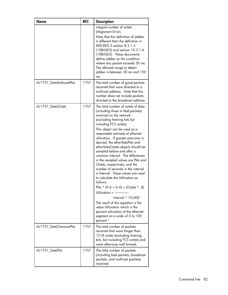| <b>Name</b>                | <b>RFC</b> | <b>Description</b>                                                                                                                                                                                                                                                                                                                                                                                                                                                                                                                                                                                                                                                                                                                                                                                                                                                     |
|----------------------------|------------|------------------------------------------------------------------------------------------------------------------------------------------------------------------------------------------------------------------------------------------------------------------------------------------------------------------------------------------------------------------------------------------------------------------------------------------------------------------------------------------------------------------------------------------------------------------------------------------------------------------------------------------------------------------------------------------------------------------------------------------------------------------------------------------------------------------------------------------------------------------------|
|                            |            | integral number of octets<br>(Alignment Error).<br>Note that this definition of jabber<br>is different than the definition in<br>IFFF-802.3 section 8.2.1.5<br>$(10BASE5)$ and section $10.3.1.4$<br>(10BASE2). These documents<br>define jabber as the condition<br>where any packet exceeds 20 ms.<br>The allowed range to detect<br>jabber is between 20 ms and 150<br>ms.                                                                                                                                                                                                                                                                                                                                                                                                                                                                                          |
| rfc1757_StatsMulticastPkts | 1757       | The total number of good packets<br>received that were directed to a<br>multicast address. Note that this<br>number does not include packets<br>directed to the broadcast address.                                                                                                                                                                                                                                                                                                                                                                                                                                                                                                                                                                                                                                                                                     |
| rfc1757_StatsOctets        | 1757       | The total number of octets of data<br>(including those in bad packets)<br>received on the network<br>(excluding framing bits but<br>including FCS octets).<br>This object can be used as a<br>reasonable estimate of ethernet<br>utilization. If greater precision is<br>desired, the etherStatsPkts and<br>etherStatsOctets objects should be<br>sampled before and after a<br>common interval. The differences<br>in the sampled values are Pkts and<br>Octets, respectively, and the<br>number of seconds in the interval<br>is Interval. These values are used<br>to calculate the Utilization as<br>follows:<br>Pkts * $(9.6 + 6.4) + (Octets$ * .8)<br>Utilization $=$ ------<br>Interval * 10,000<br>The result of this equation is the<br>value Utilization which is the<br>percent utilization of the ethernet<br>segment on a scale of 0 to 100<br>percent." |
| rfc1757_StatsOversizePkts  | 1757       | The total number of packets<br>received that were longer than<br>1518 octets (excluding framing<br>bits, but including FCS octets) and<br>were otherwise well formed.                                                                                                                                                                                                                                                                                                                                                                                                                                                                                                                                                                                                                                                                                                  |
| rfc1757_StatsPkts          | 1757       | The total number of packets<br>(including bad packets, broadcast<br>packets, and multicast packets)<br>received.                                                                                                                                                                                                                                                                                                                                                                                                                                                                                                                                                                                                                                                                                                                                                       |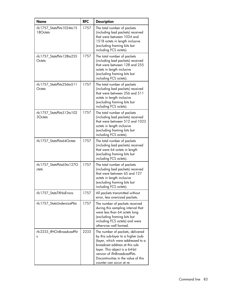| Name                                  | <b>RFC</b> | <b>Description</b>                                                                                                                                                                                                                                                                    |
|---------------------------------------|------------|---------------------------------------------------------------------------------------------------------------------------------------------------------------------------------------------------------------------------------------------------------------------------------------|
| rfc1757_StatsPkts1024to15<br>18Octets | 1757       | The total number of packets<br>(including bad packets) received<br>that were between 1024 and<br>1518 octets in length inclusive<br>(excluding framing bits but<br>including FCS octets).                                                                                             |
| rfc1757 StatsPkts128to255<br>Octets   | 1757       | The total number of packets<br>(including bad packets) received<br>that were between 128 and 255<br>octets in length inclusive<br>(excluding framing bits but<br>including FCS octets).                                                                                               |
| rfc1757_StatsPkts256to511<br>Octets   | 1757       | The total number of packets<br>(including bad packets) received<br>that were between 256 and 511<br>octets in length inclusive<br>(excluding framing bits but<br>including FCS octets).                                                                                               |
| rfc1757 StatsPkts512to102<br>3Octets  | 1757       | The total number of packets<br>(including bad packets) received<br>that were between 512 and 1023<br>octets in length inclusive<br>(excluding framing bits but<br>including FCS octets).                                                                                              |
| rfc1757_StatsPkts64Octets             | 1757       | The total number of packets<br>(including bad packets) received<br>that were 64 octets in length<br>(excluding framing bits but<br>including FCS octets).                                                                                                                             |
| rfc1757_StatsPkts65to127O<br>ctets    | 1757       | The total number of packets<br>(including bad packets) received<br>that were between 65 and 127<br>octets in length inclusive<br>(excluding framing bits but<br>including FCS octets).                                                                                                |
| rfc1757_StatsTXNoErrors               | 1757       | All packets transmitted without<br>error, less oversized packets.                                                                                                                                                                                                                     |
| rfc1757_StatsUndersizePkts            | 1757       | The number of packets received<br>during this sampling interval that<br>were less than 64 octets long<br>(excluding framing bits but<br>including FCS octets) and were<br>otherwise well formed.                                                                                      |
| rfc2233_IfHCInBroadcastPkt<br>s       | 2233       | The number of packets, delivered<br>by this sub-layer to a higher (sub-<br>)layer, which were addressed to a<br>broadcast address at this sub-<br>layer. This object is a 64-bit<br>version of ifInBroadcastPkts.<br>Discontinuities in the value of this<br>counter can occur at re- |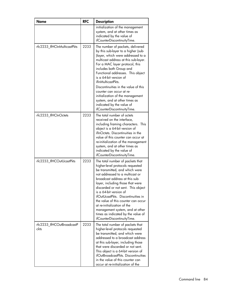| Name                              | <b>RFC</b> | <b>Description</b>                                                                                                                                                                                                                                                                                                                                                                                                                                                                                          |
|-----------------------------------|------------|-------------------------------------------------------------------------------------------------------------------------------------------------------------------------------------------------------------------------------------------------------------------------------------------------------------------------------------------------------------------------------------------------------------------------------------------------------------------------------------------------------------|
|                                   |            | initialization of the management<br>system, and at other times as<br>indicated by the value of<br>ifCounterDiscontinuityTime.                                                                                                                                                                                                                                                                                                                                                                               |
| rfc2233_IfHCInMulticastPkts       | 2233       | The number of packets, delivered<br>by this sub-layer to a higher (sub-<br>)layer, which were addressed to a<br>multicast address at this sub-layer.<br>For a MAC layer protocol, this<br>includes both Group and<br>Functional addresses. This object<br>is a 64-bit version of<br>ifInMulticastPkts.<br>Discontinuities in the value of this<br>counter can occur at re-<br>initialization of the management<br>system, and at other times as<br>indicated by the value of<br>ifCounterDiscontinuityTime. |
| rfc2233_lfHCInOctets              | 2233       | The total number of octets<br>received on the interface,<br>including framing characters. This<br>object is a 64-bit version of<br>ifInOctets. Discontinuities in the<br>value of this counter can occur at<br>re-initialization of the management<br>system, and at other times as<br>indicated by the value of<br>ifCounterDiscontinuityTime.                                                                                                                                                             |
| rfc2233_IfHCOutUcastPkts          | 2233       | The total number of packets that<br>higher-level protocols requested<br>be transmitted, and which were<br>not addressed to a multicast or<br>broadcast address at this sub-<br>layer, including those that were<br>discarded or not sent. This object<br>is a 64-bit version of<br>ifOutUcastPkts. Discontinuities in<br>the value of this counter can occur<br>at re-initialization of the<br>management system, and at other<br>times as indicated by the value of<br>ifCounterDiscontinuityTime.         |
| rfc2233_IfHCOutBroadcastP<br>ckts | 2233       | The total number of packets that<br>higher-level protocols requested<br>be transmitted, and which were<br>addressed to a broadcast address<br>at this sub-layer, including those<br>that were discarded or not sent.<br>This object is a 64-bit version of<br>ifOutBroadcastPkts. Discontinuities<br>in the value of this counter can<br>occur at re-initialization of the                                                                                                                                  |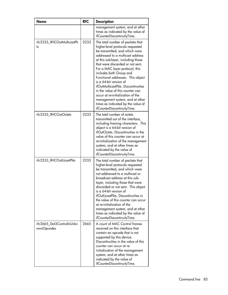| <b>Name</b>                             | <b>RFC</b> | <b>Description</b>                                                                                                                                                                                                                                                                                                                                                                                                                                                                                                                                                       |
|-----------------------------------------|------------|--------------------------------------------------------------------------------------------------------------------------------------------------------------------------------------------------------------------------------------------------------------------------------------------------------------------------------------------------------------------------------------------------------------------------------------------------------------------------------------------------------------------------------------------------------------------------|
|                                         |            | management system, and at other<br>times as indicated by the value of<br>ifCounterDiscontinuityTime.                                                                                                                                                                                                                                                                                                                                                                                                                                                                     |
| rfc2233_IfHCOutMulticastPk<br>ts        | 2233       | The total number of packets that<br>higher-level protocols requested<br>be transmitted, and which were<br>addressed to a multicast address<br>at this sub-layer, including those<br>that were discarded or not sent.<br>For a MAC layer protocol, this<br>includes both Group and<br>Functional addresses. This object<br>is a 64-bit version of<br>ifOutMulticastPkts. Discontinuities<br>in the value of this counter can<br>occur at re-initialization of the<br>management system, and at other<br>times as indicated by the value of<br>ifCounterDiscontinuityTime. |
| rfc2233_lfHCOutOctets                   | 2233       | The total number of octets<br>transmitted out of the interface,<br>including framing characters. This<br>object is a 64-bit version of<br>ifOutOctets. Discontinuities in the<br>value of this counter can occur at<br>re-initialization of the management<br>system, and at other times as<br>indicated by the value of<br>ifCounterDiscontinuityTime.                                                                                                                                                                                                                  |
| rfc2233_IfHCOutUcastPkts                | 2233       | The total number of packets that<br>higher-level protocols requested<br>be transmitted, and which were<br>not addressed to a multicast or<br>broadcast address at this sub-<br>layer, including those that were<br>discarded or not sent. This object<br>is a 64-bit version of<br>ifOutUcastPkts. Discontinuities in<br>the value of this counter can occur<br>at re-initialization of the<br>management system, and at other<br>times as indicated by the value of<br>ifCounterDiscontinuityTime.                                                                      |
| rfc2665 Dot3ControlInUnkn<br>ownOpcodes | 2665       | A count of MAC Control frames<br>received on this interface that<br>contain an opcode that is not<br>supported by this device.<br>Discontinuities in the value of this<br>counter can occur at re-<br>initialization of the management<br>system, and at other times as<br>indicated by the value of<br>ifCounterDiscontinuityTime.                                                                                                                                                                                                                                      |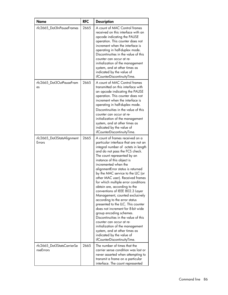| <b>Name</b>                             | <b>RFC</b> | <b>Description</b>                                                                                                                                                                                                                                                                                                                                                                                                                                                                                                                                                                                                                                                                                                                                                                                                                           |
|-----------------------------------------|------------|----------------------------------------------------------------------------------------------------------------------------------------------------------------------------------------------------------------------------------------------------------------------------------------------------------------------------------------------------------------------------------------------------------------------------------------------------------------------------------------------------------------------------------------------------------------------------------------------------------------------------------------------------------------------------------------------------------------------------------------------------------------------------------------------------------------------------------------------|
| rfc2665 Dot3InPauseFrames               | 2665       | A count of MAC Control frames<br>received on this interface with an<br>opcode indicating the PAUSE<br>operation. This counter does not<br>increment when the interface is<br>operating in half-duplex mode.<br>Discontinuities in the value of this<br>counter can occur at re-<br>initialization of the management<br>system, and at other times as<br>indicated by the value of<br>ifCounterDiscontinuityTime.                                                                                                                                                                                                                                                                                                                                                                                                                             |
| rfc2665_Dot3OutPauseFram<br>es          | 2665       | A count of MAC Control frames<br>transmitted on this interface with<br>an opcode indicating the PAUSE<br>operation. This counter does not<br>increment when the interface is<br>operating in half-duplex mode.<br>Discontinuities in the value of this<br>counter can occur at re-<br>initialization of the management<br>system, and at other times as<br>indicated by the value of<br>ifCounterDiscontinuityTime.                                                                                                                                                                                                                                                                                                                                                                                                                          |
| rfc2665_Dot3StatsAlignment<br>Errors    | 2665       | A count of frames received on a<br>particular interface that are not an<br>integral number of octets in length<br>and do not pass the FCS check.<br>The count represented by an<br>instance of this object is<br>incremented when the<br>alignmentError status is returned<br>by the MAC service to the LLC (or<br>other MAC user). Received frames<br>for which multiple error conditions<br>obtain are, according to the<br>conventions of IEEE 802.3 Layer<br>Management, counted exclusively<br>according to the error status<br>presented to the LLC. This counter<br>does not increment for 8-bit wide<br>group encoding schemes.<br>Discontinuities in the value of this<br>counter can occur at re-<br>initialization of the management<br>system, and at other times as<br>indicated by the value of<br>ifCounterDiscontinuityTime. |
| rfc2665_Dot3StatsCarrierSe<br>nseErrors | 2665       | The number of times that the<br>carrier sense condition was lost or<br>never asserted when attempting to<br>transmit a frame on a particular<br>interface. The count represented                                                                                                                                                                                                                                                                                                                                                                                                                                                                                                                                                                                                                                                             |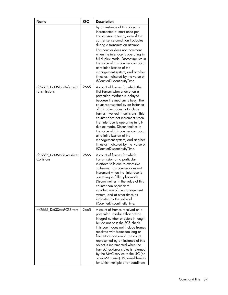| <b>Name</b>                                | <b>RFC</b> | <b>Description</b>                                                                                                                                                                                                                                                                                                                                                                                                                                                                                                                                |
|--------------------------------------------|------------|---------------------------------------------------------------------------------------------------------------------------------------------------------------------------------------------------------------------------------------------------------------------------------------------------------------------------------------------------------------------------------------------------------------------------------------------------------------------------------------------------------------------------------------------------|
|                                            |            | by an instance of this object is<br>incremented at most once per<br>transmission attempt, even if the<br>carrier sense condition fluctuates<br>during a transmission attempt.<br>This counter does not increment<br>when the interface is operating in<br>full-duplex mode. Discontinuities in<br>the value of this counter can occur<br>at re-initialization of the<br>management system, and at other<br>times as indicated by the value of<br>ifCounterDiscontinuityTime.                                                                      |
| rfc2665_Dot3StatsDeferredT<br>ransmissions | 2665       | A count of frames for which the<br>first transmission attempt on a<br>particular interface is delayed<br>because the medium is busy. The<br>count represented by an instance<br>of this object does not include<br>frames involved in collisions. This<br>counter does not increment when<br>the interface is operating in full-<br>duplex mode. Discontinuities in<br>the value of this counter can occur<br>at re-initialization of the<br>management system, and at other<br>times as indicated by the value of<br>ifCounterDiscontinuityTime. |
| rfc2665_Dot3StatsExcessive<br>Collisions   | 2665       | A count of frames for which<br>transmission on a particular<br>interface fails due to excessive<br>collisions. This counter does not<br>increment when the interface is<br>operating in full-duplex mode.<br>Discontinuities in the value of this<br>counter can occur at re-<br>initialization of the management<br>system, and at other times as<br>indicated by the value of<br>ifCounterDiscontinuityTime.                                                                                                                                    |
| rfc2665_Dot3StatsFCSErrors                 | 2665       | A count of frames received on a<br>particular interface that are an<br>integral number of octets in length<br>but do not pass the FCS check.<br>This count does not include frames<br>received with frame-too-long or<br>frame-too-short error. The count<br>represented by an instance of this<br>object is incremented when the<br>frameCheckError status is returned<br>by the MAC service to the LLC (or<br>other MAC user). Received frames<br>for which multiple error conditions                                                           |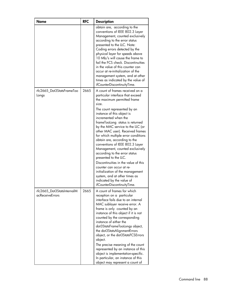| <b>Name</b>                                          | <b>RFC</b> | <b>Description</b>                                                                                                                                                                                                                                                                                                                                                                                                                                                                                                                                                                                                                                                                                                       |
|------------------------------------------------------|------------|--------------------------------------------------------------------------------------------------------------------------------------------------------------------------------------------------------------------------------------------------------------------------------------------------------------------------------------------------------------------------------------------------------------------------------------------------------------------------------------------------------------------------------------------------------------------------------------------------------------------------------------------------------------------------------------------------------------------------|
|                                                      |            | obtain are, according to the<br>conventions of IEEE 802.3 Layer<br>Management, counted exclusively<br>according to the error status<br>presented to the LLC. Note:<br>Coding errors detected by the<br>physical layer for speeds above<br>10 Mb/s will cause the frame to<br>fail the FCS check. Discontinuities<br>in the value of this counter can<br>occur at re-initialization of the<br>management system, and at other<br>times as indicated by the value of<br>ifCounterDiscontinuityTime.                                                                                                                                                                                                                        |
| rfc2665 Dot3StatsFrameToo<br>Longs                   | 2665       | A count of frames received on a<br>particular interface that exceed<br>the maximum permitted frame<br>size.<br>The count represented by an<br>instance of this object is<br>incremented when the<br>frameTooLong status is returned<br>by the MAC service to the LLC (or<br>other MAC user). Received frames<br>for which multiple error conditions<br>obtain are, according to the<br>conventions of IEEE 802.3 Layer<br>Management, counted exclusively<br>according to the error status<br>presented to the LLC.<br>Discontinuities in the value of this<br>counter can occur at re-<br>initialization of the management<br>system, and at other times as<br>indicated by the value of<br>ifCounterDiscontinuityTime. |
| rfc2665_Dot3StatsInternalM<br><i>acReceiveErrors</i> | 2665       | A count of frames for which<br>reception on a particular<br>interface fails due to an internal<br>MAC sublayer receive error. A<br>frame is only counted by an<br>instance of this object if it is not<br>counted by the corresponding<br>instance of either the<br>dot3StatsFrameTooLongs object,<br>the dot3StatsAlignmentErrors<br>object, or the dot3StatsFCSErrors<br>object.<br>The precise meaning of the count<br>represented by an instance of this<br>object is implementation-specific.<br>In particular, an instance of this<br>object may represent a count of                                                                                                                                              |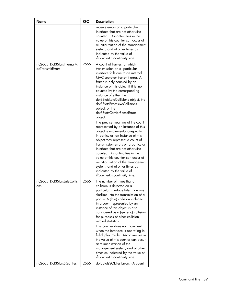| <b>Name</b>                                    | <b>RFC</b> | <b>Description</b>                                                                                                                                                                                                                                                                                                                                                                                                                                                                                                                                                                                                                                                                                                                                                                                                                                                                       |
|------------------------------------------------|------------|------------------------------------------------------------------------------------------------------------------------------------------------------------------------------------------------------------------------------------------------------------------------------------------------------------------------------------------------------------------------------------------------------------------------------------------------------------------------------------------------------------------------------------------------------------------------------------------------------------------------------------------------------------------------------------------------------------------------------------------------------------------------------------------------------------------------------------------------------------------------------------------|
|                                                |            | receive errors on a particular<br>interface that are not otherwise<br>counted. Discontinuities in the<br>value of this counter can occur at<br>re-initialization of the management<br>system, and at other times as<br>indicated by the value of<br>ifCounterDiscontinuityTime.                                                                                                                                                                                                                                                                                                                                                                                                                                                                                                                                                                                                          |
| rfc2665_Dot3StatsInternalM<br>acTransmitErrors | 2665       | A count of frames for which<br>transmission on a particular<br>interface fails due to an internal<br>MAC sublayer transmit error. A<br>frame is only counted by an<br>instance of this object if it is not<br>counted by the corresponding<br>instance of either the<br>dot3StatsLateCollisions object, the<br>dot3StatsExcessiveCollisions<br>object, or the<br>dot3StatsCarrierSenseErrors<br>object.<br>The precise meaning of the count<br>represented by an instance of this<br>object is implementation-specific.<br>In particular, an instance of this<br>object may represent a count of<br>transmission errors on a particular<br>interface that are not otherwise<br>counted. Discontinuities in the<br>value of this counter can occur at<br>re-initialization of the management<br>system, and at other times as<br>indicated by the value of<br>ifCounterDiscontinuityTime. |
| rfc2665_Dot3StatsLateCollisi<br>ons            | 2665       | The number of times that a<br>collision is detected on a<br>particular interface later than one<br>slotTime into the transmission of a<br>packet.A (late) collision included<br>in a count represented by an<br>instance of this object is also<br>considered as a (generic) collision<br>for purposes of other collision-<br>related statistics.<br>This counter does not increment<br>when the interface is operating in<br>full-duplex mode. Discontinuities in<br>the value of this counter can occur<br>at re-initialization of the<br>management system, and at other<br>times as indicated by the value of<br>ifCounterDiscontinuityTime.                                                                                                                                                                                                                                         |
| rfc2665_Dot3StatsSQETTest                      | 2665       | dot3StatsSQETestErrors - A count                                                                                                                                                                                                                                                                                                                                                                                                                                                                                                                                                                                                                                                                                                                                                                                                                                                         |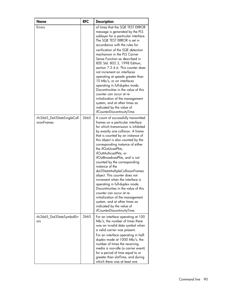| Name                                              | <b>RFC</b> | <b>Description</b>                                                                                                                                                                                                                                                                                                                                                                                                                                                                                                                                                                                                                                                                                                                                      |
|---------------------------------------------------|------------|---------------------------------------------------------------------------------------------------------------------------------------------------------------------------------------------------------------------------------------------------------------------------------------------------------------------------------------------------------------------------------------------------------------------------------------------------------------------------------------------------------------------------------------------------------------------------------------------------------------------------------------------------------------------------------------------------------------------------------------------------------|
| Errors                                            |            | of times that the SQE TEST ERROR<br>message is generated by the PLS<br>sublayer for a particular interface.<br>The SQE TEST ERROR is set in<br>accordance with the rules for<br>verification of the SQE detection<br>mechanism in the PLS Carrier<br>Sense Function as described in<br>IEEE Std. 802.3, 1998 Edition,<br>section 7.2.4.6. This counter does<br>not increment on interfaces<br>operating at speeds greater than<br>10 Mb/s, or on interfaces<br>operating in full-duplex mode.<br>Discontinuities in the value of this<br>counter can occur at re-<br>initialization of the management<br>system, and at other times as<br>indicated by the value of<br>ifCounterDiscontinuityTime.                                                      |
| rfc2665_Dot3StatsSingleColl<br><i>isionFrames</i> | 2665       | A count of successfully transmitted<br>frames on a particular interface<br>for which transmission is inhibited<br>by exactly one collision. A frame<br>that is counted by an instance of<br>this object is also counted by the<br>corresponding instance of either<br>the ifOutUcastPkts,<br>ifOutMulticastPkts, or<br>ifOutBroadcastPkts, and is not<br>counted by the corresponding<br>instance of the<br>dot3StatsMultipleCollisionFrames<br>object. This counter does not<br>increment when the interface is<br>operating in full-duplex mode.<br>Discontinuities in the value of this<br>counter can occur at re-<br>initialization of the management<br>system, and at other times as<br>indicated by the value of<br>ifCounterDiscontinuityTime. |
| rfc2665_Dot3StatsSymbolErr<br>ors                 | 2665       | For an interface operating at 100<br>Mb/s, the number of times there<br>was an invalid data symbol when<br>a valid carrier was present.<br>For an interface operating in half-<br>duplex mode at 1000 Mb/s, the<br>number of times the receiving<br>media is non-idle (a carrier event)<br>for a period of time equal to or<br>greater than slotTime, and during<br>which there was at least one                                                                                                                                                                                                                                                                                                                                                        |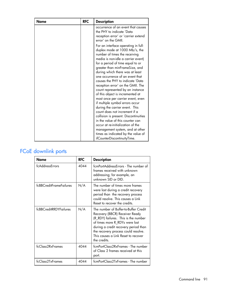| <b>Name</b> | <b>RFC</b> | <b>Description</b>                                                                                                                                                                                                                                                                                                                                                                                                                                                                                                                                                                                                                                                                                                                                                             |
|-------------|------------|--------------------------------------------------------------------------------------------------------------------------------------------------------------------------------------------------------------------------------------------------------------------------------------------------------------------------------------------------------------------------------------------------------------------------------------------------------------------------------------------------------------------------------------------------------------------------------------------------------------------------------------------------------------------------------------------------------------------------------------------------------------------------------|
|             |            | occurrence of an event that causes<br>the PHY to indicate 'Data<br>reception error' or 'carrier extend<br>error' on the GMII.                                                                                                                                                                                                                                                                                                                                                                                                                                                                                                                                                                                                                                                  |
|             |            | For an interface operating in full-<br>duplex mode at 1000 Mb/s, the<br>number of times the receiving<br>media is non-idle a carrier event)<br>for a period of time equal to or<br>greater than minFrameSize, and<br>during which there was at least<br>one occurrence of an event that<br>causes the PHY to indicate 'Data<br>reception error' on the GMII. The<br>count represented by an instance<br>of this object is incremented at<br>most once per carrier event, even<br>if multiple symbol errors occur<br>during the carrier event. This<br>count does not increment if a<br>collision is present. Discontinuities<br>in the value of this counter can<br>occur at re-initialization of the<br>management system, and at other<br>times as indicated by the value of |
|             |            | ifCounterDiscontinuityTime.                                                                                                                                                                                                                                                                                                                                                                                                                                                                                                                                                                                                                                                                                                                                                    |

# FCoE downlink ports

| Name                    | <b>RFC</b> | <b>Description</b>                                                                                                                                                                                                                                                                      |
|-------------------------|------------|-----------------------------------------------------------------------------------------------------------------------------------------------------------------------------------------------------------------------------------------------------------------------------------------|
| fcAddressErrors         | 4044       | fcmPortAddressErrors - The number of<br>frames received with unknown<br>addressing; for example, an<br>unknown SID or DID.                                                                                                                                                              |
| fcBBCreditFrameFailures | N/A        | The number of times more frames<br>were lost during a credit recovery<br>period than the recovery process<br>could resolve. This causes a Link<br>Reset to recover the credits.                                                                                                         |
| fcBBCreditRRDYFailures  | N/A        | The number of Buffer-to-Buffer Credit<br>Recovery (BBCR) Receiver Ready<br>(R_RDY) failures. This is the number<br>of times more R_RDYs were lost<br>during a credit recovery period than<br>the recovery process could resolve.<br>This causes a Link Reset to recover<br>the credits. |
| fcClass2RxFrames        | 4044       | fcmPortClass2RxFrames - The number<br>of Class 2 frames received at this<br>port.                                                                                                                                                                                                       |
| fcClass2TxFrames        | 4044       | fcmPortClass2TxFrames - The number                                                                                                                                                                                                                                                      |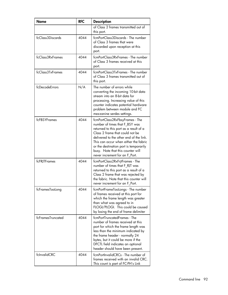| <b>Name</b>       | <b>RFC</b> | <b>Description</b>                                                                                                                                                                                                                                                                                                                                  |
|-------------------|------------|-----------------------------------------------------------------------------------------------------------------------------------------------------------------------------------------------------------------------------------------------------------------------------------------------------------------------------------------------------|
|                   |            | of Class 2 frames transmitted out of<br>this port.                                                                                                                                                                                                                                                                                                  |
| fcClass3Discards  | 4044       | fcmPortClass3Discards - The number<br>of Class 3 frames that were<br>discarded upon reception at this<br>port.                                                                                                                                                                                                                                      |
| fcClass3RxFrames  | 4044       | fcmPortClass3RxFrames - The number<br>of Class 3 frames received at this<br>port.                                                                                                                                                                                                                                                                   |
| fcClass3TxFrames  | 4044       | fcmPortClass3TxFrames - The number<br>of Class 3 frames transmitted out of<br>this port.                                                                                                                                                                                                                                                            |
| fcDecodeErrors    | N/A        | The number of errors while<br>converting the incoming 10-bit data<br>stream into an 8-bit data for<br>processing. Increasing value of this<br>counter indicates potential hardware<br>problem between module and FC<br>mezzanine serdes settings.                                                                                                   |
| fcFBSYFrames      | 4044       | fcmPortClass2RxFbsyFrames - The<br>number of times that F BSY was<br>returned to this port as a result of a<br>Class 2 frame that could not be<br>delivered to the other end of the link.<br>This can occur when either the fabric<br>or the destination port is temporarily<br>busy. Note that this counter will<br>never increment for an F_Port. |
| fcFRJTFrames      | 4044       | fcmPortClass2RxFrjtFrames - The<br>number of times that F_RJT was<br>returned to this port as a result of a<br>Class 2 frame that was rejected by<br>the fabric. Note that this counter will<br>never increment for an F Port.                                                                                                                      |
| fcFramesTooLong   | 4044       | fcmPortFrameTooLongs - The number<br>of frames received at this port for<br>which the frame length was greater<br>than what was agreed to in<br>FLOGI/PLOGI. This could be caused<br>by losing the end of frame delimiter                                                                                                                           |
| fcFramesTruncated | 4044       | fcmPortTruncatedFrames - The<br>number of frames received at this<br>port for which the frame length was<br>less than the minimum indicated by<br>the frame header - normally 24<br>bytes, but it could be more if the<br>DFCTL field indicates an optional<br>header should have been present.                                                     |
| fcInvalidCRC      | 4044       | fcmPortInvalidCRCs - The number of<br>frames received with an invalid CRC.<br>This count is part of FC-PH's Link                                                                                                                                                                                                                                    |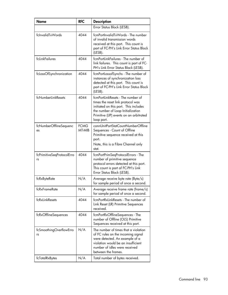| <b>Name</b>                      | <b>RFC</b>            | <b>Description</b>                                                                                                                                                                                            |
|----------------------------------|-----------------------|---------------------------------------------------------------------------------------------------------------------------------------------------------------------------------------------------------------|
|                                  |                       | Error Status Block (LESB).                                                                                                                                                                                    |
| fcInvalidTxWords                 | 4044                  | fcmPortInvalidTxWords - The number<br>of invalid transmission words<br>received at this port. This count is<br>part of FC-PH's Link Error Status Block<br>(LESB).                                             |
| fcLinkFailures                   | 4044                  | fcmPortLinkFailures - The number of<br>link failures. This count is part of FC-<br>PH's Link Error Status Block (LESB).                                                                                       |
| fcLossOfSynchronization          | 4044                  | fcmPortLossofSynchs - The number of<br>instances of synchronization loss<br>detected at this port. This count is<br>part of FC-PH's Link Error Status Block<br>(LESB).                                        |
| fcNumberLinkResets               | 4044                  | fcmPortLinkResets - The number of<br>times the reset link protocol was<br>initiated on this port. This includes<br>the number of Loop Initialization<br>Primitive (LIP) events on an arbitrated<br>loop port. |
| fcNumberOfflineSequenc<br>es     | <b>FCMG</b><br>MT-MIB | connUnitPortStatCountNumberOffline<br>Sequences - Count of Offline<br>Primitive sequence received at this<br>port.<br>Note, this is a Fibre Channel only<br>stat.                                             |
| fcPrimitiveSeqProtocolErro<br>rs | 4044                  | fcmPortPrimSeqProtocolErrors - The<br>number of primitive sequence<br>protocol errors detected at this port.<br>This count is part of FC-PH's Link<br>Error Status Block (LESB).                              |
| fcRxByteRate                     | N/A                   | Average receive byte rate (Byte/s)<br>for sample period of once a second.                                                                                                                                     |
| fcRxFrameRate                    | N/A                   | Average receive frame rate (frame/s)<br>for sample period of once a second.                                                                                                                                   |
| fcRxLinkResets                   | 4044                  | fcmPortRxLinkResets - The number of<br>Link Reset (LR) Primitive Sequences<br>received.                                                                                                                       |
| fcRxOfflineSequences             | 4044                  | fcmPortRxOfflineSequences - The<br>number of Offline (OLS) Primitive<br>Sequences received at this port.                                                                                                      |
| fcSmoothingOverflowErro<br>rs    | N/A                   | The number of times that a violation<br>of FC rules on the incoming signal<br>were detected. An example of a<br>violation would be an insufficient<br>number of idles were received<br>between the frames.    |
| fcTotalRxBytes                   | N/A                   | Total number of bytes received.                                                                                                                                                                               |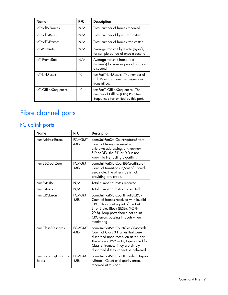| Name                 | <b>RFC</b> | <b>Description</b>                                                                                          |
|----------------------|------------|-------------------------------------------------------------------------------------------------------------|
| fcTotalRxFrames      | N/A        | Total number of frames received.                                                                            |
| fcTotalTxBytes       | N/A        | Total number of bytes transmitted.                                                                          |
| fcTotalTxFrames      | N/A        | Total number of frames transmitted.                                                                         |
| fcTxByteRate         | N/A        | Average transmit byte rate (Byte/s)<br>for sample period of once a second.                                  |
| fcTxFrameRate        | N/A        | Average transmit frame rate<br>(frame/s) for sample period of once<br>a second.                             |
| fcTxLinkResets       | 4044       | fcmPortTxLinkResets - The number of<br>Link Reset (LR) Primitive Sequences<br>transmitted.                  |
| fcTxOfflineSequences | 4044       | fcmPortTxOfflineSequences - The<br>number of Offline (OLS) Primitive<br>Sequences transmitted by this port. |

# Fibre channel ports

# FC uplink ports

| <b>Name</b>                           | <b>RFC</b>            | <b>Description</b>                                                                                                                                                                                                                             |
|---------------------------------------|-----------------------|------------------------------------------------------------------------------------------------------------------------------------------------------------------------------------------------------------------------------------------------|
| numAddressErrors                      | <b>FCMGMT</b><br>-MIB | connUnitPortStatCountAddressErrors -<br>Count of frames received with<br>unknown addressing. e.x. unknown<br>SID or DID, the SID or DID is not<br>known to the routing algorithm.                                                              |
| numBBCreditZero                       | <b>FCMGMT</b><br>-MIB | connUnitPortStatCountBBCreditZero -<br>Count of transitions in/out of BBcredit<br>zero state. The other side is not<br>providing any credit.                                                                                                   |
| numBytesRx                            | N/A                   | Total number of bytes received.                                                                                                                                                                                                                |
| numBytesTx                            | N/A                   | Total number of bytes transmitted.                                                                                                                                                                                                             |
| numCRCErrors                          | <b>FCMGMT</b><br>-MIB | connUnitPortStatCountInvalidCRC -<br>Count of frames received with invalid<br>CRC. This count is part of the Link<br>Error Status Block (LESB). (FC-PH<br>29.8). Loop ports should not count<br>CRC errors passing through when<br>monitoring. |
| numClass3Discards                     | <b>FCMGMT</b><br>-MIB | connUnitPortStatCountClass3Discards -<br>Count of Class 3 Frames that were<br>discarded upon reception at this port.<br>There is no FBSY or FRJT generated for<br>Class 3 Frames. They are simply<br>discarded if they cannot be delivered.    |
| numEncodingDisparity<br><b>Frrors</b> | <b>FCMGMT</b><br>-MIB | connUnitPortStatCountEncodingDispari<br>tyErrors - Count of disparity errors<br>received at this port.                                                                                                                                         |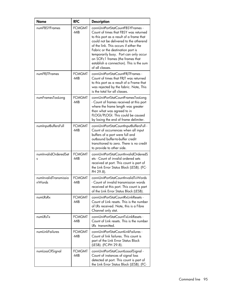| Name                            | <b>RFC</b>            | <b>Description</b>                                                                                                                                                                                                                                                                                                                                                                          |
|---------------------------------|-----------------------|---------------------------------------------------------------------------------------------------------------------------------------------------------------------------------------------------------------------------------------------------------------------------------------------------------------------------------------------------------------------------------------------|
| numFBSYFrames                   | <b>FCMGMT</b><br>-MIB | connUnitPortStatCountFBSYFrames -<br>Count of times that FBSY was returned<br>to this port as a result of a frame that<br>could not be delivered to the otherend<br>of the link. This occurs if either the<br>Fabric or the destination port is<br>temporarily busy. Port can only occur<br>on SOFc1 frames (the frames that<br>establish a connection). This is the sum<br>of all classes. |
| numFRJTFrames                   | <b>FCMGMT</b><br>-MIB | connUnitPortStatCountFRITFrames -<br>Count of times that FRJT was returned<br>to this port as a result of a Frame that<br>was rejected by the fabric. Note, This<br>is the total for all classes.                                                                                                                                                                                           |
| numFramesTooLong                | <b>FCMGMT</b><br>-MIB | connUnitPortStatCountFramesTooLong<br>- Count of frames received at this port<br>where the frame length was greater<br>than what was agreed to in<br>FLOGI/PLOGI. This could be caused<br>by losing the end of frame delimiter.                                                                                                                                                             |
| numInputBuffersFull             | <b>FCMGMT</b><br>-MIB | connUnitPortStatCountInputBuffersFull -<br>Count of occurrences when all input<br>buffers of a port were full and<br>outbound buffer-to-buffer credit<br>transitioned to zero. There is no credit<br>to provide to other side.                                                                                                                                                              |
| numInvalidOrderedSet<br>s       | <b>FCMGMT</b><br>-MIB | connUnitPortStatCountInvalidOrderedS<br>ets - Count of invalid ordered sets<br>received at port. This count is part of<br>the Link Error Status Block (LESB). (FC-<br>PH 29.8).                                                                                                                                                                                                             |
| numInvalidTransmissio<br>nWords | <b>FCMGMT</b><br>-MIB | connUnitPortStatCountInvalidTxWords<br>- Count of invalid transmission words<br>received at this port. This count is part<br>of the Link Error Status Block (LESB).                                                                                                                                                                                                                         |
| numLRsRx                        | <b>FCMGMT</b><br>-MIB | connUnitPortStatCountRxLinkResets -<br>Count of Link resets. This is the number<br>of LRs received. Note, this is a Fibre<br>Channel only stat.                                                                                                                                                                                                                                             |
| numl RsTx                       | <b>FCMGMT</b><br>-MIB | connUnitPortStatCountTxLinkResets -<br>Count of Link resets. This is the number<br>IRs transmitted.                                                                                                                                                                                                                                                                                         |
| numLinkFailures                 | <b>FCMGMT</b><br>-MIB | connUnitPortStatCountLinkFailures -<br>Count of link failures. This count is<br>part of the Link Error Status Block<br>(LESB). (FC-PH 29.8).                                                                                                                                                                                                                                                |
| numLossOfSignal                 | <b>FCMGMT</b><br>-MIB | connUnitPortStatCountLossofSignal -<br>Count of instances of signal loss<br>detected at port. This count is part of<br>the Link Error Status Block (LESB). (FC-                                                                                                                                                                                                                             |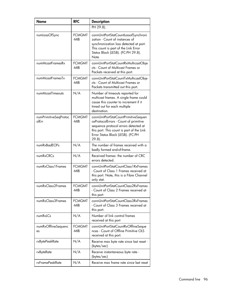| <b>Name</b>                    | <b>RFC</b>            | <b>Description</b>                                                                                                                                                                                                   |
|--------------------------------|-----------------------|----------------------------------------------------------------------------------------------------------------------------------------------------------------------------------------------------------------------|
|                                |                       | PH 29.8).                                                                                                                                                                                                            |
| numLossOfSync                  | <b>FCMGMT</b><br>-MIB | connUnitPortStatCountLossofSynchroni<br>zation - Count of instances of<br>synchronization loss detected at port.<br>This count is part of the Link Error<br>Status Block (LESB). (FC-PH 29.8).<br>Note               |
| numMcastFramesRx               | <b>FCMGMT</b><br>-MIB | connUnitPortStatCountRxMulticastObje<br>cts - Count of Multicast Frames or<br>Packets received at this port.                                                                                                         |
| numMcastFramesTx               | <b>FCMGMT</b><br>-MIB | connUnitPortStatCountTxMulticastObje<br>cts - Count of Multicast Frames or<br>Packets transmitted out this port.                                                                                                     |
| numMcastTimeouts               | N/A                   | Number of timeouts reported for<br>multicast frames. A single frame could<br>cause this counter to increment if it<br>timed out for each multiple<br>destination.                                                    |
| numPrimitiveSeqProtoc<br>olFrr | <b>FCMGMT</b><br>-MIB | connUnitPortStatCountPrimitiveSequen<br>ceProtocolErrors - Count of primitive<br>sequence protocol errors detected at<br>this port. This count is part of the Link<br>Error Status Block (LESB). (FC-PH<br>$29.8$ ). |
| numRxBadEOFs                   | N/A                   | The number of frames received with a<br>badly formed end-of-frame.                                                                                                                                                   |
| numRxCRCs                      | N/A                   | Received frames: the number of CRC<br>errors detected.                                                                                                                                                               |
| numRxClass1Frames              | <b>FCMGMT</b><br>-MIR | connUnitPortStatCountClass1RxFrames<br>- Count of Class 1 Frames received at<br>this port. Note, this is a Fibre Channel<br>only stat.                                                                               |
| numRxClass2Frames              | <b>FCMGMT</b><br>-MIB | connUnitPortStatCountClass2RxFrames<br>- Count of Class 2 Frames received at<br>this port                                                                                                                            |
| numRxClass3Frames              | <b>FCMGMT</b><br>-MIB | connUnitPortStatCountClass3RxFrames<br>- Count of Class 3 Frames received at<br>this port.                                                                                                                           |
| numRxLCs                       | N/A                   | Number of link control frames<br>received at this port                                                                                                                                                               |
| numRxOfflineSequenc<br>es      | <b>FCMGMT</b><br>-MIB | connUnitPortStatCountRxOfflineSeque<br>nces - Count of Offline Primitive OLS<br>received at this port.                                                                                                               |
| rxBytePeakRate                 | N/A                   | Receive max byte rate since last reset -<br>(bytes/sec)                                                                                                                                                              |
| rxByteRate                     | N/A                   | Receive instantaneous byte rate -<br>(bytes/sec)                                                                                                                                                                     |
| rxFramePeakRate                | N/A                   | Receive max frame rate since last reset                                                                                                                                                                              |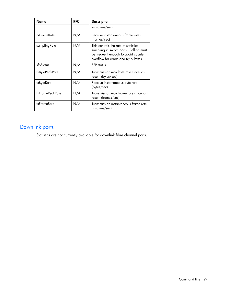| Name            | <b>RFC</b> | <b>Description</b>                                                                                                                                           |
|-----------------|------------|--------------------------------------------------------------------------------------------------------------------------------------------------------------|
|                 |            | – (frames/sec)                                                                                                                                               |
| rxFrameRate     | N/A        | Receive instantaneous frame rate -<br>(frames/sec)                                                                                                           |
| samplingRate    | N/A        | This controls the rate of statistics<br>sampling in switch ports. Polling must<br>be frequent enough to avoid counter<br>overflow for errors and tx/rx bytes |
| sfpStatus       | N/A        | SFP status.                                                                                                                                                  |
| txBytePeakRate  | N/A        | Transmission max byte rate since last<br>reset - (bytes/sec)                                                                                                 |
| txByteRate      | N/A        | Receive instantaneous byte rate -<br>(bytes/sec)                                                                                                             |
| txFramePeakRate | N/A        | Transmission max frame rate since last<br>reset - (frames/sec)                                                                                               |
| txFrameRate     | N/A        | Transmission instantaneous frame rate<br>- (frames/sec)                                                                                                      |

# Downlink ports

Statistics are not currently available for downlink fibre channel ports.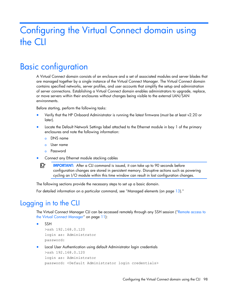# Configuring the Virtual Connect domain using the CLI

# Basic configuration

A Virtual Connect domain consists of an enclosure and a set of associated modules and server blades that are managed together by a single instance of the Virtual Connect Manager. The Virtual Connect domain contains specified networks, server profiles, and user accounts that simplify the setup and administration of server connections. Establishing a Virtual Connect domain enables administrators to upgrade, replace, or move servers within their enclosures without changes being visible to the external LAN/SAN environments.

Before starting, perform the following tasks:

- Verify that the HP Onboard Administrator is running the latest firmware (must be at least v2.20 or later).
- Locate the Default Network Settings label attached to the Ethernet module in bay 1 of the primary enclosures and note the following information:
	- o DNS name
	- o User name
	- o Password
- Connect any Ethernet module stacking cables

 $\mathbb{Z}$ IMPORTANT: After a CLI command is issued, it can take up to 90 seconds before configuration changes are stored in persistent memory. Disruptive actions such as powering cycling an I/O module within this time window can result in lost configuration changes.

The following sections provide the necessary steps to set up a basic domain.

For detailed information on a particular command, see "Managed elements (on page [13\)](#page-12-0)."

# Logging in to the CLI

The Virtual Connect Manager CLI can be accessed remotely through any SSH session (["Remote access to](#page-10-0)  [the Virtual Connect Manager"](#page-10-0) on page [11\)](#page-10-0):

```
• SSH
```

```
>ssh 192.168.0.120
login as: Administrator
password:
```
• Local User Authentication using default Administrator login credentials

```
>ssh 192.168.0.120
login as: Administrator
password: <Default Administrator login credentials>
```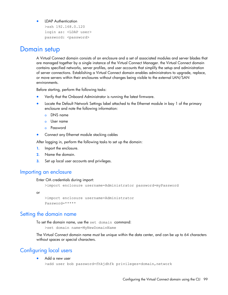#### • LDAP Authentication

```
>ssh 192.168.0.120
login as: <LDAP user> 
password: <password>
```
## Domain setup

A Virtual Connect domain consists of an enclosure and a set of associated modules and server blades that are managed together by a single instance of the Virtual Connect Manager. the Virtual Connect domain contains specified networks, server profiles, and user accounts that simplify the setup and administration of server connections. Establishing a Virtual Connect domain enables administrators to upgrade, replace, or move servers within their enclosures without changes being visible to the external LAN/SAN environments.

Before starting, perform the following tasks:

- Verify that the Onboard Administrator is running the latest firmware.
- Locate the Default Network Settings label attached to the Ethernet module in bay 1 of the primary enclosure and note the following information:
	- o DNS name
	- o User name
	- o Password
- Connect any Ethernet module stacking cables

After logging in, perform the following tasks to set up the domain:

- 1. Import the enclosure.
- 2. Name the domain.
- **3.** Set up local user accounts and privileges.

### Importing an enclosure

#### Enter OA credentials during import:

```
>import enclosure username=Administrator password=myPassword
```
or

```
>import enclosure username=Administrator
Password=*****
```
### Setting the domain name

To set the domain name, use the set domain command:

>set domain name=MyNewDomainName

The Virtual Connect domain name must be unique within the data center, and can be up to 64 characters without spaces or special characters.

## Configuring local users

• Add a new user

```
>add user bob password=fhkjdhfk privileges=domain, network
```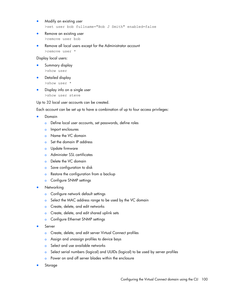- Modify an existing user >set user bob fullname="Bob J Smith" enabled=false
- Remove an existing user >remove user bob
- Remove all local users except for the Administrator account

>remove user \*

#### Display local users:

- Summary display >show user
- Detailed display
	- >show user \*
- Display info on a single user >show user steve

Up to 32 local user accounts can be created.

Each account can be set up to have a combination of up to four access privileges:

- Domain
	- o Define local user accounts, set passwords, define roles
	- o Import enclosures
	- o Name the VC domain
	- o Set the domain IP address
	- o Update firmware
	- o Administer SSL certificates
	- o Delete the VC domain
	- o Save configuration to disk
	- o Restore the configuration from a backup
	- o Configure SNMP settings
- **Networking** 
	- o Configure network default settings
	- o Select the MAC address range to be used by the VC domain
	- **o** Create, delete, and edit networks
	- o Create, delete, and edit shared uplink sets
	- o Configure Ethernet SNMP settings
- Server
	- o Create, delete, and edit server Virtual Connect profiles
	- o Assign and unassign profiles to device bays
	- o Select and use available networks
	- o Select serial numbers (logical) and UUIDs (logical) to be used by server profiles
	- o Power on and off server blades within the enclosure
- **Storage**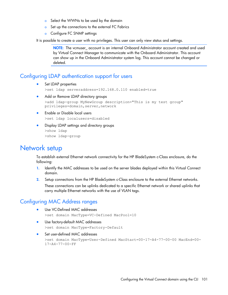- o Select the WWNs to be used by the domain
- o Set up the connections to the external FC Fabrics
- o Configure FC SNMP settings

It is possible to create a user with no privileges. This user can only view status and settings.

NOTE: The vcmuser account is an internal Onboard Administrator account created and used by Virtual Connect Manager to communicate with the Onboard Administrator. This account can show up in the Onboard Administrator system log. This account cannot be changed or deleted.

## Configuring LDAP authentication support for users

Set LDAP properties

>set ldap serveraddress=192.168.0.110 enabled=true

Add or Remove LDAP directory groups

```
>add ldap-group MyNewGroup description="This is my test group" 
privileges=domain, server, network
```
- Enable or Disable local users >set ldap localusers=disabled
- Display LDAP settings and directory groups >show ldap >show ldap-group

# Network setup

To establish external Ethernet network connectivity for the HP BladeSystem c-Class enclosure, do the following:

- 1. Identify the MAC addresses to be used on the server blades deployed within this Virtual Connect domain.
- 2. Setup connections from the HP BladeSystem c-Class enclosure to the external Ethernet networks.

These connections can be uplinks dedicated to a specific Ethernet network or shared uplinks that carry multiple Ethernet networks with the use of VLAN tags.

## Configuring MAC Address ranges

- Use VC-Defined MAC addresses >set domain MacType=VC-Defined MacPool=10
- Use factory-default MAC addresses >set domain MacType=Factory-Default
- Set user-defined MAC addresses >set domain MacType=User-Defined MacStart=00-17-A4-77-00-00 MacEnd=00- 17-A4-77-00-FF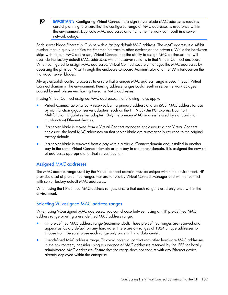$\mathbb{Z}$ IMPORTANT: Configuring Virtual Connect to assign server blade MAC addresses requires careful planning to ensure that the configured range of MAC addresses is used once within the environment. Duplicate MAC addresses on an Ethernet network can result in a server network outage.

Each server blade Ethernet NIC ships with a factory default MAC address. The MAC address is a 48-bit number that uniquely identifies the Ethernet interface to other devices on the network. While the hardware ships with default MAC addresses, Virtual Connect has the ability to assign MAC addresses that will override the factory default MAC addresses while the server remains in that Virtual Connect enclosure. When configured to assign MAC addresses, Virtual Connect securely manages the MAC addresses by accessing the physical NICs through the enclosure Onboard Administrator and the iLO interfaces on the individual server blades.

Always establish control processes to ensure that a unique MAC address range is used in each Virtual Connect domain in the environment. Reusing address ranges could result in server network outages caused by multiple servers having the same MAC addresses.

If using Virtual Connect assigned MAC addresses, the following notes apply:

- Virtual Connect automatically reserves both a primary address and an iSCSI MAC address for use by multifunction gigabit server adapters, such as the HP NC373m PCI Express Dual Port Multifunction Gigabit server adapter. Only the primary MAC address is used by standard (not multifunction) Ethernet devices.
- If a server blade is moved from a Virtual Connect managed enclosure to a non-Virtual Connect enclosure, the local MAC addresses on that server blade are automatically returned to the original factory defaults.
- If a server blade is removed from a bay within a Virtual Connect domain and installed in another bay in the same Virtual Connect domain or in a bay in a different domain, it is assigned the new set of addresses appropriate for that server location.

### Assigned MAC addresses

The MAC address range used by the Virtual connect domain must be unique within the environment. HP provides a set of pre-defined ranges that are for use by Virtual Connect Manager and will not conflict with server factory default MAC addresses.

When using the HP-defined MAC address ranges, ensure that each range is used only once within the environment.

## Selecting VC-assigned MAC address ranges

When using VC-assigned MAC addresses, you can choose between using an HP pre-defined MAC address range or using a user-defined MAC address range.

- HP pre-defined MAC address range (recommended). These pre-defined ranges are reserved and appear as factory default on any hardware. There are 64 ranges of 1024 unique addresses to choose from. Be sure to use each range only once within a data center.
- User-defined MAC address range. To avoid potential conflict with other hardware MAC addresses in the environment, consider using a subrange of MAC addresses reserved by the IEEE for locallyadministered MAC addresses. Ensure that the range does not conflict with any Ethernet device already deployed within the enterprise.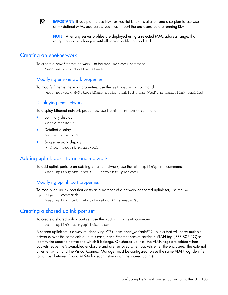

IMPORTANT: If you plan to use RDP for RedHat Linux installation and also plan to use Useror HP-defined MAC addresses, you must import the enclosure before running RDP.

NOTE: After any server profiles are deployed using a selected MAC address range, that range cannot be changed until all server profiles are deleted.

### Creating an enet-network

To create a new Ethernet network use the add network command:

>add network MyNetworkName

### Modifying enet-network properties

To modify Ethernet network properties, use the set network command:

>set network MyNetworkName state=enabled name=NewName smartlink=enabled

### Displaying enet-networks

To display Ethernet network properties, use the show network command:

- Summary display >show network
- Detailed display >show network \*
- Single network display > show network MyNetwork

## Adding uplink ports to an enet-network

To add uplink ports to an existing Ethernet network, use the add uplinkport command: >add uplinkport enc0:1:1 network=MyNetwork

### Modifying uplink port properties

To modify an uplink port that exists as a member of a network or shared uplink set, use the set uplinkport command:

>set uplinkport network=Network1 speed=1Gb

## Creating a shared uplink port set

To create a shared uplink port set, use the add uplinkset command:

>add uplinkset MyUplinkSetName

A shared uplink set is a way of identifying #\*!<unassigned\_variable!\*# uplinks that will carry multiple networks over the same cable. In this case, each Ethernet packet carries a VLAN tag (IEEE 802.1Q) to identify the specific network to which it belongs. On shared uplinks, the VLAN tags are added when packets leave the VC-enabled enclosure and are removed when packets enter the enclosure. The external Ethernet switch and the Virtual Connect Manager must be configured to use the same VLAN tag identifier (a number between 1 and 4094) for each network on the shared uplink(s).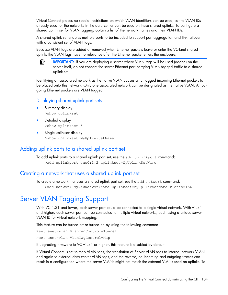Virtual Connect places no special restrictions on which VLAN identifiers can be used, so the VLAN IDs already used for the networks in the data center can be used on these shared uplinks. To configure a shared uplink set for VLAN tagging, obtain a list of the network names and their VLAN IDs.

A shared uplink set enables multiple ports to be included to support port aggregation and link failover with a consistent set of VLAN tags.

Because VLAN tags are added or removed when Ethernet packets leave or enter the VC-Enet shared uplink, the VLAN tags have no relevance after the Ethernet packet enters the enclosure.

[X IMPORTANT: If you are deploying a server where VLAN tags will be used (added) on the server itself, do not connect the server Ethernet port carrying VLAN-tagged traffic to a shared uplink set.

Identifying an associated network as the native VLAN causes all untagged incoming Ethernet packets to be placed onto this network. Only one associated network can be designated as the native VLAN. All outgoing Ethernet packets are VLAN tagged.

### Displaying shared uplink port sets

- Summary display >show uplinkset
- Detailed display >show uplinkset \*
- Single uplinkset display >show uplinkset MyUplinkSetName

## Adding uplink ports to a shared uplink port set

To add uplink ports to a shared uplink port set, use the add uplinkport command: >add uplinkport enc0:1:2 uplinkset=MyUplinkSetName

### Creating a network that uses a shared uplink port set

To create a network that uses a shared uplink port set, use the add network command: >add network MyNewNetworkName uplinkset=MyUplinkSetName vlanid=156

# Server VLAN Tagging Support

With VC 1.31 and lower, each server port could be connected to a single virtual network. With v1.31 and higher, each server port can be connected to multiple virtual networks, each using a unique server VLAN ID for virtual network mapping.

This feature can be turned off or turned on by using the following command:

>set enet-vlan VLanTagControl=Tunnel

>set enet-vlan VlanTagControl=Map

If upgrading firmware to VC v1.31 or higher, this feature is disabled by default.

If Virtual Connect is set to map VLAN tags, the translation of Server VLAN tags to internal network VLAN and again to external data center VLAN tags, and the reverse, on incoming and outgoing frames can result in a configuration where the server VLANs might not match the external VLANs used on uplinks. To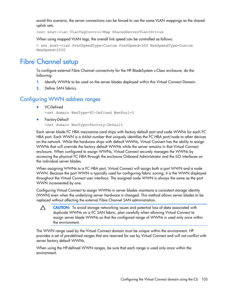avoid this scenario, the server connections can be forced to use the same VLAN mappings as the shared uplink sets.

>set enet-vlan VLanTagControl=Map SharedServerVLanId=true

When using mapped VLAN tags, the overall link speed can be controlled as follows:

```
> set enet-vlan PrefSpeedType=Custom PrefSpeed=500 MaxSpeedType=Custom 
MaxSpeed=2500
```
# Fibre Channel setup

To configure external Fibre Channel connectivity for the HP BladeSystem c-Class enclosure, do the following:

- 1. Identify WWNs to be used on the server blades deployed within this Virtual Connect Domain.
- 2. Define SAN fabrics.

## Configuring WWN address ranges

• VC-Defined

>set domain WwnType=VC-Defined WwnPool=5

• Factory-Default

>set domain WwnType=Factory-Default

Each server blade FC HBA mezzanine card ships with factory default port and node WWNs for each FC HBA port. Each WWN is a 64-bit number that uniquely identifies the FC HBA port/node to other devices on the network. While the hardware ships with default WWNs, Virtual Connect has the ability to assign WWNs that will override the factory default WWNs while the server remains in that Virtual Connect enclosure. When configured to assign WWNs, Virtual Connect securely manages the WWNs by accessing the physical FC HBA through the enclosure Onboard Administrator and the iLO interfaces on the individual server blades.

When assigning WWNs to a FC HBA port, Virtual Connect will assign both a port WWN and a node WWN. Because the port WWN is typically used for configuring fabric zoning, it is the WWN displayed throughout the Virtual Connect user interface. The assigned node WWN is always the same as the port WWN incremented by one.

Configuring Virtual Connect to assign WWNs in server blades maintains a consistent storage identity (WWN) even when the underlying server hardware is changed. This method allows server blades to be replaced without affecting the external Fibre Channel SAN administration.

Δ CAUTION: To avoid storage networking issues and potential loss of data associated with duplicate WWNs on a FC SAN fabric, plan carefully when allowing Virtual Connect to assign server blade WWNs so that the configured range of WWNs is used only once within the environment.

The WWN range used by the Virtual Connect domain must be unique within the environment. HP provides a set of pre-defined ranges that are reserved for use by Virtual Connect and will not conflict with server factory default WWNs.

When using the HP-defined WWN ranges, be sure that each range is used only once within the environment.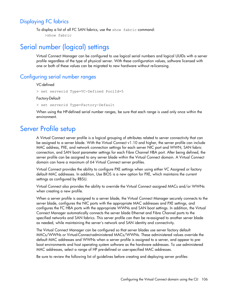## Displaying FC fabrics

To display a list of all FC SAN fabrics, use the show fabric command: >show fabric

# Serial number (logical) settings

Virtual Connect Manager can be configured to use logical serial numbers and logical UUIDs with a server profile regardless of the type of physical server. With these configuration values, software licensed with one or both of these values can be migrated to new hardware without re-licensing.

## Configuring serial number ranges

#### VC-defined

```
> set serverid Type=VC-Defined PoolId=5
```
Factory-Default

> set serverid Type=Factory-Default

When using the HP-defined serial number ranges, be sure that each range is used only once within the environment.

# Server Profile setup

A Virtual Connect server profile is a logical grouping of attributes related to server connectivity that can be assigned to a server blade. With the Virtual Connect v1.10 and higher, the server profile can include MAC address, PXE, and network connection settings for each server NIC port and WWN, SAN fabric connection, and SAN boot parameter settings for each Fibre Channel HBA port. After being defined, the server profile can be assigned to any server blade within the Virtual Connect domain. A Virtual Connect domain can have a maximum of 64 Virtual Connect server profiles.

Virtual Connect provides the ability to configure PXE settings when using either VC Assigned or factory default MAC addresses. In addition, Use BIOS is a new option for PXE, which maintains the current settings as configured by RBSU.

Virtual Connect also provides the ability to override the Virtual Connect assigned MACs and/or WWNs when creating a new profile.

When a server profile is assigned to a server blade, the Virtual Connect Manager securely connects to the server blade, configures the NIC ports with the appropriate MAC addresses and PXE settings, and configures the FC HBA ports with the appropriate WWNs and SAN boot settings. In addition, the Virtual Connect Manager automatically connects the server blade Ethernet and Fibre Channel ports to the specified networks and SAN fabrics. This server profile can then be re-assigned to another server blade as needed, while maintaining the server's network and SAN identity and connectivity.

The Virtual Connect Manager can be configured so that server blades use server factory default MACs/WWNs or Virtual-Connect-administered MACs/WWNs. These administered values override the default MAC addresses and WWNs when a server profile is assigned to a server, and appear to preboot environments and host operating system software as the hardware addresses. To use administered MAC addresses, select a range of HP pre-defined or user-specified MAC addresses.

Be sure to review the following list of guidelines before creating and deploying server profiles: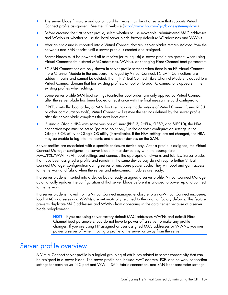- The server blade firmware and option card firmware must be at a revision that supports Virtual Connect profile assignment. See the HP website [\(http://www.hp.com/go/bladesystemupdates\)](http://www.hp.com/go/bladesystemupdates).
- Before creating the first server profile, select whether to use moveable, administered MAC addresses and WWNs or whether to use the local server blade factory default MAC addresses and WWNs.
- After an enclosure is imported into a Virtual Connect domain, server blades remain isolated from the networks and SAN fabrics until a server profile is created and assigned.
- Server blades must be powered off to receive (or relinquish) a server profile assignment when using Virtual Connect-administered MAC addresses, WWNs, or changing Fibre Channel boot parameters.
- FC SAN Connections are only shown in server profile screens when there is an HP Virtual Connect Fibre Channel Module in the enclosure managed by Virtual Connect. FC SAN Connections are added in pairs and cannot be deleted. If an HP Virtual Connect Fibre Channel Module is added to a Virtual Connect domain that has existing profiles, an option to add FC connections appears in the existing profiles when editing.
- Some server profile SAN boot settings (controller boot order) are only applied by Virtual Connect after the server blade has been booted at least once with the final mezzanine card configuration.
- If PXE, controller boot order, or SAN boot settings are made outside of Virtual Connect (using RBSU or other configuration tools), Virtual Connect will restore the settings defined by the server profile after the server blade completes the next boot cycle.
- If using a QLogic HBA with some versions of Linux (RHEL3, RHEL4, SLES9, and SLES10), the HBA connection type must be set to "point to point only" in the adapter configuration settings in the QLogic BIOS utility or QLogic OS utility (if available). If the HBA settings are not changed, the HBA may be unable to log into the fabric and discover devices on the SAN.

Server profiles are associated with a specific enclosure device bay. After a profile is assigned, the Virtual Connect Manager configures the server blade in that device bay with the appropriate MAC/PXE/WWN/SAN boot settings and connects the appropriate networks and fabrics. Server blades that have been assigned a profile and remain in the same device bay do not require further Virtual Connect Manager configuration during server or enclosure power cycle. They will boot and gain access to the network and fabric when the server and interconnect modules are ready.

If a server blade is inserted into a device bay already assigned a server profile, Virtual Connect Manager automatically updates the configuration of that server blade before it is allowed to power up and connect to the network.

If a server blade is moved from a Virtual Connect managed enclosure to a non-Virtual Connect enclosure, local MAC addresses and WWNs are automatically returned to the original factory defaults. This feature prevents duplicate MAC addresses and WWNs from appearing in the data center because of a server blade redeployment.

NOTE: If you are using server factory default MAC addresses WWNs and default Fibre Channel boot parameters, you do not have to power off a server to make any profile changes. If you are using HP assigned or user assigned MAC addresses or WWNs, you must power a server off when moving a profile to the server or away from the server.

# Server profile overview

A Virtual Connect server profile is a logical grouping of attributes related to server connectivity that can be assigned to a server blade. The server profile can include MAC address, PXE, and network connection settings for each server NIC port and WWN, SAN fabric connection, and SAN boot parameter settings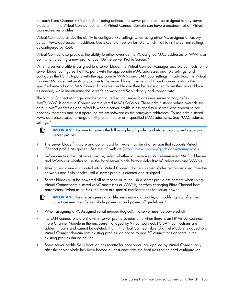for each Fibre Channel HBA port. After being defined, the server profile can be assigned to any server blade within the Virtual Connect domain. A Virtual Connect domain can have a maximum of 64 Virtual Connect server profiles.

Virtual Connect provides the ability to configure PXE settings when using either VC-assigned or factory default MAC addresses. In addition, Use BIOS is an option for PXE, which maintains the current settings as configured by RBSU.

Virtual Connect also provides the ability to either override the VC-assigned MAC addresses or WWNs or both when creating a new profile. See "Define Server Profile Screen."

When a server profile is assigned to a server blade, the Virtual Connect Manager securely connects to the server blade, configures the NIC ports with the appropriate MAC addresses and PXE settings, and configures the FC HBA ports with the appropriate WWNs and SAN boot settings. In addition, the Virtual Connect Manager automatically connects the server blade Ethernet and Fibre Channel ports to the specified networks and SAN fabrics. This server profile can then be re-assigned to another server blade as needed, while maintaining the server's network and SAN identity and connectivity.

The Virtual Connect Manager can be configured so that server blades use server factory default MACs/WWNs or Virtual-Connect-administered MACs/WWNs. These administered values override the default MAC addresses and WWNs when a server profile is assigned to a server, and appear to preboot environments and host operating system software as the hardware addresses. To use administered MAC addresses, select a range of HP pre-defined or user-specified MAC addresses. See "MAC address settings."

 $\mathbb{Z}$ **IMPORTANT:** Be sure to review the following list of guidelines before creating and deploying server profiles.

- The server blade firmware and option card firmware must be at a revision that supports Virtual Connect profile assignment. See the HP website [\(http://www.hp.com/go/bladesystemupdates\)](http://www.hp.com/go/bladesystemupdates).
- Before creating the first server profile, select whether to use moveable, administered MAC addresses and WWNs or whether to use the local server blade factory default MAC addresses and WWNs.
- After an enclosure is imported into a Virtual Connect domain, server blades remain isolated from the networks and SAN fabrics until a server profile is created and assigned.
- Server blades must be powered off to receive or relinquish a server profile assignment when using Virtual Connect-administered MAC addresses or WWNs, or when changing Fibre Channel boot parameters. When using Flex-10, there are special considerations for server power.
- $\mathbb{Z}$ IMPORTANT: Before assigning a profile, unassigning a profile, or modifying a profile, be sure to review the "Server blade power on and power off guidelines."
- When assigning a VC-Assigned serial number (logical), the server must be powered off.
- FC SAN connections are shown in server profile screens only when there is an HP Virtual Connect Fibre Channel Module in the enclosure managed by Virtual Connect. FC SAN connections are added in pairs and cannot be deleted. If an HP Virtual Connect Fibre Channel Module is added to a Virtual Connect domain with existing profiles, an option to add FC connections appears in the existing profiles during editing.
- Some server profile SAN boot settings (controller boot order) are applied by Virtual Connect only after the server blade has been booted at least once with the final mezzanine card configuration.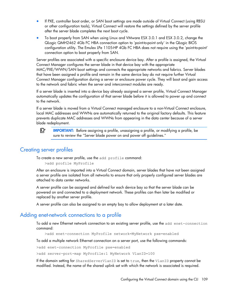- <span id="page-108-0"></span>• If PXE, controller boot order, or SAN boot settings are made outside of Virtual Connect (using RBSU or other configuration tools), Virtual Connect will restore the settings defined by the server profile after the server blade completes the next boot cycle.
- To boot properly from SAN when using Linux and VMware ESX 3.0.1 and ESX 3.0.2, change the QLogic QMH2462 4Gb FC HBA connection option to 'point-to-point only' in the QLogic BIOS configuration utility. The Emulex LPe 1105-HP 4Gb FC HBA does not require using the 'point-to-point' connection option to boot properly from SAN.

Server profiles are associated with a specific enclosure device bay. After a profile is assigned, the Virtual Connect Manager configures the server blade in that device bay with the appropriate MAC/PXE/WWN/SAN boot settings and connects the appropriate networks and fabrics. Server blades that have been assigned a profile and remain in the same device bay do not require further Virtual Connect Manager configuration during a server or enclosure power cycle. They will boot and gain access to the network and fabric when the server and interconnect modules are ready.

If a server blade is inserted into a device bay already assigned a server profile, Virtual Connect Manager automatically updates the configuration of that server blade before it is allowed to power up and connect to the network.

If a server blade is moved from a Virtual Connect managed enclosure to a non-Virtual Connect enclosure, local MAC addresses and WWNs are automatically returned to the original factory defaults. This feature prevents duplicate MAC addresses and WWNs from appearing in the data center because of a server blade redeployment.

ſŽ IMPORTANT: Before assigning a profile, unassigning a profile, or modifying a profile, be sure to review the "Server blade power on and power off guidelines."

#### Creating server profiles

To create a new server profile, use the add profile command:

```
>add profile MyProfile
```
After an enclosure is imported into a Virtual Connect domain, server blades that have not been assigned a server profile are isolated from all networks to ensure that only properly configured server blades are attached to data center networks.

A server profile can be assigned and defined for each device bay so that the server blade can be powered on and connected to a deployment network. These profiles can then later be modified or replaced by another server profile.

A server profile can also be assigned to an empty bay to allow deployment at a later date.

#### Adding enet-network connections to a profile

To add a new Ethernet network connection to an existing server profile, use the add enet-connection command:

>add enet-connection MyProfile network=MyNetwork pxe=enabled

To add a multiple network Ethernet connection on a server port, use the following commands:

>add enet-connection MyProfile pxe=enabled

>add server-port-map MyProfile:1 MyNetwork VlanID=100

If the domain setting for SharedServerVlanID is set to true, then the VlanID property cannot be modified. Instead, the name of the shared uplink set with which the network is associated is required.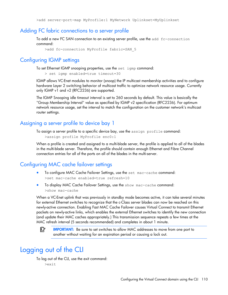>add server-port-map MyProfile:1 MyNetwork Uplinkset=MyUplinkset

#### <span id="page-109-0"></span>Adding FC fabric connections to a server profile

To add a new FC SAN connection to an existing server profile, use the add fc-connection command:

>add fc-connection MyProfile fabric=SAN\_5

#### Configuring IGMP settings

To set Ethernet IGMP snooping properties, use the set igmp command:

> set igmp enabled=true timeout=30

IGMP allows VC-Enet modules to monitor (snoop) the IP multicast membership activities and to configure hardware Layer 2 switching behavior of multicast traffic to optimize network resource usage. Currently only IGMP v1 and v2 (RFC2236) are supported.

The IGMP Snooping idle timeout interval is set to 260 seconds by default. This value is basically the "Group Membership Interval" value as specified by IGMP v2 specification (RFC2236). For optimum network resource usage, set the interval to match the configuration on the customer network's multicast router settings.

#### Assigning a server profile to device bay 1

To assign a server profile to a specific device bay, use the assign profile command:

```
>assign profile MyProfile enc0:1
```
When a profile is created and assigned to a multi-blade server, the profile is applied to all of the blades in the multi-blade server. Therefore, the profile should contain enough Ethernet and Fibre Channel connection entries for all of the ports on all of the blades in the multi-server.

#### Configuring MAC cache failover settings

- To configure MAC Cache Failover Settings, use the set mac-cache command: >set mac-cache enabled=true refresh=10
- To display MAC Cache Failover Settings, use the show mac-cache command: >show mac-cache

When a VC-Enet uplink that was previously in standby mode becomes active, it can take several minutes for external Ethernet switches to recognize that the c-Class server blades can now be reached on this newly-active connection. Enabling Fast MAC Cache Failover causes Virtual Connect to transmit Ethernet packets on newly-active links, which enables the external Ethernet switches to identify the new connection (and update their MAC caches appropriately.) This transmission sequence repeats a few times at the MAC refresh interval (5 seconds recommended) and completes in about 1 minute.

[X IMPORTANT: Be sure to set switches to allow MAC addresses to move from one port to another without waiting for an expiration period or causing a lock out.

### Logging out of the CLI

To log out of the CLI, use the exit command: >exit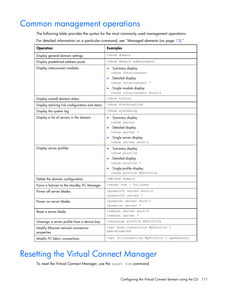### <span id="page-110-0"></span>Common management operations

The following table provides the syntax for the most commonly used management operations.

For detailed information on a particular command, see "Managed elements (on page [13\)](#page-12-0)."

| Operation                                        | <b>Examples</b>                                                                                                                                        |
|--------------------------------------------------|--------------------------------------------------------------------------------------------------------------------------------------------------------|
| Display general domain settings                  | >show domain                                                                                                                                           |
| Display predefined address pools                 | >show domain addresspool                                                                                                                               |
| Display interconnect modules                     | Summary display<br>$\bullet$<br>>show interconnect<br>• Detailed display<br>>show interconnect *<br>Single module display<br>>show interconnect enc0:2 |
| Display overall domain status                    | >show status                                                                                                                                           |
| Display stacking link configuration and status   | >show stackinglink                                                                                                                                     |
| Display the system log                           | >show systemlog                                                                                                                                        |
| Display a list of servers in the domain          | Summary display<br>>show server<br>Detailed display<br>>show server *<br>Single server display<br>>show server enc0:1                                  |
| Display server profiles                          | • Summary display<br>>show profile<br>Detailed display<br>>show profile *<br>Single profile display<br>>show profile MyProfile                         |
| Delete the domain configuration                  | >delete domain                                                                                                                                         |
| Force a failover to the standby VC Manager       | >reset vcm - failover                                                                                                                                  |
| Power off server blades                          | >poweroff server enc0:2<br>>poweroff server *                                                                                                          |
| Power on server blades                           | >poweron server enc0:1<br>>poweron server *                                                                                                            |
| Reset a server blade                             | >reboot server enc0:4<br>>reboot server *                                                                                                              |
| Unassign a server profile from a device bay      | >unassign profile MyProfile                                                                                                                            |
| Modify Ethernet network connection<br>properties | >set enet-connection MyProfile 1<br>pxe=disabled                                                                                                       |
| Modify FC fabric connections                     | >set fc-connection MyProfile 2 speed=auto                                                                                                              |

### Resetting the Virtual Connect Manager

To reset the Virtual Connect Manager, use the reset vcm command: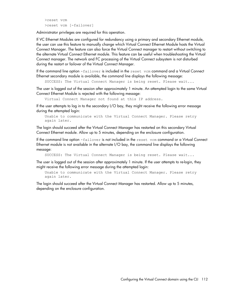```
>reset vcm
>reset vcm [-failover]
```
Administrator privileges are required for this operation.

If VC Ethernet Modules are configured for redundancy using a primary and secondary Ethernet module, the user can use this feature to manually change which Virtual Connect Ethernet Module hosts the Virtual Connect Manager. The feature can also force the Virtual Connect manager to restart without switching to the alternate Virtual Connect Ethernet module. This feature can be useful when troubleshooting the Virtual Connect manager. The network and FC processing of the Virtual Connect subsystem is not disturbed during the restart or failover of the Virtual Connect Manager.

If the command line option -failover is included in the reset vcm command and a Virtual Connect Ethernet secondary module is available, the command line displays the following message:

SUCCESS: The Virtual Connect Manager is being reset. Please wait...

The user is logged out of the session after approximately 1 minute. An attempted login to the same Virtual Connect Ethernet Module is rejected with the following message:

Virtual Connect Manager not found at this IP address.

If the user attempts to log in to the secondary I/O bay, they might receive the following error message during the attempted login:

```
Unable to communicate with the Virtual Connect Manager. Please retry 
again later.
```
The login should succeed after the Virtual Connect Manager has restarted on this secondary Virtual Connect Ethernet module. Allow up to 5 minutes, depending on the enclosure configuration.

If the command line option -failover is not included in the reset vcm command or a Virtual Connect Ethernet module is not available in the alternate I/O bay, the command line displays the following message:

SUCCESS: The Virtual Connect Manager is being reset. Please wait...

The user is logged out of the session after approximately 1 minute. If the user attempts to re-login, they might receive the following error message during the attempted login:

Unable to communicate with the Virtual Connect Manager. Please retry again later.

The login should succeed after the Virtual Connect Manager has restarted. Allow up to 5 minutes, depending on the enclosure configuration.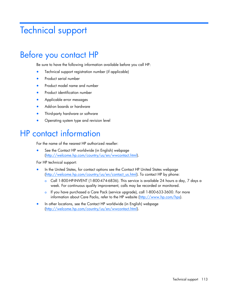## <span id="page-112-0"></span>Technical support

## Before you contact HP

Be sure to have the following information available before you call HP:

- Technical support registration number (if applicable)
- Product serial number
- Product model name and number
- Product identification number
- Applicable error messages
- Add-on boards or hardware
- Third-party hardware or software
- Operating system type and revision level

### HP contact information

For the name of the nearest HP authorized reseller:

See the Contact HP worldwide (in English) webpage [\(http://welcome.hp.com/country/us/en/wwcontact.html\)](http://welcome.hp.com/country/us/en/wwcontact.html).

For HP technical support:

- In the United States, for contact options see the Contact HP United States webpage [\(http://welcome.hp.com/country/us/en/contact\\_us.html\)](http://welcome.hp.com/country/us/en/contact_us.html). To contact HP by phone:
	- o Call 1-800-HP-INVENT (1-800-474-6836). This service is available 24 hours a day, 7 days a week. For continuous quality improvement, calls may be recorded or monitored.
	- o If you have purchased a Care Pack (service upgrade), call 1-800-633-3600. For more information about Care Packs, refer to the HP website [\(http://www.hp.com/hps\)](http://www.hp.com/hps).
- In other locations, see the Contact HP worldwide (in English) webpage [\(http://welcome.hp.com/country/us/en/wwcontact.html\)](http://welcome.hp.com/country/us/en/wwcontact.html).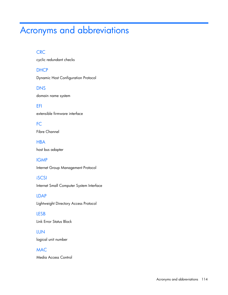# Acronyms and abbreviations

#### **CRC**

cyclic redundant checks

**DHCP** 

Dynamic Host Configuration Protocol

DNS domain name system

EFI extensible firmware interface

FC Fibre Channel

**HBA** host bus adapter

IGMP

Internet Group Management Protocol

iSCSI Internet Small Computer System Interface

LDAP Lightweight Directory Access Protocol

LESB Link Error Status Block

LUN logical unit number

MAC

Media Access Control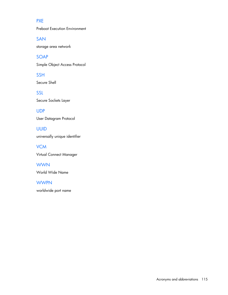#### **PXE**

Preboot Execution Environment

SAN

storage area network

SOAP

Simple Object Access Protocol

Secure Shell

SSH

SSL Secure Sockets Layer

UDP User Datagram Protocol

UUID universally unique identifier

**VCM** Virtual Connect Manager

**WWN** World Wide Name

**WWPN** worldwide port name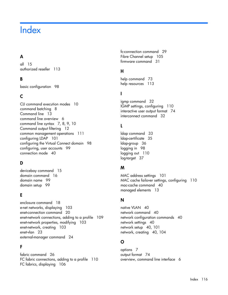## **Index**

#### A

all [15](#page-14-0) authorized reseller [113](#page-112-0)

#### B

basic configuration [98](#page-97-0)

#### C

CLI command execution modes [10](#page-9-0) command batching [8](#page-7-0) Command line [13](#page-12-1) command line overview [6](#page-5-0) command line syntax [7,](#page-6-0) [8,](#page-7-0) [9,](#page-8-0) [10](#page-9-0) Command output filtering [12](#page-11-0) common management operations [111](#page-110-0) configuring LDAP [101](#page-100-0) configuring the Virtual Connect domain [98](#page-97-0) configuring, user accounts [99](#page-98-0) connection mode [40](#page-39-0)

#### D

devicebay command [15](#page-14-0) domain command [16](#page-15-0) domain name [99](#page-98-0) domain setup [99](#page-98-0)

#### E

enclosure command [18](#page-17-0) e-net networks, displaying [103](#page-102-0) enet-connection command [20](#page-19-0) enet-network connections, adding to a profile [109](#page-108-0) enet-network properties, modifying [103](#page-102-0) enet-network, creating [103](#page-102-0) enet-vlan [23](#page-22-0) external-manager command [24](#page-23-0)

#### F

fabric command [26](#page-25-0) FC fabric connections, adding to a profile [110](#page-109-0) FC fabrics, displaying [106](#page-105-0)

fc-connection command [29](#page-28-0) Fibre Channel setup [105](#page-104-0) firmware command [31](#page-30-0)

#### H

help command [73](#page-72-0) help resources [113](#page-112-0)

#### I

igmp command [32](#page-31-0) IGMP settings, configuring [110](#page-109-0) interactive user output format [74](#page-73-0) interconnect command [32](#page-31-0)

#### L

ldap command [33](#page-32-0) ldap-certificate [35](#page-34-0) ldap-group [36](#page-35-0) logging in [98](#page-97-0) logging out [110](#page-109-0) log-target [37](#page-36-0)

#### M

MAC address settings [101](#page-100-0) MAC cache failover settings, configuring [110](#page-109-0) mac-cache command [40](#page-39-0) managed elements [13](#page-12-1)

#### N

native VLAN [40](#page-39-0) network command [40](#page-39-0) network configuration commands [40](#page-39-0) network settings [40](#page-39-0) network setup [40,](#page-39-0) [101](#page-100-0) network, creating [40,](#page-39-0) [104](#page-103-0)

#### O

options [7](#page-6-0) output format [74](#page-73-0) overview, command line interface [6](#page-5-0)